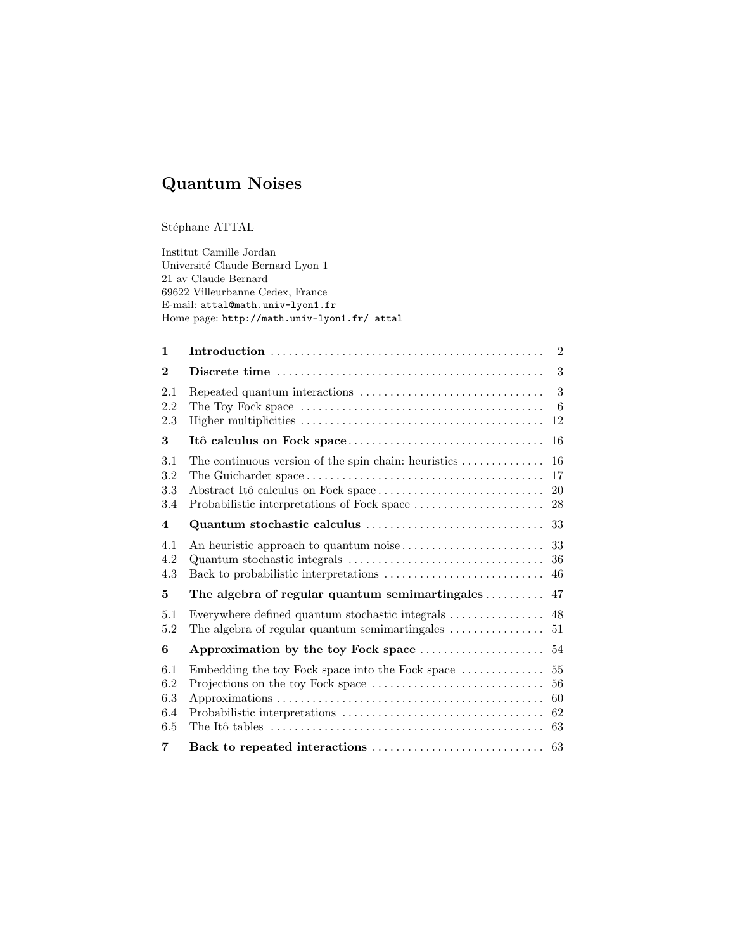# Quantum Noises

 $Stéphane$   $\operatorname{ATTAL}$ 

Institut Camille Jordan Université Claude Bernard Lyon 1 21 av Claude Bernard 69622 Villeurbanne Cedex, France E-mail: attal@math.univ-lyon1.fr Home page: http://math.univ-lyon1.fr/ attal

| 1                               |                                                                                                                                                          | $\overline{2}$             |
|---------------------------------|----------------------------------------------------------------------------------------------------------------------------------------------------------|----------------------------|
| $\bf{2}$                        |                                                                                                                                                          | 3                          |
| 2.1<br>2.2<br>2.3               |                                                                                                                                                          | 3<br>6<br>$12\,$           |
| 3                               |                                                                                                                                                          | 16                         |
| 3.1<br>3.2<br>3.3<br>3.4        | The continuous version of the spin chain: heuristics $\dots \dots \dots$<br>Probabilistic interpretations of Fock space $.\dots.\dots.\dots.\dots.\dots$ | 16<br>17<br>$20\,$<br>28   |
| $\overline{\mathbf{4}}$         |                                                                                                                                                          | 33                         |
| 4.1<br>4.2<br>4.3               |                                                                                                                                                          | 33<br>36<br>46             |
| 5                               | The algebra of regular quantum semimartingales                                                                                                           | 47                         |
| 5.1<br>5.2                      | Everywhere defined quantum stochastic integrals<br>The algebra of regular quantum semimartingales                                                        | 48<br>51                   |
| 6                               | Approximation by the toy Fock space                                                                                                                      | 54                         |
| 6.1<br>6.2<br>6.3<br>6.4<br>6.5 | Embedding the toy Fock space into the Fock space                                                                                                         | 55<br>56<br>60<br>62<br>63 |
| 7                               |                                                                                                                                                          |                            |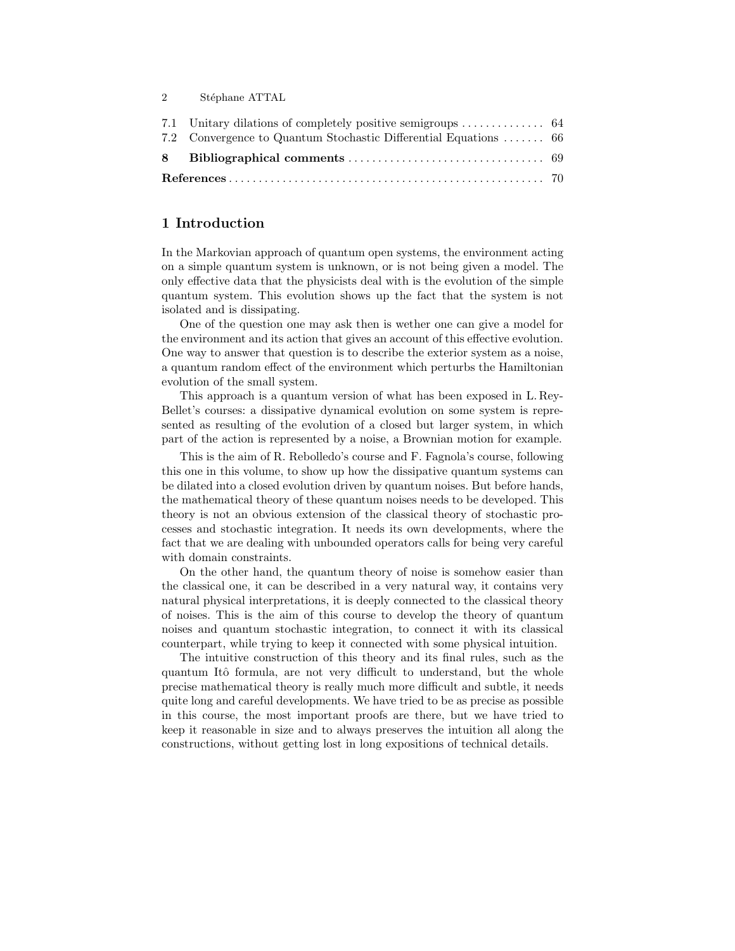| 7.2 Convergence to Quantum Stochastic Differential Equations  66 |  |
|------------------------------------------------------------------|--|
|                                                                  |  |
|                                                                  |  |

# 1 Introduction

In the Markovian approach of quantum open systems, the environment acting on a simple quantum system is unknown, or is not being given a model. The only effective data that the physicists deal with is the evolution of the simple quantum system. This evolution shows up the fact that the system is not isolated and is dissipating.

One of the question one may ask then is wether one can give a model for the environment and its action that gives an account of this effective evolution. One way to answer that question is to describe the exterior system as a noise, a quantum random effect of the environment which perturbs the Hamiltonian evolution of the small system.

This approach is a quantum version of what has been exposed in L. Rey-Bellet's courses: a dissipative dynamical evolution on some system is represented as resulting of the evolution of a closed but larger system, in which part of the action is represented by a noise, a Brownian motion for example.

This is the aim of R. Rebolledo's course and F. Fagnola's course, following this one in this volume, to show up how the dissipative quantum systems can be dilated into a closed evolution driven by quantum noises. But before hands, the mathematical theory of these quantum noises needs to be developed. This theory is not an obvious extension of the classical theory of stochastic processes and stochastic integration. It needs its own developments, where the fact that we are dealing with unbounded operators calls for being very careful with domain constraints.

On the other hand, the quantum theory of noise is somehow easier than the classical one, it can be described in a very natural way, it contains very natural physical interpretations, it is deeply connected to the classical theory of noises. This is the aim of this course to develop the theory of quantum noises and quantum stochastic integration, to connect it with its classical counterpart, while trying to keep it connected with some physical intuition.

The intuitive construction of this theory and its final rules, such as the quantum Itô formula, are not very difficult to understand, but the whole precise mathematical theory is really much more difficult and subtle, it needs quite long and careful developments. We have tried to be as precise as possible in this course, the most important proofs are there, but we have tried to keep it reasonable in size and to always preserves the intuition all along the constructions, without getting lost in long expositions of technical details.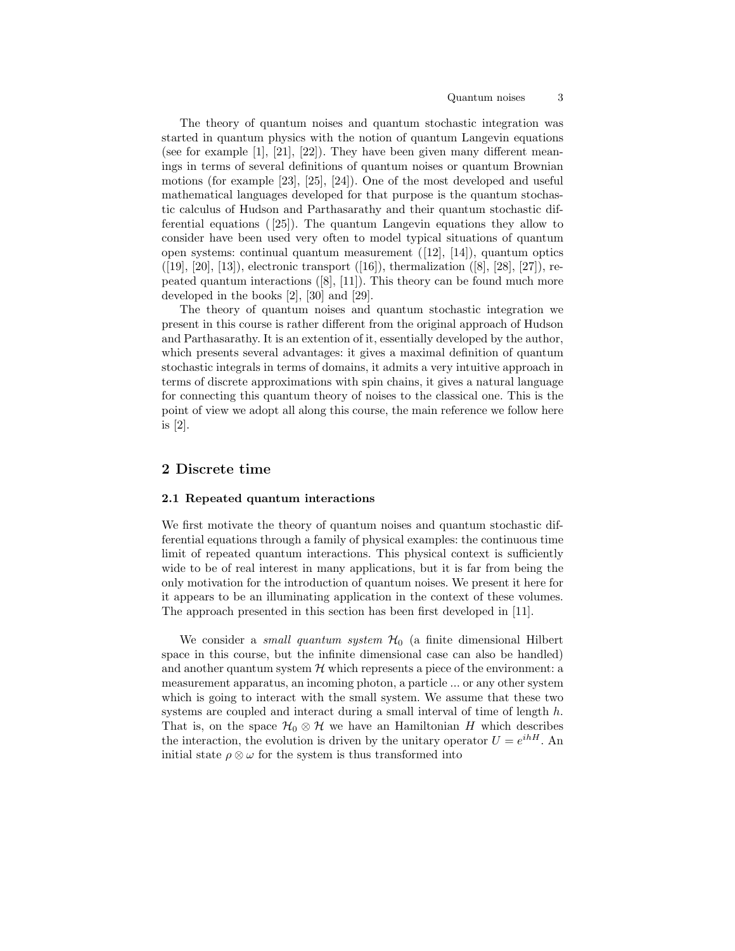The theory of quantum noises and quantum stochastic integration was started in quantum physics with the notion of quantum Langevin equations (see for example [1], [21], [22]). They have been given many different meanings in terms of several definitions of quantum noises or quantum Brownian motions (for example [23], [25], [24]). One of the most developed and useful mathematical languages developed for that purpose is the quantum stochastic calculus of Hudson and Parthasarathy and their quantum stochastic differential equations ( [25]). The quantum Langevin equations they allow to consider have been used very often to model typical situations of quantum open systems: continual quantum measurement  $([12], [14])$ , quantum optics  $([19], [20], [13])$ , electronic transport  $([16])$ , thermalization  $([8], [28], [27])$ , repeated quantum interactions  $(|8|, 11)$ . This theory can be found much more developed in the books [2], [30] and [29].

The theory of quantum noises and quantum stochastic integration we present in this course is rather different from the original approach of Hudson and Parthasarathy. It is an extention of it, essentially developed by the author, which presents several advantages: it gives a maximal definition of quantum stochastic integrals in terms of domains, it admits a very intuitive approach in terms of discrete approximations with spin chains, it gives a natural language for connecting this quantum theory of noises to the classical one. This is the point of view we adopt all along this course, the main reference we follow here is [2].

# 2 Discrete time

#### 2.1 Repeated quantum interactions

We first motivate the theory of quantum noises and quantum stochastic differential equations through a family of physical examples: the continuous time limit of repeated quantum interactions. This physical context is sufficiently wide to be of real interest in many applications, but it is far from being the only motivation for the introduction of quantum noises. We present it here for it appears to be an illuminating application in the context of these volumes. The approach presented in this section has been first developed in [11].

We consider a *small quantum system*  $H_0$  (a finite dimensional Hilbert space in this course, but the infinite dimensional case can also be handled) and another quantum system  $H$  which represents a piece of the environment: a measurement apparatus, an incoming photon, a particle ... or any other system which is going to interact with the small system. We assume that these two systems are coupled and interact during a small interval of time of length  $h$ . That is, on the space  $\mathcal{H}_0 \otimes \mathcal{H}$  we have an Hamiltonian H which describes the interaction, the evolution is driven by the unitary operator  $U = e^{ihH}$ . An initial state  $\rho \otimes \omega$  for the system is thus transformed into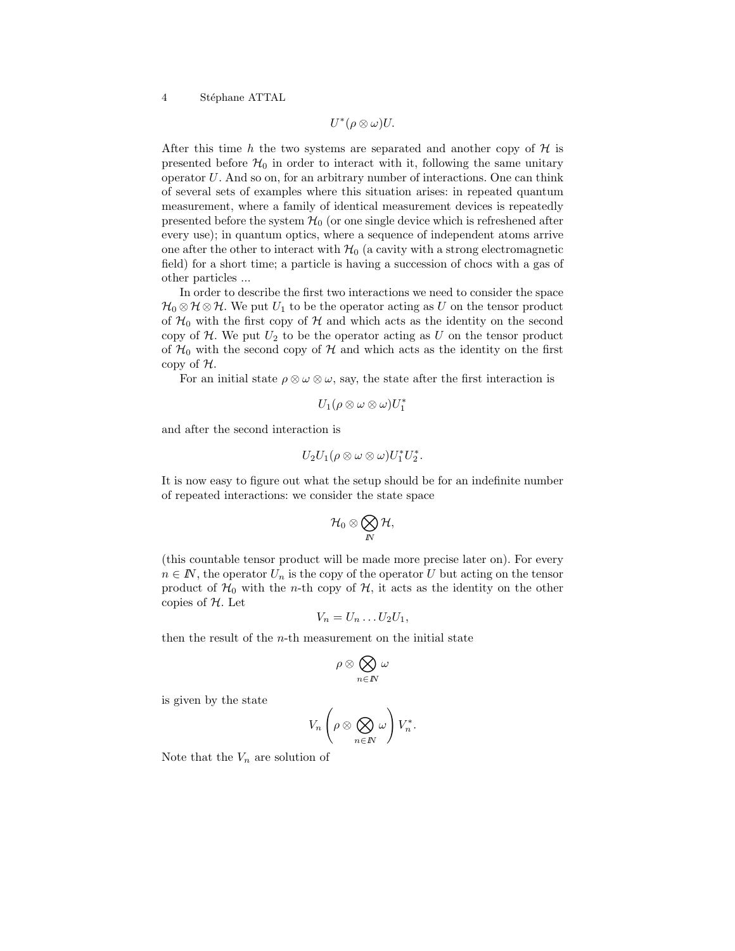$$
U^*(\rho\otimes\omega)U.
$$

After this time h the two systems are separated and another copy of  $\mathcal H$  is presented before  $\mathcal{H}_0$  in order to interact with it, following the same unitary operator U. And so on, for an arbitrary number of interactions. One can think of several sets of examples where this situation arises: in repeated quantum measurement, where a family of identical measurement devices is repeatedly presented before the system  $\mathcal{H}_0$  (or one single device which is refreshened after every use); in quantum optics, where a sequence of independent atoms arrive one after the other to interact with  $\mathcal{H}_0$  (a cavity with a strong electromagnetic field) for a short time; a particle is having a succession of chocs with a gas of other particles ...

In order to describe the first two interactions we need to consider the space  $\mathcal{H}_0 \otimes \mathcal{H} \otimes \mathcal{H}$ . We put  $U_1$  to be the operator acting as U on the tensor product of  $H_0$  with the first copy of H and which acts as the identity on the second copy of  $H$ . We put  $U_2$  to be the operator acting as U on the tensor product of  $\mathcal{H}_0$  with the second copy of  $\mathcal{H}$  and which acts as the identity on the first copy of  $H$ .

For an initial state  $\rho \otimes \omega \otimes \omega$ , say, the state after the first interaction is

$$
U_1(\rho\otimes\omega\otimes\omega)U_1^*
$$

and after the second interaction is

$$
U_2U_1(\rho\otimes\omega\otimes\omega)U_1^*U_2^*.
$$

It is now easy to figure out what the setup should be for an indefinite number of repeated interactions: we consider the state space

$$
\mathcal{H}_0\otimes\bigotimes_{I\!\!N}\mathcal{H},
$$

(this countable tensor product will be made more precise later on). For every  $n \in \mathbb{N}$ , the operator  $U_n$  is the copy of the operator U but acting on the tensor product of  $H_0$  with the *n*-th copy of  $H$ , it acts as the identity on the other copies of  $H$ . Let

$$
V_n = U_n \dots U_2 U_1,
$$

then the result of the  $n$ -th measurement on the initial state

$$
\rho\otimes\bigotimes_{n\in I\!\!N}\omega
$$

is given by the state

$$
V_n\left(\rho\otimes\bigotimes_{n\in\mathbb{N}}\omega\right)V_n^*.
$$

Note that the  $V_n$  are solution of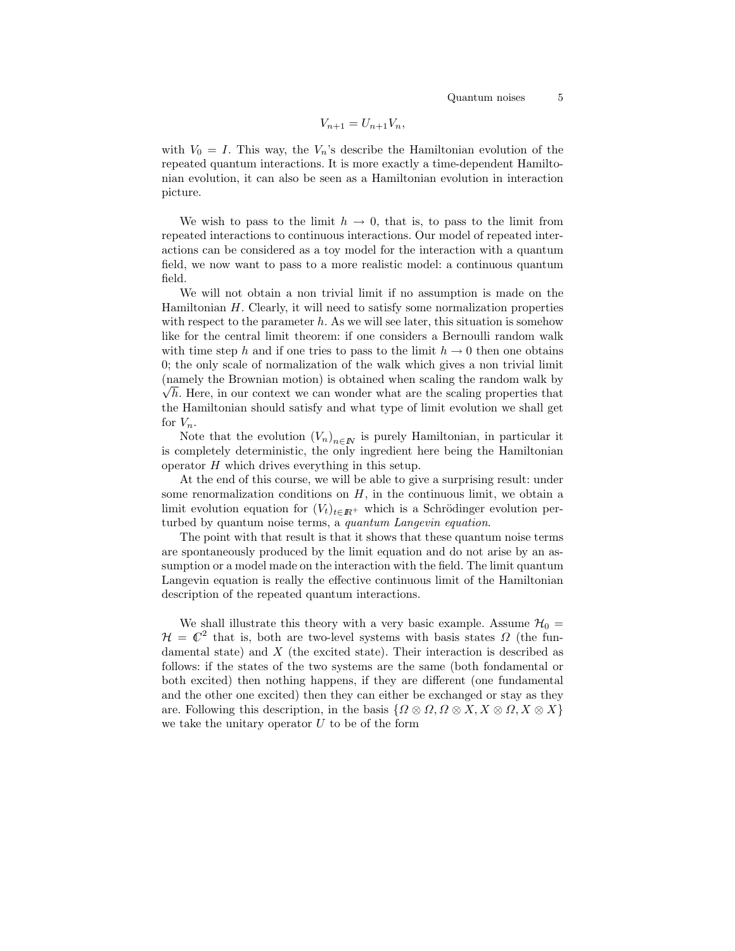$$
V_{n+1} = U_{n+1} V_n,
$$

with  $V_0 = I$ . This way, the  $V_n$ 's describe the Hamiltonian evolution of the repeated quantum interactions. It is more exactly a time-dependent Hamiltonian evolution, it can also be seen as a Hamiltonian evolution in interaction picture.

We wish to pass to the limit  $h \to 0$ , that is, to pass to the limit from repeated interactions to continuous interactions. Our model of repeated interactions can be considered as a toy model for the interaction with a quantum field, we now want to pass to a more realistic model: a continuous quantum field.

We will not obtain a non trivial limit if no assumption is made on the Hamiltonian  $H$ . Clearly, it will need to satisfy some normalization properties with respect to the parameter  $h$ . As we will see later, this situation is somehow like for the central limit theorem: if one considers a Bernoulli random walk with time step h and if one tries to pass to the limit  $h \to 0$  then one obtains 0; the only scale of normalization of the walk which gives a non trivial limit (namely the Brownian motion) is obtained when scaling the random walk by √  $\sqrt{h}$ . Here, in our context we can wonder what are the scaling properties that the Hamiltonian should satisfy and what type of limit evolution we shall get for  $V_n$ .

Note that the evolution  $(V_n)_{n\in\mathbb{N}}$  is purely Hamiltonian, in particular it is completely deterministic, the only ingredient here being the Hamiltonian operator H which drives everything in this setup.

At the end of this course, we will be able to give a surprising result: under some renormalization conditions on  $H$ , in the continuous limit, we obtain a limit evolution equation for  $(V_t)_{t\in\mathbb{R}^+}$  which is a Schrödinger evolution perturbed by quantum noise terms, a quantum Langevin equation.

The point with that result is that it shows that these quantum noise terms are spontaneously produced by the limit equation and do not arise by an assumption or a model made on the interaction with the field. The limit quantum Langevin equation is really the effective continuous limit of the Hamiltonian description of the repeated quantum interactions.

We shall illustrate this theory with a very basic example. Assume  $\mathcal{H}_0 =$  $\mathcal{H} = \mathbb{C}^2$  that is, both are two-level systems with basis states  $\Omega$  (the fundamental state) and  $X$  (the excited state). Their interaction is described as follows: if the states of the two systems are the same (both fondamental or both excited) then nothing happens, if they are different (one fundamental and the other one excited) then they can either be exchanged or stay as they are. Following this description, in the basis  $\{\Omega\otimes\Omega,\Omega\otimes X,X\otimes\Omega,X\otimes X\}$ we take the unitary operator  $U$  to be of the form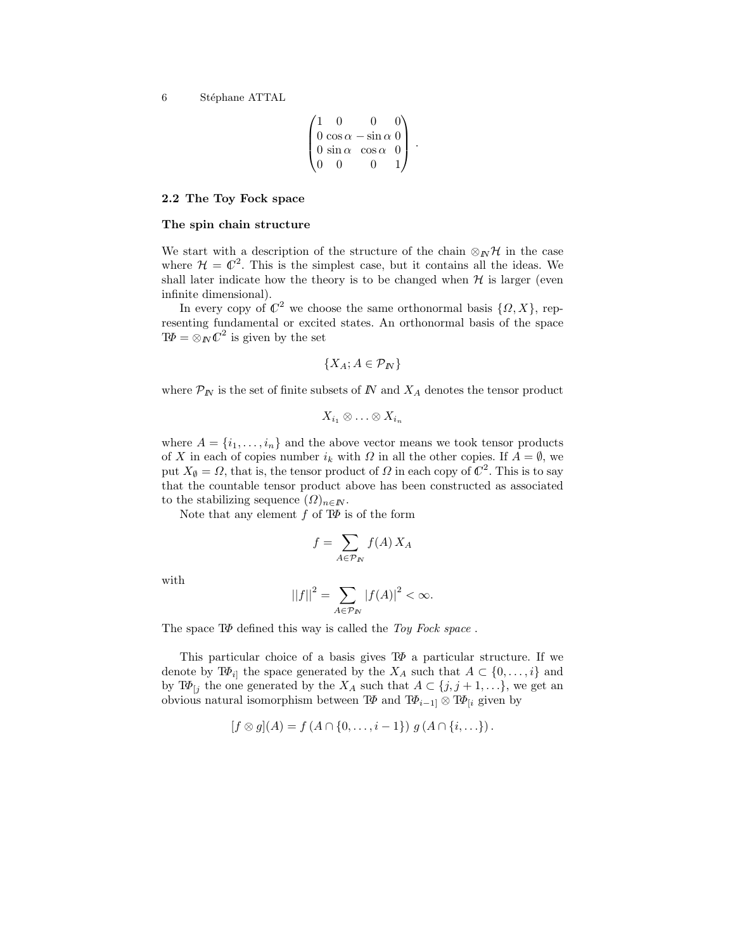$$
\begin{pmatrix} 1 & 0 & 0 & 0 \\ 0 & \cos \alpha & -\sin \alpha & 0 \\ 0 & \sin \alpha & \cos \alpha & 0 \\ 0 & 0 & 0 & 1 \end{pmatrix}.
$$

#### 2.2 The Toy Fock space

# The spin chain structure

We start with a description of the structure of the chain  $\otimes_N \mathcal{H}$  in the case where  $\mathcal{H} = \mathbb{C}^2$ . This is the simplest case, but it contains all the ideas. We shall later indicate how the theory is to be changed when  $H$  is larger (even infinite dimensional).

In every copy of  $\mathbb{C}^2$  we choose the same orthonormal basis  $\{\Omega, X\}$ , representing fundamental or excited states. An orthonormal basis of the space  $\mathbf{T}\Phi = \otimes_{I\!\!N} \mathbb{C}^2$  is given by the set

$$
\{X_A; A \in \mathcal{P}_I\}
$$

where  $\mathcal{P}_N$  is the set of finite subsets of  $N$  and  $X_A$  denotes the tensor product

$$
X_{i_1}\otimes\ldots\otimes X_{i_n}
$$

where  $A = \{i_1, \ldots, i_n\}$  and the above vector means we took tensor products of X in each of copies number  $i_k$  with  $\Omega$  in all the other copies. If  $A = \emptyset$ , we put  $X_{\emptyset} = \Omega$ , that is, the tensor product of  $\Omega$  in each copy of  $\mathbb{C}^2$ . This is to say that the countable tensor product above has been constructed as associated to the stabilizing sequence  $(\Omega)_{n\in\mathbb{N}}$ .

Note that any element  $f$  of  $T\Phi$  is of the form

$$
f = \sum_{A \in \mathcal{P}_N} f(A) \, X_A
$$

with

$$
||f||^2 = \sum_{A \in \mathcal{P}_N} |f(A)|^2 < \infty.
$$

The space  $T\Phi$  defined this way is called the Toy Fock space.

This particular choice of a basis gives  $T\Phi$  a particular structure. If we denote by  $\Phi_i$  the space generated by the  $X_A$  such that  $A \subset \{0, \ldots, i\}$  and by T $\Phi_{[j]}$  the one generated by the  $X_A$  such that  $A \subset \{j, j+1, \ldots\}$ , we get an obvious natural isomorphism between TΦ and T $\Phi_{i-1} \otimes T\Phi_{i}$  given by

$$
[f \otimes g](A) = f(A \cap \{0, \ldots, i-1\}) g(A \cap \{i, \ldots\}).
$$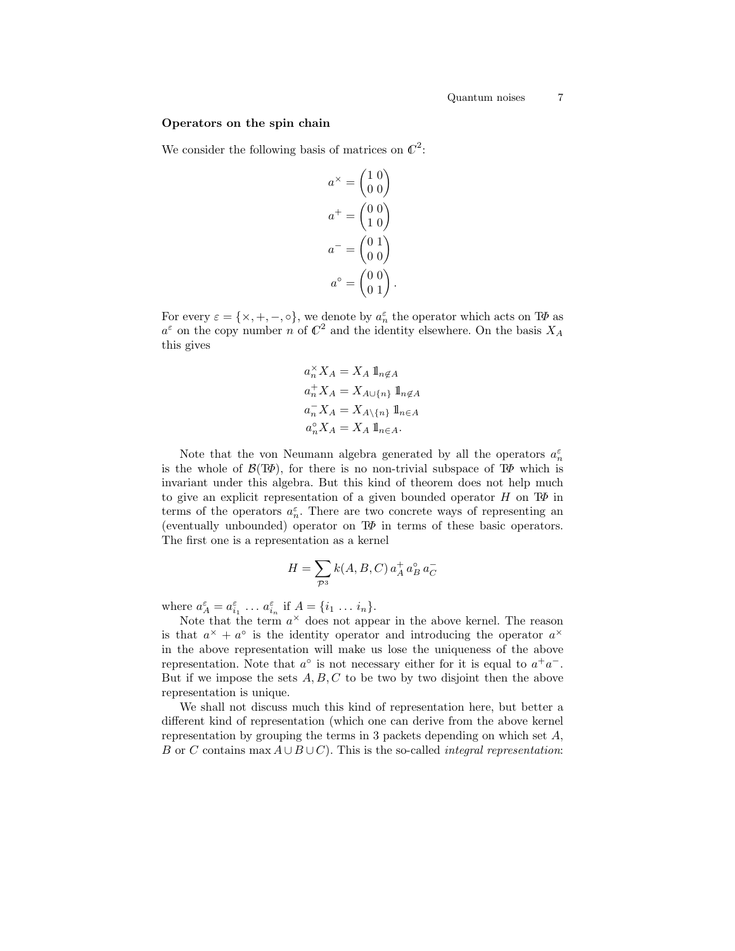# Operators on the spin chain

We consider the following basis of matrices on  $\mathbb{C}^2$ :

$$
a^{\times} = \begin{pmatrix} 1 & 0 \\ 0 & 0 \end{pmatrix}
$$

$$
a^+ = \begin{pmatrix} 0 & 0 \\ 1 & 0 \end{pmatrix}
$$

$$
a^- = \begin{pmatrix} 0 & 1 \\ 0 & 0 \end{pmatrix}
$$

$$
a^{\circ} = \begin{pmatrix} 0 & 0 \\ 0 & 1 \end{pmatrix}.
$$

For every  $\varepsilon = \{ \times, +, -, \circ \}$ , we denote by  $a_n^{\varepsilon}$  the operator which acts on T $\Phi$  as  $a^{\varepsilon}$  on the copy number n of  $\mathbb{C}^2$  and the identity elsewhere. On the basis  $X_A$ this gives

$$
a_n^{\times} X_A = X_A 1_{n \notin A}
$$
  
\n
$$
a_n^{\times} X_A = X_{A \cup \{n\}} 1_{n \notin A}
$$
  
\n
$$
a_n^{\top} X_A = X_{A \setminus \{n\}} 1_{n \in A}
$$
  
\n
$$
a_n^{\circ} X_A = X_A 1_{n \in A}.
$$

Note that the von Neumann algebra generated by all the operators  $a_n^{\varepsilon}$ is the whole of  $\mathcal{B}(\mathbb{T}\Phi)$ , for there is no non-trivial subspace of  $\mathbb{T}\Phi$  which is invariant under this algebra. But this kind of theorem does not help much to give an explicit representation of a given bounded operator  $H$  on T $\Phi$  in terms of the operators  $a_n^{\varepsilon}$ . There are two concrete ways of representing an (eventually unbounded) operator on  $T\Phi$  in terms of these basic operators. The first one is a representation as a kernel

$$
H = \sum_{\mathcal{P}^3} k(A, B, C) \, a_A^+ \, a_B^{\circ} \, a_C^-
$$

where  $a_A^{\varepsilon} = a_{i_1}^{\varepsilon} \dots a_{i_n}^{\varepsilon}$  if  $A = \{i_1 \dots i_n\}$ .

Note that the term  $a^{\times}$  does not appear in the above kernel. The reason is that  $a^{\times} + a^{\circ}$  is the identity operator and introducing the operator  $a^{\times}$ in the above representation will make us lose the uniqueness of the above representation. Note that  $a^{\circ}$  is not necessary either for it is equal to  $a^{+}a^{-}$ . But if we impose the sets  $A, B, C$  to be two by two disjoint then the above representation is unique.

We shall not discuss much this kind of representation here, but better a different kind of representation (which one can derive from the above kernel representation by grouping the terms in 3 packets depending on which set  $A$ , B or C contains max  $A \cup B \cup C$ ). This is the so-called *integral representation*: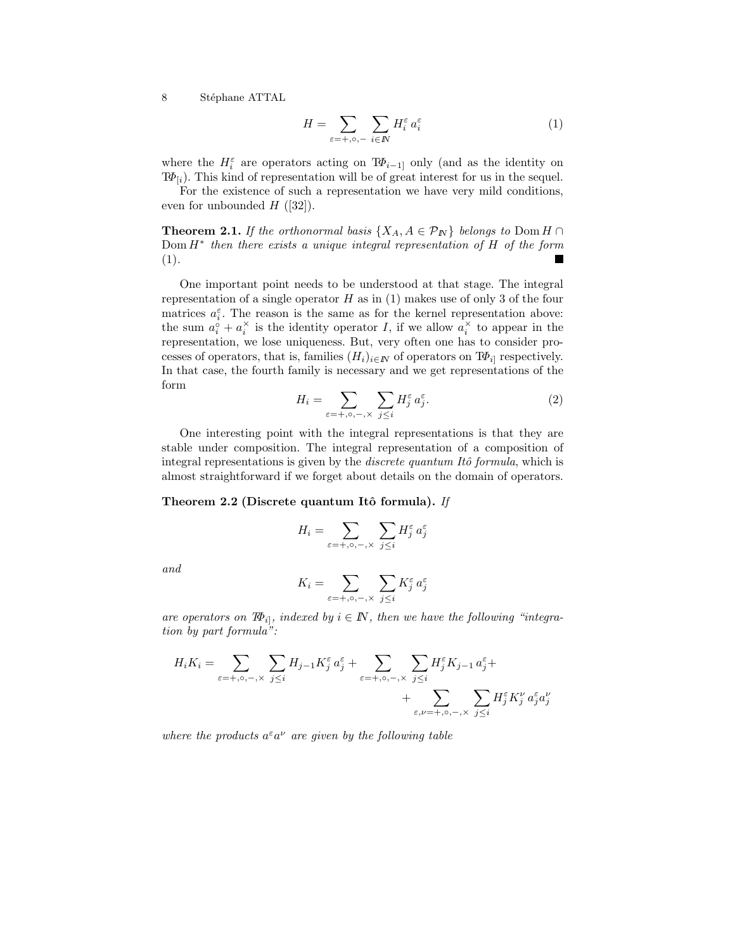$$
H = \sum_{\varepsilon = +, \circ, -} \sum_{i \in \mathbb{N}} H_i^{\varepsilon} a_i^{\varepsilon} \tag{1}
$$

where the  $H_i^{\varepsilon}$  are operators acting on  $\mathbb{T} \Phi_{i-1}$  only (and as the identity on  $T\Phi_{[i]}$ . This kind of representation will be of great interest for us in the sequel.

For the existence of such a representation we have very mild conditions, even for unbounded  $H$  ([32]).

**Theorem 2.1.** If the orthonormal basis  $\{X_A, A \in \mathcal{P}_N\}$  belongs to Dom  $H \cap$  $Dom H<sup>*</sup>$  then there exists a unique integral representation of H of the form (1). П

One important point needs to be understood at that stage. The integral representation of a single operator  $H$  as in (1) makes use of only 3 of the four matrices  $a_i^{\varepsilon}$ . The reason is the same as for the kernel representation above: the sum  $a_i^{\circ} + a_i^{\times}$  is the identity operator *I*, if we allow  $a_i^{\times}$  to appear in the representation, we lose uniqueness. But, very often one has to consider processes of operators, that is, families  $(H_i)_{i\in\mathbb{N}}$  of operators on  $\mathbb{I}\Phi_i$  respectively. In that case, the fourth family is necessary and we get representations of the form

$$
H_i = \sum_{\varepsilon = +, \circ, -, \times} \sum_{j \le i} H_j^{\varepsilon} a_j^{\varepsilon}.
$$
 (2)

One interesting point with the integral representations is that they are stable under composition. The integral representation of a composition of integral representations is given by the *discrete quantum Itô formula*, which is almost straightforward if we forget about details on the domain of operators.

# Theorem 2.2 (Discrete quantum Itô formula). If

$$
H_i = \sum_{\varepsilon = +, \circ, -, \times} \sum_{j \leq i} H_j^{\varepsilon} a_j^{\varepsilon}
$$

and

$$
K_i = \sum_{\varepsilon=+,\circ,-,\times} \; \sum_{j\leq i} K_j^\varepsilon \, a_j^\varepsilon
$$

are operators on  $\mathbb{F}_{i}$ , indexed by  $i \in \mathbb{N}$ , then we have the following "integration by part formula":

$$
H_i K_i = \sum_{\varepsilon = +, \circ, -, \times} \sum_{j \leq i} H_{j-1} K_j^{\varepsilon} a_j^{\varepsilon} + \sum_{\varepsilon = +, \circ, -, \times} \sum_{j \leq i} H_j^{\varepsilon} K_{j-1} a_j^{\varepsilon} + \sum_{\varepsilon, \nu = +, \circ, -, \times} \sum_{j \leq i} H_j^{\varepsilon} K_j^{\nu} a_j^{\varepsilon} a_j^{\nu}
$$

where the products  $a^{\varepsilon} a^{\nu}$  are given by the following table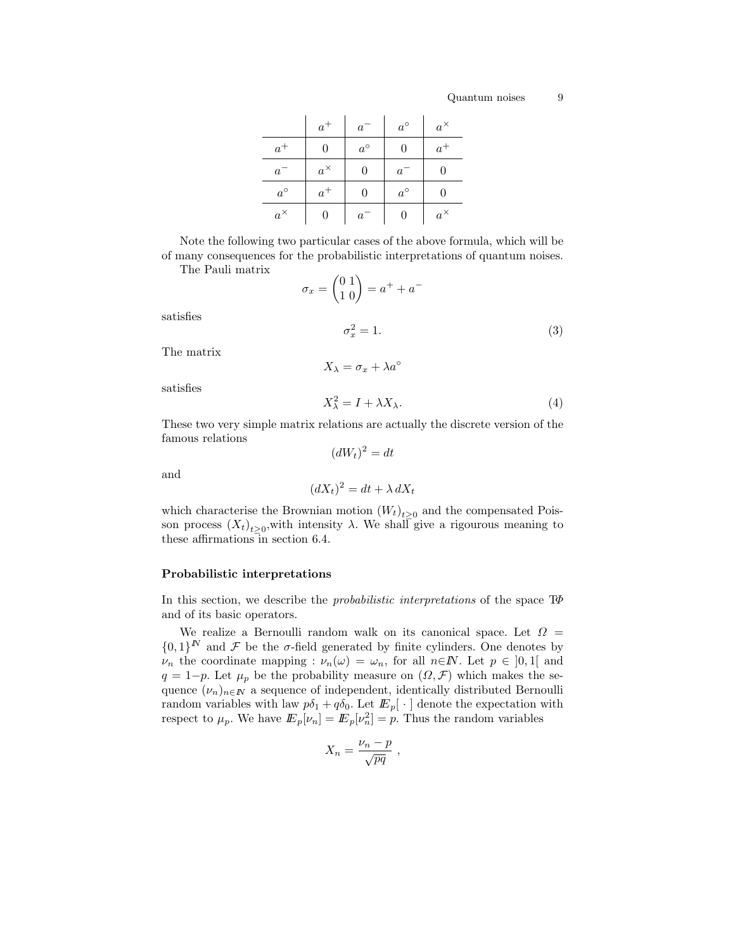|              | $a^+$        | $a^-$       | $a^{\circ}$    | $a^{\times}$ |
|--------------|--------------|-------------|----------------|--------------|
| $a^+$        |              | $a^{\circ}$ | $\overline{0}$ | $a^+$        |
| $a^-$        | $a^{\times}$ | 0           | $a^-$          |              |
| $a^{\circ}$  | $a^+$        | 0           | $a^{\circ}$    |              |
| $a^{\times}$ |              | $a^-$       | $\overline{0}$ | $a^{\times}$ |

Note the following two particular cases of the above formula, which will be of many consequences for the probabilistic interpretations of quantum noises.

The Pauli matrix

$$
\sigma_x = \begin{pmatrix} 0 & 1 \\ 1 & 0 \end{pmatrix} = a^+ + a^-
$$

satisfies

$$
\sigma_x^2 = 1.\tag{3}
$$

satisfies

The matrix

$$
X_{\lambda}^2 = I + \lambda X_{\lambda}.\tag{4}
$$

These two very simple matrix relations are actually the discrete version of the famous relations  $(dW_t)^2 = dt$ 

 $X_{\lambda} = \sigma_x + \lambda a^{\circ}$ 

and

$$
(dX_t)^2 = dt + \lambda \, dX_t
$$

which characterise the Brownian motion  $(W_t)_{t\geq 0}$  and the compensated Poisson process  $(X_t)_{t\geq 0}$ , with intensity  $\lambda$ . We shall give a rigourous meaning to these affirmations in section 6.4.

# Probabilistic interpretations

In this section, we describe the probabilistic interpretations of the space TΦ and of its basic operators.

We realize a Bernoulli random walk on its canonical space. Let  $\Omega =$  $\{0,1\}^N$  and  $\mathcal F$  be the  $\sigma$ -field generated by finite cylinders. One denotes by  $\nu_n$  the coordinate mapping :  $\nu_n(\omega) = \omega_n$ , for all  $n \in \mathbb{N}$ . Let  $p \in [0,1]$  and  $q = 1-p$ . Let  $\mu_p$  be the probability measure on  $(\Omega, \mathcal{F})$  which makes the sequence  $(\nu_n)_{n\in\mathbb{N}}$  a sequence of independent, identically distributed Bernoulli random variables with law  $p\delta_1 + q\delta_0$ . Let  $\mathbb{E}_p[\cdot]$  denote the expectation with respect to  $\mu_p$ . We have  $I\!\!E_p[\nu_n] = I\!\!E_p[\nu_n^2] = p$ . Thus the random variables

$$
X_n = \frac{\nu_n - p}{\sqrt{pq}} \ ,
$$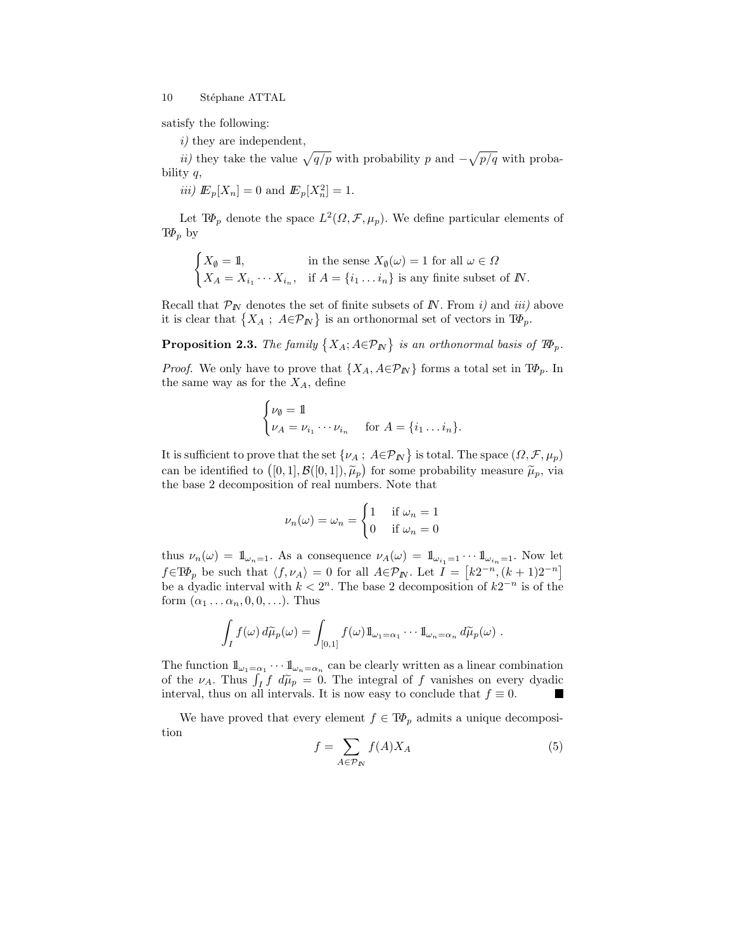satisfy the following:

i) they are independent,

*ii*) they take the value  $\sqrt{q/p}$  with probability p and  $-\sqrt{p/q}$  with probability  $q$ ,

*iii*)  $E_p[X_n] = 0$  and  $E_p[X_n^2] = 1$ .

Let  $\mathbb{T}\Phi_p$  denote the space  $L^2(\Omega, \mathcal{F}, \mu_p)$ . We define particular elements of  $\Phi_p$  by

$$
\begin{cases} X_{\emptyset} = 1, & \text{in the sense } X_{\emptyset}(\omega) = 1 \text{ for all } \omega \in \Omega \\ X_A = X_{i_1} \cdots X_{i_n}, & \text{if } A = \{i_1 \ldots i_n\} \text{ is any finite subset of } \mathbb{N}. \end{cases}
$$

Recall that  $\mathcal{P}_N$  denotes the set of finite subsets of N. From i) and iii) above it is clear that  $\{X_A; A \in \mathcal{P}_N\}$  is an orthonormal set of vectors in  $\mathbb{T}\Phi_p$ .

**Proposition 2.3.** The family  $\{X_A; A \in \mathcal{P}_N\}$  is an orthonormal basis of  $\mathbb{F}_p$ .

*Proof.* We only have to prove that  $\{X_A, A \in \mathcal{P}_N\}$  forms a total set in  $\mathbb{T}\Phi_p$ . In the same way as for the  $X_A$ , define

$$
\begin{cases} \nu_{\emptyset} = 1 & \text{if } \nu_A = \nu_{i_1} \cdots \nu_{i_n} \quad \text{for } A = \{i_1 \ldots i_n\}. \end{cases}
$$

It is sufficient to prove that the set  $\{\nu_A; A \in \mathcal{P}_N\}$  is total. The space  $(\Omega, \mathcal{F}, \mu_p)$ can be identified to  $([0,1], \mathcal{B}([0,1]), \tilde{\mu}_p)$  for some probability measure  $\tilde{\mu}_p$ , via<br>the base 2 decomposition of roal numbers. Note that the base 2 decomposition of real numbers. Note that

$$
\nu_n(\omega) = \omega_n = \begin{cases} 1 & \text{if } \omega_n = 1 \\ 0 & \text{if } \omega_n = 0 \end{cases}
$$

thus  $\nu_n(\omega) = \mathbb{1}_{\omega_n=1}$ . As a consequence  $\nu_A(\omega) = \mathbb{1}_{\omega_{i_1}=1} \cdots \mathbb{1}_{\omega_{i_n}=1}$ . Now let  $f \in \mathbb{T} \Phi_p$  be such that  $\langle f, \nu_A \rangle = 0$  for all  $A \in \mathcal{P}_N$ . Let  $I = [k2^{-n}, (k+1)2^{-n}]$ be a dyadic interval with  $k < 2<sup>n</sup>$ . The base 2 decomposition of  $k2<sup>-n</sup>$  is of the form  $(\alpha_1 \ldots \alpha_n, 0, 0, \ldots)$ . Thus

$$
\int_I f(\omega) d\widetilde{\mu}_p(\omega) = \int_{[0,1]} f(\omega) 1\!\!1_{\omega_1 = \alpha_1} \cdots 1\!\!1_{\omega_n = \alpha_n} d\widetilde{\mu}_p(\omega) .
$$

The function  $1\!\!1_{\omega_1=\alpha_1}\cdots1\!\!1_{\omega_n=\alpha_n}$  can be clearly written as a linear combination of the  $\nu_A$ . Thus  $\int_I f \ d\tilde{\mu}_p = 0$ . The integral of f vanishes on every dyadic interval, thus on all intervals. It is now easy to conclude that  $f = 0$ . interval, thus on all intervals. It is now easy to conclude that  $f \equiv 0$ .

We have proved that every element  $f \in \Psi_p$  admits a unique decomposition

$$
f = \sum_{A \in \mathcal{P}_N} f(A) X_A \tag{5}
$$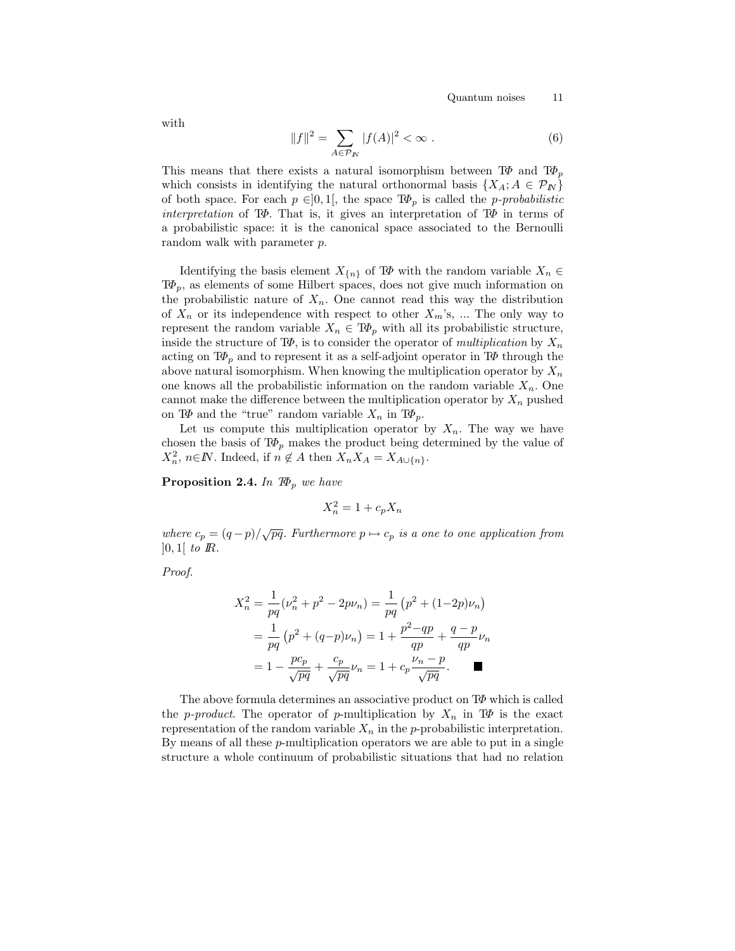$$
||f||^2 = \sum_{A \in \mathcal{P}_N} |f(A)|^2 < \infty \tag{6}
$$

This means that there exists a natural isomorphism between  $T\Phi$  and  $T\Phi_p$ which consists in identifying the natural orthonormal basis  $\{X_A; A \in \mathcal{P}_N\}$ of both space. For each  $p \in ]0,1[$ , the space  $\mathbb{T}\Phi_p$  is called the *p-probabilistic interpretation* of T $\Phi$ . That is, it gives an interpretation of T $\Phi$  in terms of a probabilistic space: it is the canonical space associated to the Bernoulli random walk with parameter p.

Identifying the basis element  $X_{\{n\}}$  of TΦ with the random variable  $X_n \in$  $T\Phi_p$ , as elements of some Hilbert spaces, does not give much information on the probabilistic nature of  $X_n$ . One cannot read this way the distribution of  $X_n$  or its independence with respect to other  $X_m$ 's, ... The only way to represent the random variable  $X_n \in \Psi_p$  with all its probabilistic structure, inside the structure of T $\Phi$ , is to consider the operator of *multiplication* by  $X_n$ acting on  $\mathbb{T} \Phi_p$  and to represent it as a self-adjoint operator in  $\mathbb{T} \Phi$  through the above natural isomorphism. When knowing the multiplication operator by  $X_n$ one knows all the probabilistic information on the random variable  $X_n$ . One cannot make the difference between the multiplication operator by  $X_n$  pushed on T $\Phi$  and the "true" random variable  $X_n$  in T $\Phi_p$ .

Let us compute this multiplication operator by  $X_n$ . The way we have chosen the basis of  $\mathbb{T}\Phi_p$  makes the product being determined by the value of  $X_n^2$ ,  $n \in \mathbb{N}$ . Indeed, if  $n \notin A$  then  $X_n X_A = X_{A \cup \{n\}}$ .

**Proposition 2.4.** In  $\mathbb{F}_p$  we have

$$
X_n^2 = 1 + c_p X_n
$$

where  $c_p = (q-p)/\sqrt{pq}$ . Furthermore  $p \mapsto c_p$  is a one to one application from  $]0,1[$  to  $I\!R$ .

Proof.

$$
X_n^2 = \frac{1}{pq} (\nu_n^2 + p^2 - 2p\nu_n) = \frac{1}{pq} (p^2 + (1 - 2p)\nu_n)
$$
  
=  $\frac{1}{pq} (p^2 + (q - p)\nu_n) = 1 + \frac{p^2 - qp}{qp} + \frac{q - p}{qp}\nu_n$   
=  $1 - \frac{pc_p}{\sqrt{pq}} + \frac{c_p}{\sqrt{pq}}\nu_n = 1 + c_p \frac{\nu_n - p}{\sqrt{pq}}.$ 

The above formula determines an associative product on  $T\Phi$  which is called the p-product. The operator of p-multiplication by  $X_n$  in T $\Phi$  is the exact representation of the random variable  $X_n$  in the p-probabilistic interpretation. By means of all these  $p$ -multiplication operators we are able to put in a single structure a whole continuum of probabilistic situations that had no relation

with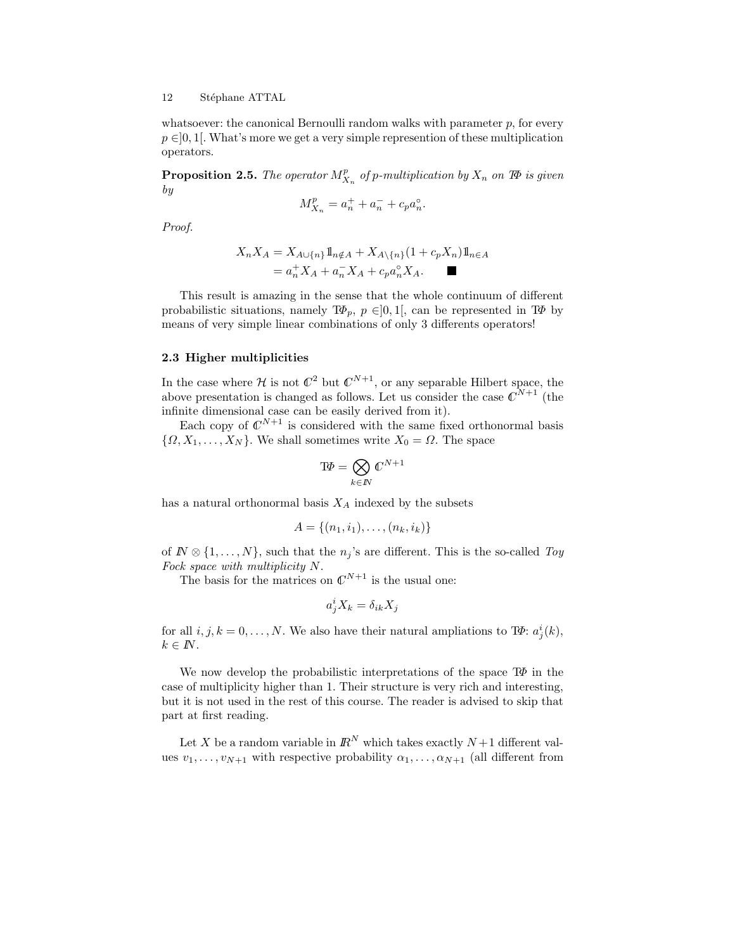whatsoever: the canonical Bernoulli random walks with parameter  $p$ , for every  $p \in ]0,1[$ . What's more we get a very simple represention of these multiplication operators.

**Proposition 2.5.** The operator  $M_{X_n}^p$  of p-multiplication by  $X_n$  on  $\overline{P}$  is given by

$$
M_{X_n}^p=a_n^++a_n^-+c_pa_n^\circ.
$$

Proof.

$$
X_n X_A = X_{A \cup \{n\}} 1_{n \notin A} + X_{A \setminus \{n\}} (1 + c_p X_n) 1_{n \in A}
$$
  
=  $a_n^+ X_A + a_n^- X_A + c_p a_n^{\circ} X_A$ .

This result is amazing in the sense that the whole continuum of different probabilistic situations, namely  $\mathbb{T}\Phi_p$ ,  $p \in ]0,1[$ , can be represented in  $\mathbb{T}\Phi$  by means of very simple linear combinations of only 3 differents operators!

# 2.3 Higher multiplicities

In the case where H is not  $\mathbb{C}^2$  but  $\mathbb{C}^{N+1}$ , or any separable Hilbert space, the above presentation is changed as follows. Let us consider the case  $\mathbb{C}^{N+1}$  (the infinite dimensional case can be easily derived from it).

Each copy of  $\mathbb{C}^{N+1}$  is considered with the same fixed orthonormal basis  $\{\Omega, X_1, \ldots, X_N\}$ . We shall sometimes write  $X_0 = \Omega$ . The space

$$
\mathrm{T}\!\varPhi=\bigotimes_{k\in I\!\!N}\mathbb{C}^{N+1}
$$

has a natural orthonormal basis  $X_A$  indexed by the subsets

$$
A = \{(n_1, i_1), \dots, (n_k, i_k)\}
$$

of  $\mathbb{N} \otimes \{1, \ldots, N\}$ , such that the  $n_j$ 's are different. This is the so-called Toy Fock space with multiplicity N.

The basis for the matrices on  $\mathbb{C}^{N+1}$  is the usual one:

$$
a_j^i X_k = \delta_{ik} X_j
$$

for all  $i, j, k = 0, ..., N$ . We also have their natural ampliations to TP:  $a_j^i(k)$ ,  $k \in I\!\!N$ .

We now develop the probabilistic interpretations of the space  $T\Phi$  in the case of multiplicity higher than 1. Their structure is very rich and interesting, but it is not used in the rest of this course. The reader is advised to skip that part at first reading.

Let X be a random variable in  $\mathbb{R}^N$  which takes exactly  $N+1$  different values  $v_1, \ldots, v_{N+1}$  with respective probability  $\alpha_1, \ldots, \alpha_{N+1}$  (all different from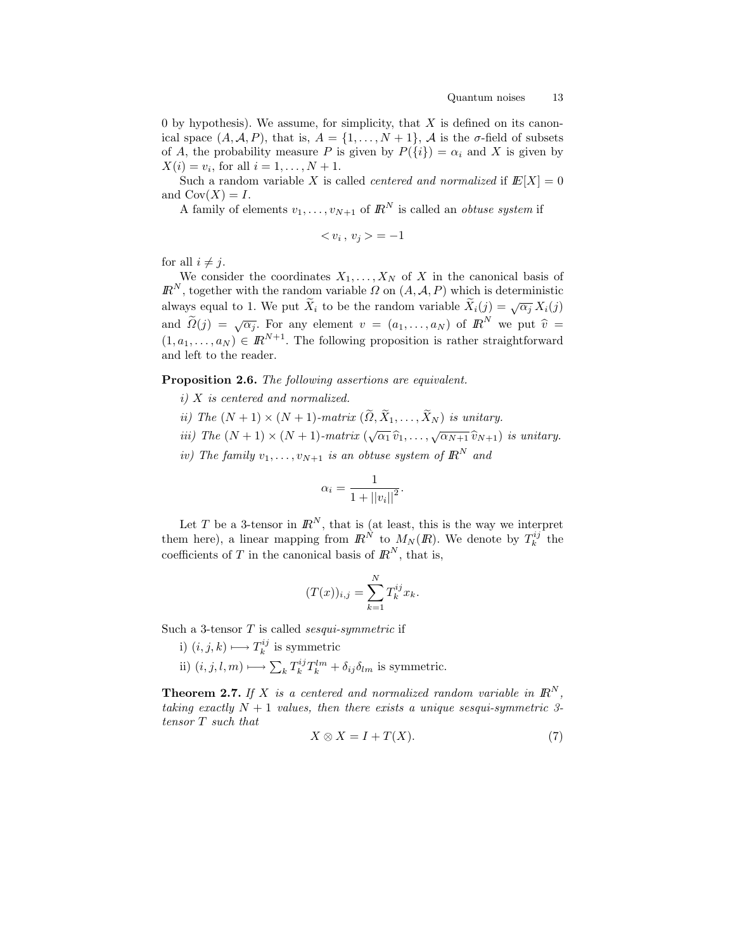0 by hypothesis). We assume, for simplicity, that  $X$  is defined on its canonical space  $(A, \mathcal{A}, P)$ , that is,  $A = \{1, \ldots, N + 1\}$ ,  $\mathcal{A}$  is the  $\sigma$ -field of subsets of A, the probability measure P is given by  $P({i}) = \alpha_i$  and X is given by  $X(i) = v_i$ , for all  $i = 1, ..., N + 1$ .

Such a random variable X is called *centered and normalized* if  $E[X] = 0$ and  $Cov(X) = I$ .

A family of elements  $v_1, \ldots, v_{N+1}$  of  $\mathbb{R}^N$  is called an *obtuse system* if

$$
\langle v_i, v_j \rangle = -1
$$

for all  $i \neq j$ .

We consider the coordinates  $X_1, \ldots, X_N$  of X in the canonical basis of  $\mathbb{R}^N$ , together with the random variable  $\Omega$  on  $(A, \mathcal{A}, P)$  which is deterministic always equal to 1. We put  $\widetilde{X}_i$  to be the random variable  $\widetilde{X}_i(j) = \sqrt{\alpha_i} X_i(j)$ and  $\widetilde{\Omega}(j) = \sqrt{\alpha_j}$ . For any element  $v = (a_1, \ldots, a_N)$  of  $\mathbb{R}^N$  we put  $\widehat{v} =$  $(1, a_1, \ldots, a_N) \in \mathbb{R}^{N+1}$ . The following proposition is rather straightforward and left to the reader.

Proposition 2.6. The following assertions are equivalent.

i) X is centered and normalized.

- ii) The  $(N + 1) \times (N + 1)$ -matrix  $(\widetilde{\Omega}, \widetilde{X}_1, \ldots, \widetilde{X}_N)$  is unitary.
- iii) The  $(N + 1) \times (N + 1)$ -matrix  $(\sqrt{\alpha_1} \hat{v}_1, \dots, \sqrt{\alpha_{N+1}} \hat{v}_{N+1})$  is unitary.
- iv) The family  $v_1, \ldots, v_{N+1}$  is an obtuse system of  $\mathbb{R}^N$  and

$$
\alpha_i = \frac{1}{1 + ||v_i||^2}.
$$

Let T be a 3-tensor in  $\mathbb{R}^N$ , that is (at least, this is the way we interpret them here), a linear mapping from  $\mathbb{R}^N$  to  $M_N(\mathbb{R})$ . We denote by  $T_k^{ij}$  the coefficients of T in the canonical basis of  $\mathbb{R}^N$ , that is,

$$
(T(x))_{i,j} = \sum_{k=1}^{N} T_k^{ij} x_k.
$$

Such a 3-tensor  $T$  is called *sesqui-symmetric* if

i)  $(i, j, k)$   $\longmapsto T_k^{ij}$  is symmetric

ii)  $(i, j, l, m) \mapsto \sum_{k} T_{k}^{ij} T_{k}^{lm} + \delta_{ij} \delta_{lm}$  is symmetric.

**Theorem 2.7.** If X is a centered and normalized random variable in  $\mathbb{R}^N$ , taking exactly  $N + 1$  values, then there exists a unique sesqui-symmetric 3tensor T such that

$$
X \otimes X = I + T(X). \tag{7}
$$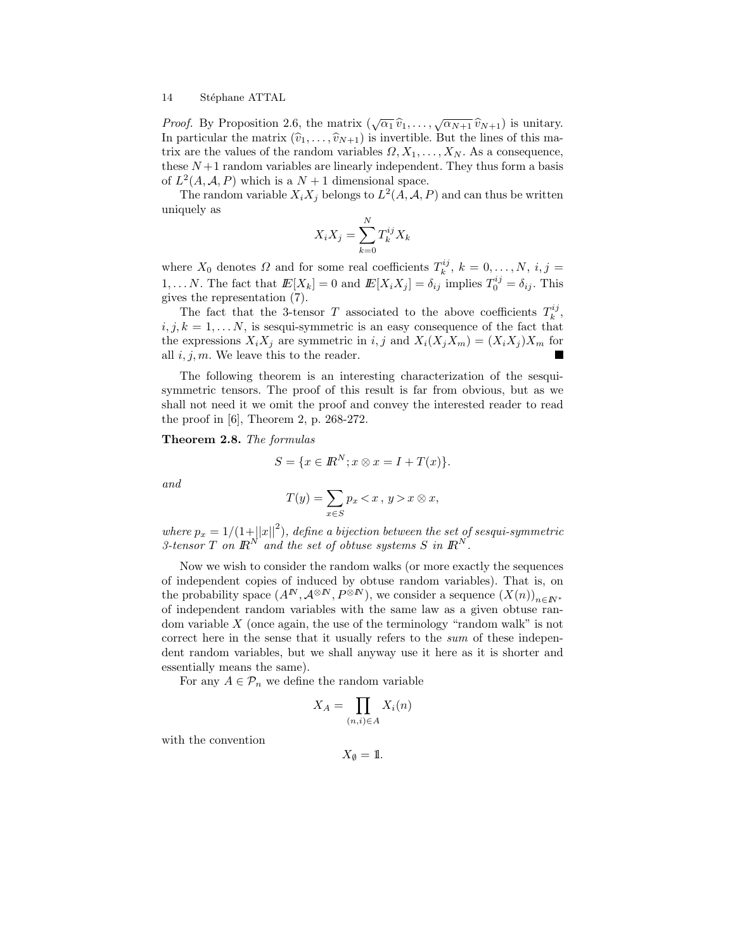*Proof.* By Proposition 2.6, the matrix  $(\sqrt{\alpha_1} \hat{v}_1, \dots, \sqrt{\alpha_{N+1}} \hat{v}_{N+1})$  is unitary. In particular the matrix  $(\hat{v}_1, \ldots, \hat{v}_{N+1})$  is invertible. But the lines of this matrix are the values of the random variables  $\Omega, X_1, \ldots, X_N$ . As a consequence, these  $N+1$  random variables are linearly independent. They thus form a basis of  $L^2(A, \mathcal{A}, P)$  which is a  $N + 1$  dimensional space.

The random variable  $X_i X_j$  belongs to  $L^2(A, \mathcal{A}, P)$  and can thus be written uniquely as

$$
X_i X_j = \sum_{k=0}^N T_k^{ij} X_k
$$

where  $X_0$  denotes  $\Omega$  and for some real coefficients  $T_k^{ij}$ ,  $k = 0, ..., N$ ,  $i, j =$ 1,... N. The fact that  $I\!\!E[X_k] = 0$  and  $I\!\!E[X_i X_j] = \delta_{ij}$  implies  $T_0^{ij} = \delta_{ij}$ . This gives the representation (7).

The fact that the 3-tensor T associated to the above coefficients  $T_k^{ij}$ ,  $i, j, k = 1, \ldots N$ , is sesqui-symmetric is an easy consequence of the fact that the expressions  $X_i X_j$  are symmetric in i, j and  $X_i(X_j X_m) = (X_i X_j) X_m$  for all  $i, j, m$ . We leave this to the reader.

The following theorem is an interesting characterization of the sesquisymmetric tensors. The proof of this result is far from obvious, but as we shall not need it we omit the proof and convey the interested reader to read the proof in [6], Theorem 2, p. 268-272.

Theorem 2.8. The formulas

$$
S = \{x \in \mathbb{R}^N; x \otimes x = I + T(x)\}.
$$

and

$$
T(y) = \sum_{x \in S} p_x < x \, y > x \otimes x,
$$

where  $p_x = 1/(1 + ||x||^2)$ , define a bijection between the set of sesqui-symmetric 3-tensor T on  $\mathbb{R}^N$  and the set of obtuse systems S in  $\mathbb{R}^N$ .

Now we wish to consider the random walks (or more exactly the sequences of independent copies of induced by obtuse random variables). That is, on the probability space  $(A^N, \mathcal{A}^{\otimes N}, P^{\otimes N})$ , we consider a sequence  $(X(n))_{n \in \mathbb{N}^*}$ of independent random variables with the same law as a given obtuse random variable  $X$  (once again, the use of the terminology "random walk" is not correct here in the sense that it usually refers to the sum of these independent random variables, but we shall anyway use it here as it is shorter and essentially means the same).

For any  $A \in \mathcal{P}_n$  we define the random variable

$$
X_A = \prod_{(n,i)\in A} X_i(n)
$$

with the convention

 $X_{\emptyset} = \mathbb{1}.$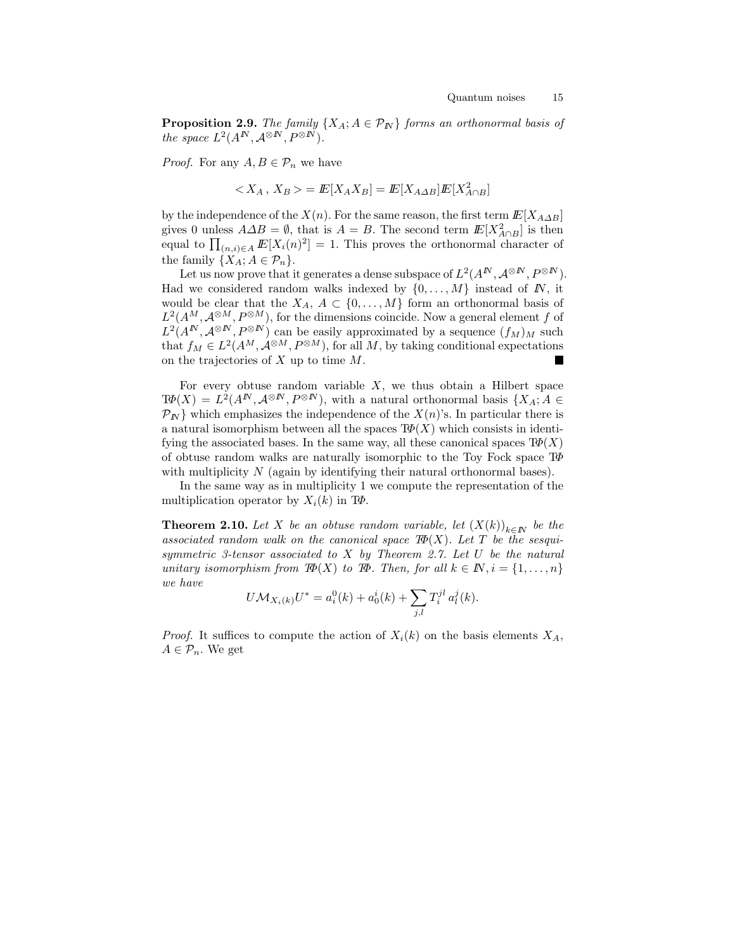**Proposition 2.9.** The family  $\{X_A; A \in \mathcal{P}_N\}$  forms an orthonormal basis of the space  $L^2(A^N, \mathcal{A}^{\otimes N}, P^{\otimes N}).$ 

*Proof.* For any  $A, B \in \mathcal{P}_n$  we have

$$
\langle X_A, X_B \rangle = \mathbb{E}[X_A X_B] = \mathbb{E}[X_{A \Delta B}] \mathbb{E}[X_{A \cap B}^2]
$$

by the independence of the  $X(n)$ . For the same reason, the first term  $E[X_{A\Delta B}]$ gives 0 unless  $A\Delta B = \emptyset$ , that is  $A = B$ . The second term  $E[X_{A\cap B}^2]$  is then equal to  $\prod_{(n,i)\in A} E[X_i(n)^2] = 1$ . This proves the orthonormal character of the family  $\{X_A; A \in \mathcal{P}_n\}.$ 

Let us now prove that it generates a dense subspace of  $L^2(A^N, \mathcal{A}^{\otimes N}, P^{\otimes N})$ . Had we considered random walks indexed by  $\{0, \ldots, M\}$  instead of  $\mathbb{N}$ , it would be clear that the  $X_A$ ,  $A \subset \{0, ..., M\}$  form an orthonormal basis of  $L^2(A^M, \mathcal{A}^{\otimes M}, P^{\otimes M})$ , for the dimensions coincide. Now a general element f of  $L^2(A^N, \mathcal{A}^{\otimes N}, P^{\otimes N})$  can be easily approximated by a sequence  $(f_M)_M$  such that  $f_M \in L^2(A^M, \mathcal{A}^{\otimes M}, P^{\otimes M})$ , for all M, by taking conditional expectations on the trajectories of  $X$  up to time  $M$ .

For every obtuse random variable  $X$ , we thus obtain a Hilbert space  $\Pi \Phi(X) = L^2(A^N, \mathcal{A}^{\otimes N}, P^{\otimes N}),$  with a natural orthonormal basis  $\{X_A; A \in$  $\mathcal{P}_N$  which emphasizes the independence of the  $X(n)$ 's. In particular there is a natural isomorphism between all the spaces  $T\Phi(X)$  which consists in identifying the associated bases. In the same way, all these canonical spaces  $T\Phi(X)$ of obtuse random walks are naturally isomorphic to the Toy Fock space  $T\Phi$ with multiplicity  $N$  (again by identifying their natural orthonormal bases).

In the same way as in multiplicity 1 we compute the representation of the multiplication operator by  $X_i(k)$  in T $\Phi$ .

**Theorem 2.10.** Let X be an obtuse random variable, let  $(X(k))_{k\in\mathbb{N}}$  be the associated random walk on the canonical space  $T\Phi(X)$ . Let T be the sesquisymmetric 3-tensor associated to X by Theorem 2.7. Let U be the natural unitary isomorphism from  $\mathbb{T}\Phi(X)$  to  $\mathbb{T}\Phi$ . Then, for all  $k \in \mathbb{N}, i = \{1, \ldots, n\}$ we have

$$
U\mathcal{M}_{X_i(k)}U^* = a_i^0(k) + a_0^i(k) + \sum_{j,l} T_i^{jl} a_l^j(k).
$$

*Proof.* It suffices to compute the action of  $X_i(k)$  on the basis elements  $X_A$ ,  $A \in \mathcal{P}_n$ . We get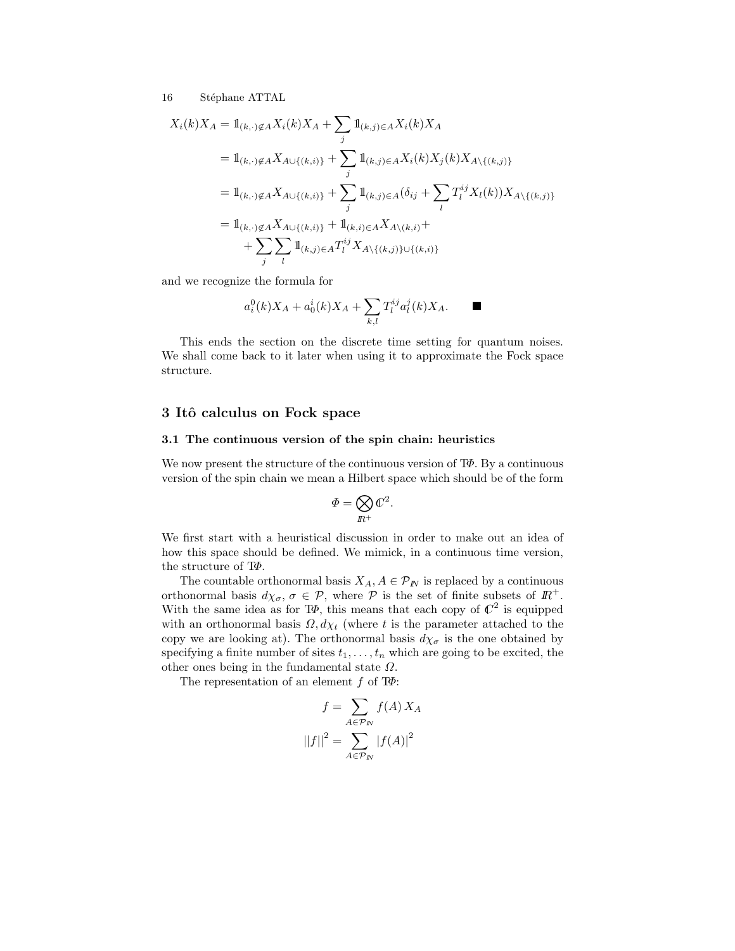$$
X_i(k)X_A = 1\!\!1_{(k, \cdot) \notin A} X_i(k)X_A + \sum_j 1\!\!1_{(k, j) \in A} X_i(k)X_A
$$
  
\n
$$
= 1\!\!1_{(k, \cdot) \notin A} X_{A \cup \{(k, i)\}} + \sum_j 1\!\!1_{(k, j) \in A} X_i(k)X_j(k)X_{A \setminus \{(k, j)\}}
$$
  
\n
$$
= 1\!\!1_{(k, \cdot) \notin A} X_{A \cup \{(k, i)\}} + \sum_j 1\!\!1_{(k, j) \in A} (\delta_{ij} + \sum_l T_l^{ij} X_l(k))X_{A \setminus \{(k, j)\}}
$$
  
\n
$$
= 1\!\!1_{(k, \cdot) \notin A} X_{A \cup \{(k, i)\}} + 1\!\!1_{(k, i) \in A} X_{A \setminus (k, i)} + \sum_j \sum_l 1\!\!1_{(k, j) \in A} T_l^{ij} X_{A \setminus \{(k, j)\} \cup \{(k, i)\}}
$$

and we recognize the formula for

$$
a_i^0(k)X_A+a_0^i(k)X_A+\sum_{k,l}T_l^{ij}a_l^j(k)X_A. \qquad \blacksquare
$$

This ends the section on the discrete time setting for quantum noises. We shall come back to it later when using it to approximate the Fock space structure.

# 3 Itô calculus on Fock space

#### 3.1 The continuous version of the spin chain: heuristics

We now present the structure of the continuous version of TΦ. By a continuous version of the spin chain we mean a Hilbert space which should be of the form

$$
\varPhi=\bigotimes_{I\!\!R^+} \mathbb{C}^2.
$$

We first start with a heuristical discussion in order to make out an idea of how this space should be defined. We mimick, in a continuous time version, the structure of TΦ.

The countable orthonormal basis  $X_A, A \in \mathcal{P}_N$  is replaced by a continuous orthonormal basis  $d\chi_{\sigma}$ ,  $\sigma \in \mathcal{P}$ , where  $\mathcal P$  is the set of finite subsets of  $\mathbb{R}^+$ . With the same idea as for T $\Phi$ , this means that each copy of  $\mathbb{C}^2$  is equipped with an orthonormal basis  $\Omega, d\chi_t$  (where t is the parameter attached to the copy we are looking at). The orthonormal basis  $d\chi_{\sigma}$  is the one obtained by specifying a finite number of sites  $t_1, \ldots, t_n$  which are going to be excited, the other ones being in the fundamental state  $\Omega$ .

The representation of an element f of  $T\Phi$ :

$$
f = \sum_{A \in \mathcal{P}_N} f(A) X_A
$$

$$
||f||^2 = \sum_{A \in \mathcal{P}_N} |f(A)|^2
$$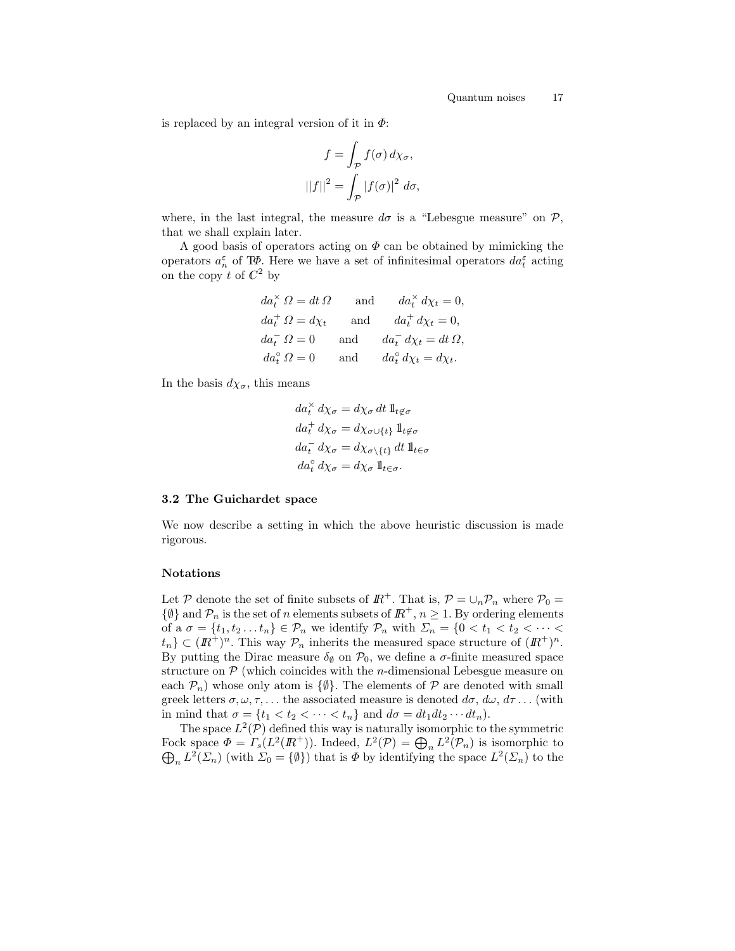is replaced by an integral version of it in  $\Phi$ :

$$
f = \int_{\mathcal{P}} f(\sigma) d\chi_{\sigma},
$$

$$
||f||^2 = \int_{\mathcal{P}} |f(\sigma)|^2 d\sigma,
$$

where, in the last integral, the measure  $d\sigma$  is a "Lebesgue measure" on  $\mathcal{P}$ , that we shall explain later.

A good basis of operators acting on  $\Phi$  can be obtained by mimicking the operators  $a_n^{\varepsilon}$  of T $\underline{\Phi}$ . Here we have a set of infinitesimal operators  $da_t^{\varepsilon}$  acting on the copy t of  $\mathbb{C}^2$  by

| $da_t^{\times} \Omega = dt \Omega$ | and | $da_t^{\times} d\chi_t = 0,$      |
|------------------------------------|-----|-----------------------------------|
| $da_t^{\dagger} \Omega = d\chi_t$  | and | $da_t^{\dagger} d\chi_t = 0,$     |
| $da_t^T \Omega = 0$                | and | $da_t^- d\chi_t = dt \Omega,$     |
| $da_t^{\circ} \Omega = 0$          | and | $da_t^{\circ} d\chi_t = d\chi_t.$ |

In the basis  $d\chi_{\sigma}$ , this means

$$
da_t^{\times} d\chi_{\sigma} = d\chi_{\sigma} dt \, \mathbb{1}_{t \notin \sigma}
$$

$$
da_t^+ d\chi_{\sigma} = d\chi_{\sigma \cup \{t\}} \, \mathbb{1}_{t \notin \sigma}
$$

$$
da_t^- d\chi_{\sigma} = d\chi_{\sigma \setminus \{t\}} dt \, \mathbb{1}_{t \in \sigma}
$$

$$
da_t^{\circ} d\chi_{\sigma} = d\chi_{\sigma} \, \mathbb{1}_{t \in \sigma}.
$$

#### 3.2 The Guichardet space

We now describe a setting in which the above heuristic discussion is made rigorous.

# Notations

Let P denote the set of finite subsets of  $\mathbb{R}^+$ . That is,  $\mathcal{P} = \cup_n \mathcal{P}_n$  where  $\mathcal{P}_0 =$  $\{\emptyset\}$  and  $\mathcal{P}_n$  is the set of n elements subsets of  $\mathbb{R}^+$ ,  $n \geq 1$ . By ordering elements of a  $\sigma = \{t_1, t_2, \ldots, t_n\} \in \mathcal{P}_n$  we identify  $\mathcal{P}_n$  with  $\Sigma_n = \{0 < t_1 < t_2 < \cdots < t_n\}$  $\{t_n\} \subset (I\!\!R^+)^n$ . This way  $\mathcal{P}_n$  inherits the measured space structure of  $(I\!\!R^+)^n$ . By putting the Dirac measure  $\delta_{\emptyset}$  on  $\mathcal{P}_{0}$ , we define a  $\sigma$ -finite measured space structure on  $P$  (which coincides with the *n*-dimensional Lebesgue measure on each  $\mathcal{P}_n$ ) whose only atom is  $\{\emptyset\}$ . The elements of  $\mathcal P$  are denoted with small greek letters  $\sigma, \omega, \tau, \ldots$  the associated measure is denoted  $d\sigma, d\omega, d\tau \ldots$  (with in mind that  $\sigma = \{t_1 < t_2 < \cdots < t_n\}$  and  $d\sigma = dt_1 dt_2 \cdots dt_n$ .

The space  $L^2(\mathcal{P})$  defined this way is naturally isomorphic to the symmetric Fock space  $\Phi = \Gamma_s(L^2(\mathbb{R}^+))$ . Indeed,  $L^2(\mathcal{P}) = \bigoplus_n L^2(\mathcal{P}_n)$  is isomorphic to  $\bigoplus_n L^2(\Sigma_n)$  (with  $\Sigma_0 = \{\emptyset\}$ ) that is  $\Phi$  by identifying the space  $L^2(\Sigma_n)$  to the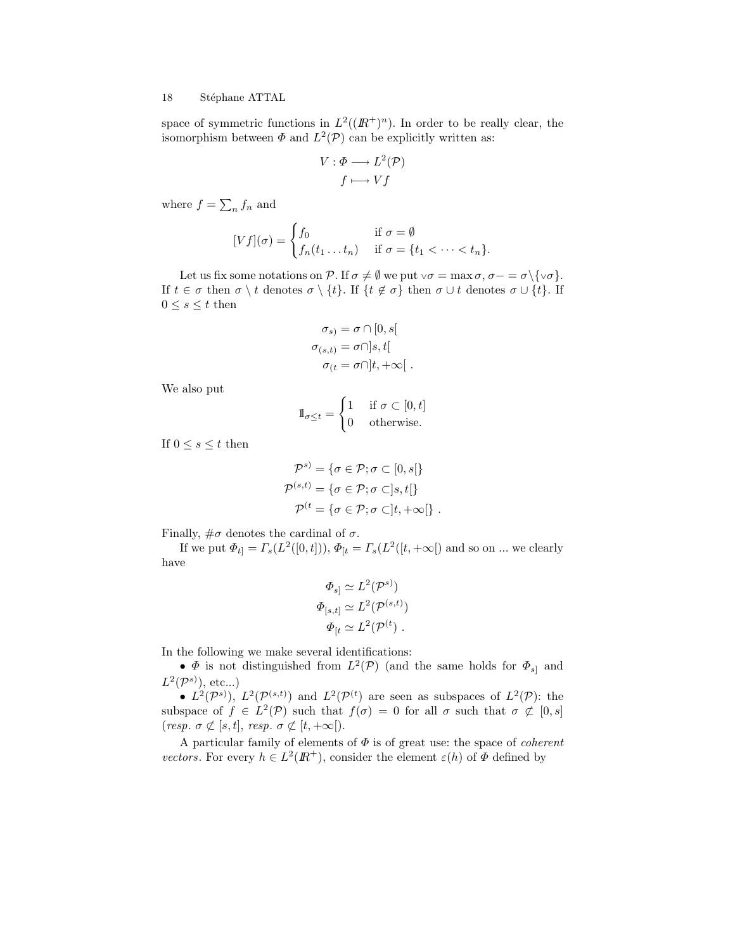space of symmetric functions in  $L^2((\mathbb{R}^+)^n)$ . In order to be really clear, the isomorphism between  $\Phi$  and  $L^2(\mathcal{P})$  can be explicitly written as:

$$
V: \Phi \longrightarrow L^2(\mathcal{P})
$$

$$
f \longmapsto Vf
$$

where  $f = \sum_n f_n$  and

$$
[Vf](\sigma) = \begin{cases} f_0 & \text{if } \sigma = \emptyset \\ f_n(t_1 \dots t_n) & \text{if } \sigma = \{t_1 < \dots < t_n\}. \end{cases}
$$

Let us fix some notations on P. If  $\sigma \neq \emptyset$  we put  $\forall \sigma = \max \sigma, \sigma - = \sigma \setminus {\forall \sigma}.$ If  $t \in \sigma$  then  $\sigma \setminus t$  denotes  $\sigma \setminus \{t\}$ . If  $\{t \notin \sigma\}$  then  $\sigma \cup t$  denotes  $\sigma \cup \{t\}$ . If  $0 \leq s \leq t$  then

$$
\sigma_s) = \sigma \cap [0, s[
$$

$$
\sigma_{(s,t)} = \sigma \cap ]s, t[
$$

$$
\sigma_{(t} = \sigma \cap ]t, +\infty[
$$

We also put

$$
1\!\!1_{\sigma \leq t} = \begin{cases} 1 & \text{if } \sigma \subset [0, t] \\ 0 & \text{otherwise.} \end{cases}
$$

If  $0\leq s\leq t$  then

$$
\mathcal{P}^{s} = \{ \sigma \in \mathcal{P}; \sigma \subset [0, s] \}
$$

$$
\mathcal{P}^{(s,t)} = \{ \sigma \in \mathcal{P}; \sigma \subset ]s, t[ \}
$$

$$
\mathcal{P}^{(t)} = \{ \sigma \in \mathcal{P}; \sigma \subset ]t, +\infty[ \} .
$$

Finally,  $\#\sigma$  denotes the cardinal of  $\sigma$ .

If we put  $\Phi_{t]} = \Gamma_s(L^2([0,t])), \Phi_{[t]} = \Gamma_s(L^2([t,+\infty[)$  and so on ... we clearly have

$$
\Phi_{s]} \simeq L^2(\mathcal{P}^s)
$$
  

$$
\Phi_{[s,t]} \simeq L^2(\mathcal{P}^{(s,t)})
$$
  

$$
\Phi_{[t} \simeq L^2(\mathcal{P}^{(t)}).
$$

In the following we make several identifications:

•  $\Phi$  is not distinguished from  $L^2(\mathcal{P})$  (and the same holds for  $\Phi_{s}$ ) and  $L^2(\mathcal{P}^s)$ , etc...)

•  $L^2(\mathcal{P}^{s})$ ,  $L^2(\mathcal{P}^{(s,t)})$  and  $L^2(\mathcal{P}^{(t)})$  are seen as subspaces of  $L^2(\mathcal{P})$ : the subspace of  $f \in L^2(\mathcal{P})$  such that  $f(\sigma) = 0$  for all  $\sigma$  such that  $\sigma \not\subset [0, s]$  $(resp. \ \sigma \not\subset [s, t], \ resp. \ \sigma \not\subset [t, +\infty])$ .

A particular family of elements of  $\Phi$  is of great use: the space of *coherent* vectors. For every  $h \in L^2(\mathbb{R}^+)$ , consider the element  $\varepsilon(h)$  of  $\Phi$  defined by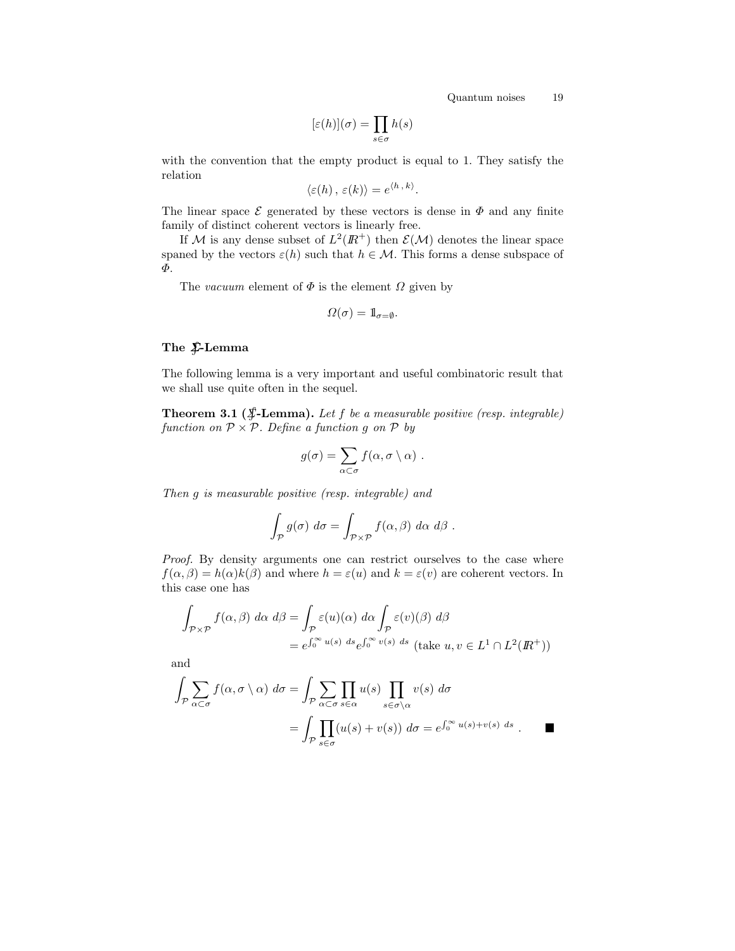Quantum noises 19

$$
[\varepsilon(h)](\sigma) = \prod_{s \in \sigma} h(s)
$$

with the convention that the empty product is equal to 1. They satisfy the relation

$$
\langle \varepsilon(h), \, \varepsilon(k) \rangle = e^{\langle h \, , \, k \rangle}.
$$

The linear space  $\mathcal E$  generated by these vectors is dense in  $\Phi$  and any finite family of distinct coherent vectors is linearly free.

If M is any dense subset of  $L^2(\mathbb{R}^+)$  then  $\mathcal{E}(\mathcal{M})$  denotes the linear space spaned by the vectors  $\varepsilon(h)$  such that  $h \in \mathcal{M}$ . This forms a dense subspace of Φ.

The *vacuum* element of  $\Phi$  is the element  $\Omega$  given by

$$
\Omega(\sigma) = 1\!\!1_{\sigma=\emptyset}.
$$

# The *\$*-Lemma

The following lemma is a very important and useful combinatoric result that we shall use quite often in the sequel.

**Theorem 3.1 (** $\oint$ **-Lemma).** Let f be a measurable positive (resp. integrable) function on  $P \times P$ . Define a function g on P by

$$
g(\sigma) = \sum_{\alpha \subset \sigma} f(\alpha, \sigma \setminus \alpha) .
$$

Then g is measurable positive (resp. integrable) and

$$
\int_{\mathcal{P}} g(\sigma) d\sigma = \int_{\mathcal{P} \times \mathcal{P}} f(\alpha, \beta) d\alpha d\beta.
$$

Proof. By density arguments one can restrict ourselves to the case where  $f(\alpha, \beta) = h(\alpha)k(\beta)$  and where  $h = \varepsilon(u)$  and  $k = \varepsilon(v)$  are coherent vectors. In this case one has

$$
\int_{\mathcal{P}\times\mathcal{P}} f(\alpha,\beta) \, d\alpha \, d\beta = \int_{\mathcal{P}} \varepsilon(u)(\alpha) \, d\alpha \int_{\mathcal{P}} \varepsilon(v)(\beta) \, d\beta
$$
\n
$$
= e^{\int_0^\infty u(s) \, ds} e^{\int_0^\infty v(s) \, ds} \text{ (take } u, v \in L^1 \cap L^2(\mathbb{R}^+))
$$

and

$$
\int_{\mathcal{P}} \sum_{\alpha \subset \sigma} f(\alpha, \sigma \setminus \alpha) d\sigma = \int_{\mathcal{P}} \sum_{\alpha \subset \sigma} \prod_{s \in \alpha} u(s) \prod_{s \in \sigma \setminus \alpha} v(s) d\sigma
$$

$$
= \int_{\mathcal{P}} \prod_{s \in \sigma} (u(s) + v(s)) d\sigma = e^{\int_0^{\infty} u(s) + v(s) ds} . \quad \blacksquare
$$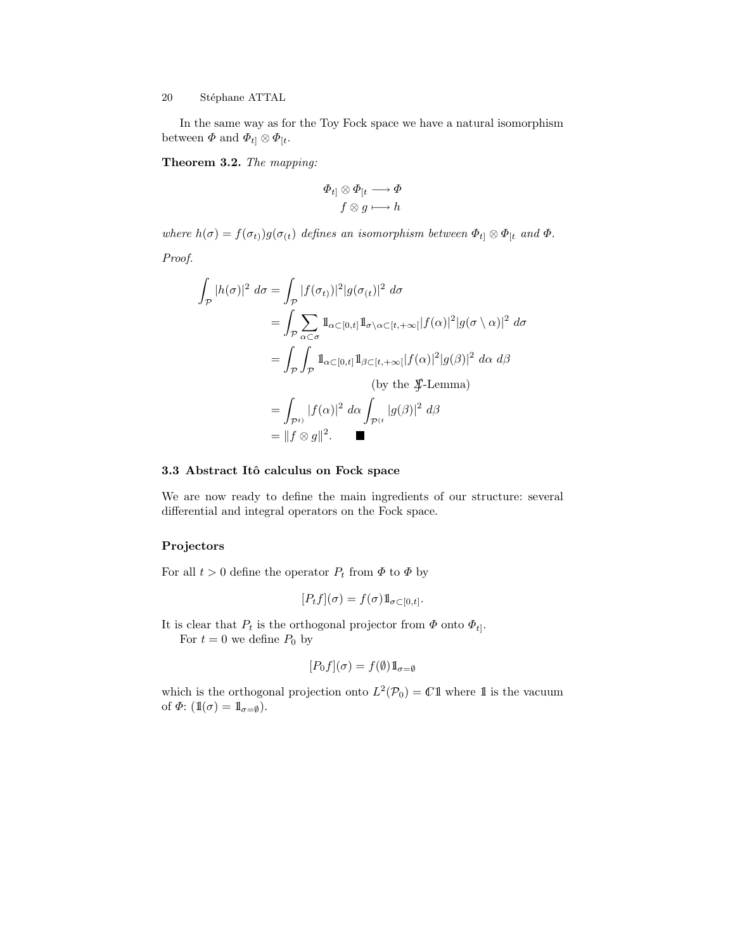In the same way as for the Toy Fock space we have a natural isomorphism between  $\Phi$  and  $\Phi_{t} \otimes \Phi_{[t]}$ .

Theorem 3.2. The mapping:

$$
\begin{aligned}\n\Phi_{t]} \otimes \Phi_{[t} &\longrightarrow \Phi \\
f \otimes g &\longmapsto h\n\end{aligned}
$$

where  $h(\sigma) = f(\sigma_t)g(\sigma_t)$  defines an isomorphism between  $\Phi_{t} \otimes \Phi_{t}$  and  $\Phi$ .

Proof.

$$
\int_{\mathcal{P}} |h(\sigma)|^2 d\sigma = \int_{\mathcal{P}} |f(\sigma_t)|^2 |g(\sigma_{(t)})|^2 d\sigma
$$
  
\n
$$
= \int_{\mathcal{P}} \sum_{\alpha \subset \sigma} \mathbb{1}_{\alpha \subset [0,t]} \mathbb{1}_{\sigma \setminus \alpha \subset [t,+\infty[} |f(\alpha)|^2 |g(\sigma \setminus \alpha)|^2 d\sigma
$$
  
\n
$$
= \int_{\mathcal{P}} \int_{\mathcal{P}} \mathbb{1}_{\alpha \subset [0,t]} \mathbb{1}_{\beta \subset [t,+\infty[} |f(\alpha)|^2 |g(\beta)|^2 d\alpha d\beta
$$
  
\n(by the  $\mathcal{F}$ -Lemma)  
\n
$$
= \int_{\mathcal{P}^{t}} |f(\alpha)|^2 d\alpha \int_{\mathcal{P}^{t}} |g(\beta)|^2 d\beta
$$
  
\n
$$
= ||f \otimes g||^2. \blacksquare
$$

# 3.3 Abstract Itô calculus on Fock space

We are now ready to define the main ingredients of our structure: several differential and integral operators on the Fock space.

# Projectors

For all  $t > 0$  define the operator  $P_t$  from  $\Phi$  to  $\Phi$  by

$$
[P_t f](\sigma) = f(\sigma) 1_{\sigma \subset [0,t]}.
$$

It is clear that  $P_t$  is the orthogonal projector from  $\Phi$  onto  $\Phi_{t}$ .

For  $t = 0$  we define  $P_0$  by

$$
[P_0 f](\sigma) = f(\emptyset) 1\!\!1_{\sigma = \emptyset}
$$

which is the orthogonal projection onto  $L^2(\mathcal{P}_0) = \mathbb{C} \mathbb{1}$  where  $\mathbb{1}$  is the vacuum of  $\Phi$ :  $(\mathbb{1}(\sigma) = \mathbb{1}_{\sigma=\emptyset})$ .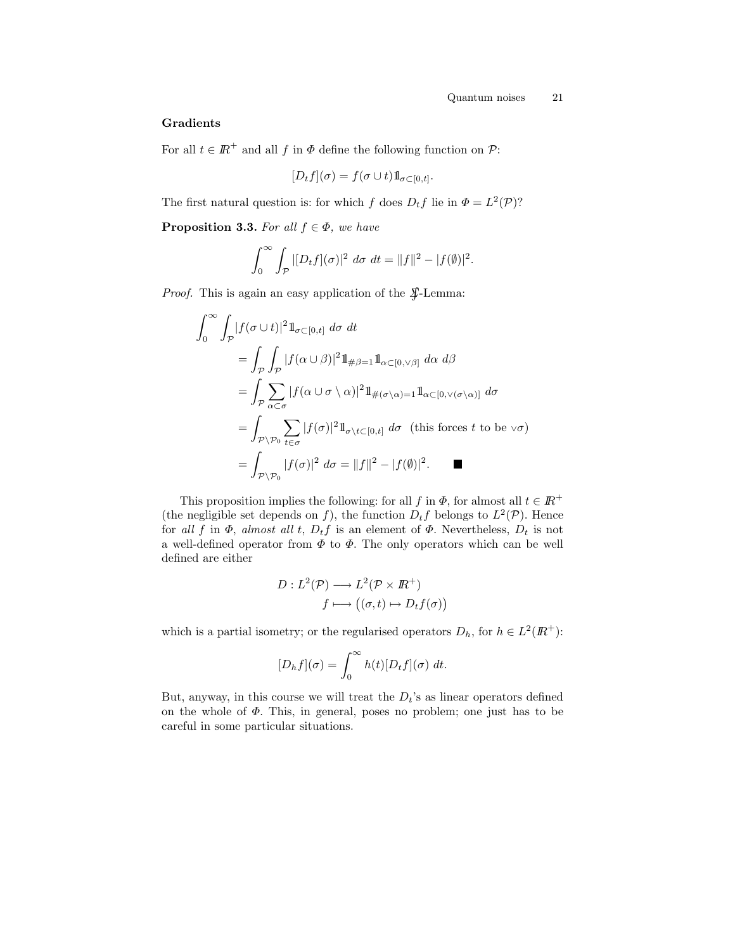# Gradients

For all  $t \in \mathbb{R}^+$  and all f in  $\Phi$  define the following function on  $\mathcal{P}$ :

$$
[D_t f](\sigma) = f(\sigma \cup t) 1_{\sigma \subset [0,t]}.
$$

The first natural question is: for which f does  $D_t f$  lie in  $\Phi = L^2(\mathcal{P})$ ?

**Proposition 3.3.** For all  $f \in \Phi$ , we have

$$
\int_0^{\infty} \int_{\mathcal{P}} |[D_t f](\sigma)|^2 \ d\sigma \ dt = ||f||^2 - |f(\emptyset)|^2.
$$

*Proof.* This is again an easy application of the  $\oint$ -Lemma:

$$
\int_0^\infty \int_{\mathcal{P}} |f(\sigma \cup t)|^2 1\!\!1_{\sigma \subset [0,t]} d\sigma dt
$$
  
= 
$$
\int_{\mathcal{P}} \int_{\mathcal{P}} |f(\alpha \cup \beta)|^2 1\!\!1_{\#\beta=1} 1\!\!1_{\alpha \subset [0,\vee\beta]} d\alpha d\beta
$$
  
= 
$$
\int_{\mathcal{P}} \sum_{\alpha \subset \sigma} |f(\alpha \cup \sigma \setminus \alpha)|^2 1\!\!1_{\#\{\sigma \setminus \alpha\} = 1} 1\!\!1_{\alpha \subset [0,\vee(\sigma \setminus \alpha)]} d\sigma
$$
  
= 
$$
\int_{\mathcal{P} \setminus \mathcal{P}_0} \sum_{t \in \sigma} |f(\sigma)|^2 1\!\!1_{\sigma \setminus t \subset [0,t]} d\sigma \text{ (this forces } t \text{ to be } \vee \sigma)
$$
  
= 
$$
\int_{\mathcal{P} \setminus \mathcal{P}_0} |f(\sigma)|^2 d\sigma = ||f||^2 - |f(\emptyset)|^2.
$$

This proposition implies the following: for all  $f$  in  $\Phi$ , for almost all  $t \in \mathbb{R}^+$ (the negligible set depends on f), the function  $D_t f$  belongs to  $L^2(\mathcal{P})$ . Hence for all f in  $\Phi$ , almost all t,  $D_t f$  is an element of  $\Phi$ . Nevertheless,  $D_t$  is not a well-defined operator from  $\Phi$  to  $\Phi$ . The only operators which can be well defined are either

$$
D: L^{2}(\mathcal{P}) \longrightarrow L^{2}(\mathcal{P} \times I\!\!R^{+})
$$

$$
f \longmapsto ((\sigma, t) \mapsto D_{t}f(\sigma))
$$

which is a partial isometry; or the regularised operators  $D_h$ , for  $h \in L^2(\mathbb{R}^+)$ :

$$
[D_h f](\sigma) = \int_0^\infty h(t) [D_t f](\sigma) dt.
$$

But, anyway, in this course we will treat the  $D_t$ 's as linear operators defined on the whole of  $\Phi$ . This, in general, poses no problem; one just has to be careful in some particular situations.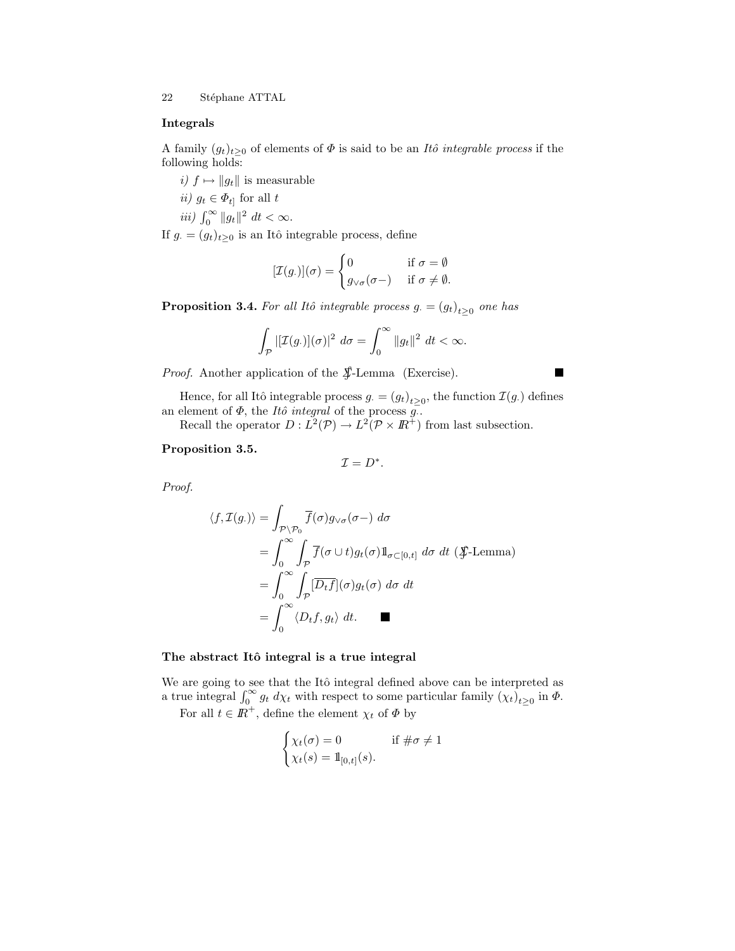# Integrals

A family  $(g_t)_{t\geq0}$  of elements of  $\Phi$  is said to be an Itô integrable process if the following holds:

i)  $f \mapsto ||g_t||$  is measurable

ii)  $g_t \in \Phi_{t}$  for all t

$$
iii) \int_0^\infty \|g_t\|^2 \ dt < \infty.
$$

If  $g = (g_t)_{t \geq 0}$  is an Itô integrable process, define

$$
[\mathcal{I}(g.)](\sigma) = \begin{cases} 0 & \text{if } \sigma = \emptyset \\ g_{\vee \sigma}(\sigma-) & \text{if } \sigma \neq \emptyset. \end{cases}
$$

**Proposition 3.4.** For all Itô integrable process  $g = (g_t)_{t \geq 0}$  one has

$$
\int_{\mathcal{P}} |[\mathcal{I}(g.)](\sigma)|^2 \, d\sigma = \int_0^\infty \|g_t\|^2 \, dt < \infty.
$$

*Proof.* Another application of the  $\oint$ -Lemma (Exercise).

Hence, for all Itô integrable process  $g = (g_t)_{t \geq 0}$ , the function  $\mathcal{I}(g)$  defines an element of  $\Phi$ , the *Itô integral* of the process  $\overline{g}$ .

a s

Recall the operator  $D: L^2(\mathcal{P}) \to L^2(\mathcal{P} \times I\!\!R^+)$  from last subsection.

# Proposition 3.5.

$$
\mathcal{I}=D^*.
$$

Proof.

$$
\langle f, \mathcal{I}(g.) \rangle = \int_{\mathcal{P} \setminus \mathcal{P}_0} \overline{f}(\sigma) g_{\vee \sigma}(\sigma-) \, d\sigma
$$
  
\n
$$
= \int_0^\infty \int_{\mathcal{P}} \overline{f}(\sigma \cup t) g_t(\sigma) 1\!\!1_{\sigma \subset [0, t]} \, d\sigma \, dt \, (\oint_{-\infty}^{\infty} \text{Lemma})
$$
  
\n
$$
= \int_0^\infty \int_{\mathcal{P}} [\overline{D_t f}] (\sigma) g_t(\sigma) \, d\sigma \, dt
$$
  
\n
$$
= \int_0^\infty \langle D_t f, g_t \rangle \, dt. \quad \blacksquare
$$

# The abstract Itô integral is a true integral

We are going to see that the Itô integral defined above can be interpreted as a true integral  $\int_0^\infty g_t \, d\chi_t$  with respect to some particular family  $(\chi_t)_{t\geq 0}$  in  $\Phi$ .

For all  $t \in \mathbb{R}^+$ , define the element  $\chi_t$  of  $\Phi$  by

$$
\begin{cases} \chi_t(\sigma) = 0 & \text{if } \#\sigma \neq 1\\ \chi_t(s) = 1, \quad t_0, t_1(s). \end{cases}
$$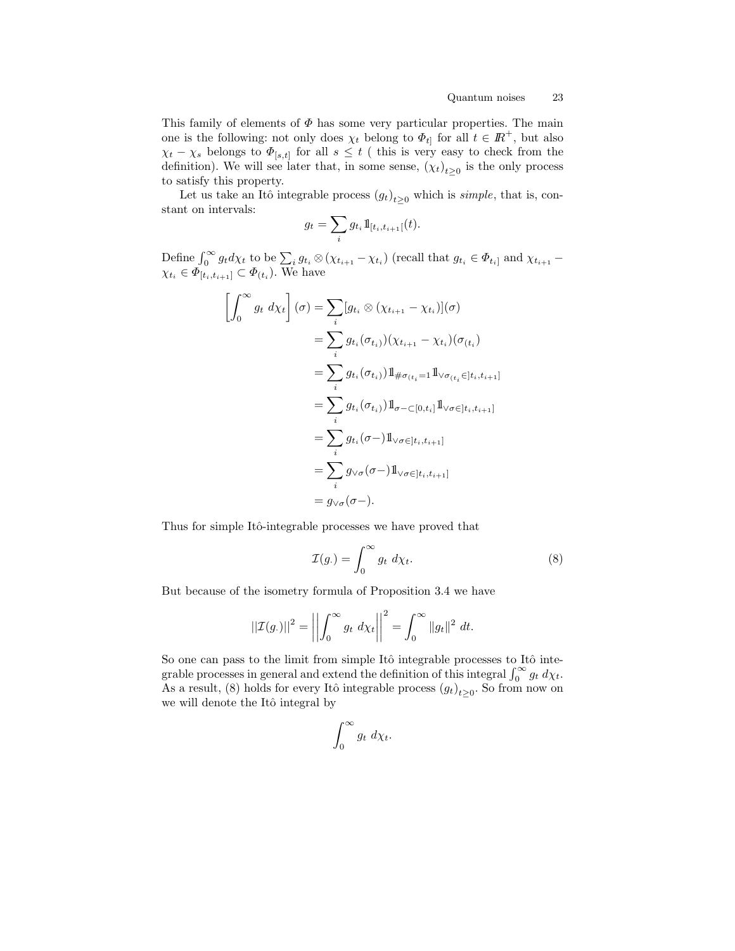This family of elements of  $\Phi$  has some very particular properties. The main one is the following: not only does  $\chi_t$  belong to  $\Phi_{t}$  for all  $t \in \mathbb{R}^+$ , but also  $\chi_t - \chi_s$  belongs to  $\Phi_{[s,t]}$  for all  $s \leq t$  (this is very easy to check from the definition). We will see later that, in some sense,  $(\chi_t)_{t\geq 0}$  is the only process to satisfy this property.

Let us take an Itô integrable process  $(g_t)_{t\geq 0}$  which is *simple*, that is, constant on intervals:

$$
g_t = \sum_i g_{t_i} 1\!\!1_{[t_i, t_{i+1}[}(t).
$$

Define  $\int_0^\infty g_t d\chi_t$  to be  $\sum_i g_{t_i} \otimes (\chi_{t_{i+1}} - \chi_{t_i})$  (recall that  $g_{t_i} \in \Phi_{t_i}$ ) and  $\chi_{t_{i+1}} \chi_{t_i} \in \Phi_{[t_i,t_{i+1}]} \subset \Phi_{(t_i)}$ . We have

$$
\left[\int_0^\infty g_t \, d\chi_t\right](\sigma) = \sum_i [g_{t_i} \otimes (\chi_{t_{i+1}} - \chi_{t_i})](\sigma)
$$
  
\n
$$
= \sum_i g_{t_i}(\sigma_{t_i}) (\chi_{t_{i+1}} - \chi_{t_i}) (\sigma_{(t_i)})
$$
  
\n
$$
= \sum_i g_{t_i}(\sigma_{t_i}) \mathbb{1}_{\#\sigma_{(t_i)} = 1} \mathbb{1}_{\forall \sigma_{(t_i} \in [t_i, t_{i+1}]} }
$$
  
\n
$$
= \sum_i g_{t_i}(\sigma_{t_i}) \mathbb{1}_{\sigma - \subset [0, t_i]} \mathbb{1}_{\forall \sigma \in [t_i, t_{i+1}]} }
$$
  
\n
$$
= \sum_i g_{t_i}(\sigma - \mathbb{1}_{\forall \sigma \in [t_i, t_{i+1}]} }
$$
  
\n
$$
= \sum_i g_{\forall \sigma}(\sigma - \mathbb{1}_{\forall \sigma \in [t_i, t_{i+1}]} }
$$
  
\n
$$
= g_{\forall \sigma}(\sigma - ).
$$

Thus for simple Itô-integrable processes we have proved that

$$
\mathcal{I}(g.) = \int_0^\infty g_t \, d\chi_t. \tag{8}
$$

But because of the isometry formula of Proposition 3.4 we have

$$
||\mathcal{I}(g.)||^2 = \left| \left| \int_0^\infty g_t \, d\chi_t \right| \right|^2 = \int_0^\infty ||g_t||^2 \, dt.
$$

So one can pass to the limit from simple Itô integrable processes to Itô integrable processes in general and extend the definition of this integral  $\int_0^\infty g_t \, d\chi_t$ . As a result, (8) holds for every Itô integrable process  $(g_t)_{t\geq 0}$ . So from now on we will denote the Itô integral by

$$
\int_0^\infty g_t \ d\chi_t.
$$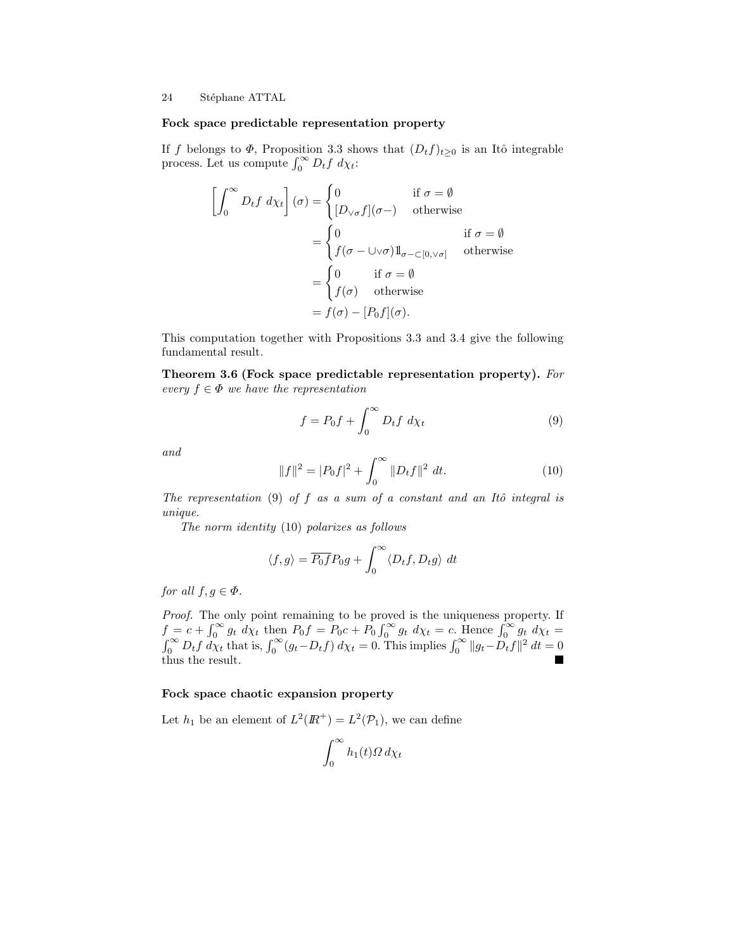# Fock space predictable representation property

If f belongs to  $\Phi$ , Proposition 3.3 shows that  $(D_t f)_{t\geq 0}$  is an Itô integrable process. Let us compute  $\int_0^\infty D_t f \, d\chi_t$ :

$$
\begin{aligned}\n\left[\int_0^\infty D_t f \, d\chi_t\right](\sigma) &= \begin{cases}\n0 & \text{if } \sigma = \emptyset \\
[D_{\vee \sigma} f](\sigma -) & \text{otherwise}\n\end{cases} \\
&= \begin{cases}\n0 & \text{if } \sigma = \emptyset \\
f(\sigma - \cup \sigma) 1\!\!\mathbb{I}_{\sigma - \subset [0, \vee \sigma]} & \text{otherwise}\n\end{cases} \\
&= \begin{cases}\n0 & \text{if } \sigma = \emptyset \\
f(\sigma) & \text{otherwise}\n\end{cases} \\
&= f(\sigma) - [P_0 f](\sigma).\n\end{aligned}
$$

This computation together with Propositions 3.3 and 3.4 give the following fundamental result.

Theorem 3.6 (Fock space predictable representation property). For every  $f \in \Phi$  we have the representation

$$
f = P_0 f + \int_0^\infty D_t f \, d\chi_t \tag{9}
$$

and

$$
||f||^2 = |P_0f|^2 + \int_0^\infty ||D_t f||^2 dt.
$$
 (10)

The representation  $(9)$  of  $f$  as a sum of a constant and an Itô integral is unique.

The norm identity (10) polarizes as follows

$$
\langle f, g \rangle = \overline{P_0 f} P_0 g + \int_0^\infty \langle D_t f, D_t g \rangle \ dt
$$

for all  $f, g \in \Phi$ .

Proof. The only point remaining to be proved is the uniqueness property. If  $f = c + \int_0^\infty g_t \, d\chi_t$  then  $P_0 f = P_0 c + P_0 \int_0^\infty g_t \, d\chi_t = c$ . Hence  $\int_0^\infty g_t \, d\chi_t = c$  $\int_0^\infty D_t f \, d\chi_t$  that is,  $\int_0^\infty (g_t - D_t f) \, d\chi_t = 0$ . This implies  $\int_0^\infty ||g_t - D_t f||^2 \, dt = 0$ thus the result.  $\blacksquare$ 

# Fock space chaotic expansion property

Let  $h_1$  be an element of  $L^2(\mathbb{R}^+)=L^2(\mathcal{P}_1)$ , we can define

$$
\int_0^\infty h_1(t)\Omega\,d\chi_t
$$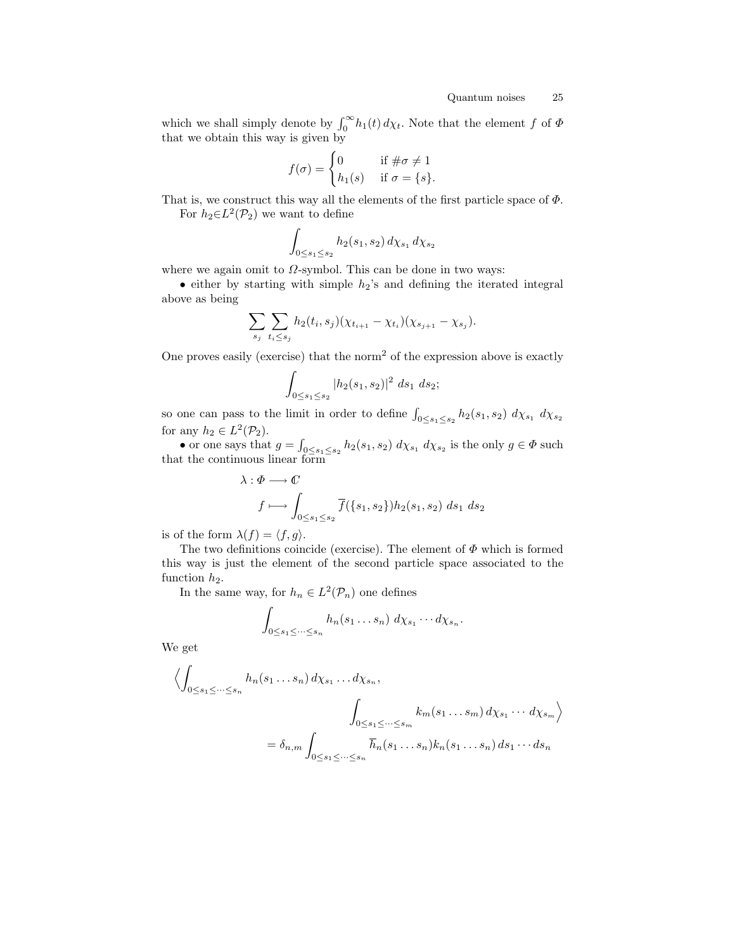which we shall simply denote by  $\int_0^\infty h_1(t) d\chi_t$ . Note that the element f of  $\Phi$ that we obtain this way is given by

$$
f(\sigma) = \begin{cases} 0 & \text{if } \#\sigma \neq 1 \\ h_1(s) & \text{if } \sigma = \{s\}. \end{cases}
$$

That is, we construct this way all the elements of the first particle space of  $\Phi$ . For  $h_2 \in L^2(\mathcal{P}_2)$  we want to define

$$
\int_{0 \le s_1 \le s_2} h_2(s_1, s_2) \, d\chi_{s_1} \, d\chi_{s_2}
$$

where we again omit to  $\Omega$ -symbol. This can be done in two ways:

• either by starting with simple  $h_2$ 's and defining the iterated integral above as being

$$
\sum_{s_j} \sum_{t_i \leq s_j} h_2(t_i, s_j) (\chi_{t_{i+1}} - \chi_{t_i}) (\chi_{s_{j+1}} - \chi_{s_j}).
$$

One proves easily (exercise) that the norm<sup>2</sup> of the expression above is exactly

$$
\int_{0 \le s_1 \le s_2} |h_2(s_1, s_2)|^2 ds_1 ds_2;
$$

so one can pass to the limit in order to define  $\int_{0 \le s_1 \le s_2} h_2(s_1, s_2) d\chi_{s_1} d\chi_{s_2}$ for any  $h_2 \in L^2(\mathcal{P}_2)$ .

• or one says that  $g = \int_{0 \le s_1 \le s_2} h_2(s_1, s_2) d\chi_{s_1} d\chi_{s_2}$  is the only  $g \in \Phi$  such that the continuous linear form

$$
\lambda: \Phi \longrightarrow C
$$
  

$$
f \longmapsto \int_{0 \le s_1 \le s_2} \overline{f}(\{s_1, s_2\}) h_2(s_1, s_2) ds_1 ds_2
$$

is of the form  $\lambda(f) = \langle f, g \rangle$ .

The two definitions coincide (exercise). The element of  $\Phi$  which is formed this way is just the element of the second particle space associated to the function  $h_2$ .

In the same way, for  $h_n \in L^2(\mathcal{P}_n)$  one defines

$$
\int_{0 \leq s_1 \leq \cdots \leq s_n} h_n(s_1 \ldots s_n) \ d\chi_{s_1} \cdots d\chi_{s_n}.
$$

We get

$$
\left\langle \int_{0 \le s_1 \le \cdots \le s_n} h_n(s_1 \dots s_n) d\chi_{s_1} \dots d\chi_{s_n}, \right. \\
\left. \int_{0 \le s_1 \le \cdots \le s_m} k_m(s_1 \dots s_m) d\chi_{s_1} \dots d\chi_{s_m} \right\rangle
$$
\n
$$
= \delta_{n,m} \int_{0 \le s_1 \le \cdots \le s_n} \overline{h}_n(s_1 \dots s_n) k_n(s_1 \dots s_n) ds_1 \dots ds_n
$$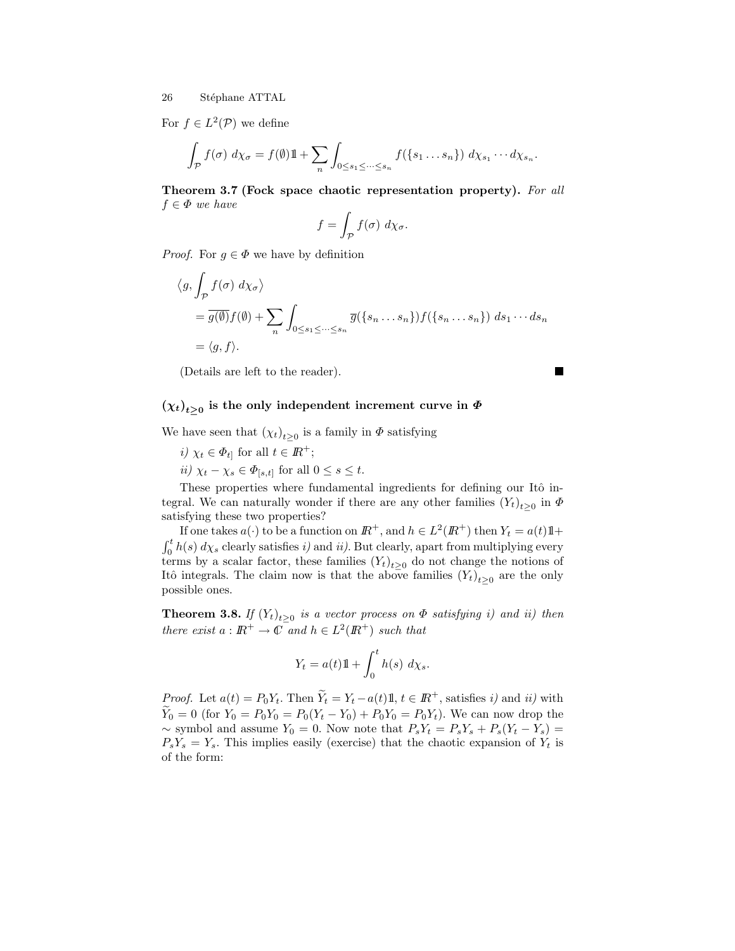For  $f \in L^2(\mathcal{P})$  we define

$$
\int_{\mathcal{P}} f(\sigma) \ d\chi_{\sigma} = f(\emptyset) \mathbb{1} + \sum_{n} \int_{0 \leq s_1 \leq \cdots \leq s_n} f(\{s_1 \ldots s_n\}) \ d\chi_{s_1} \cdots d\chi_{s_n}
$$

Theorem 3.7 (Fock space chaotic representation property). For all  $f \in \Phi$  we have

$$
f = \int_{\mathcal{P}} f(\sigma) \, d\chi_{\sigma}.
$$

*Proof.* For  $g \in \Phi$  we have by definition

$$
\langle g, \int_{\mathcal{P}} f(\sigma) \, d\chi_{\sigma} \rangle
$$
  
=  $\overline{g(\emptyset)} f(\emptyset) + \sum_{n} \int_{0 \le s_1 \le \cdots \le s_n} \overline{g}(\{s_n \dots s_n\}) f(\{s_n \dots s_n\}) \, ds_1 \cdots ds_n$   
=  $\langle g, f \rangle$ .

(Details are left to the reader).

.

# $(\chi_t)_{t\geq0}$  is the only independent increment curve in  $\Phi$

We have seen that  $(\chi_t)_{t \geq 0}$  is a family in  $\Phi$  satisfying

*i*)  $\chi_t \in \Phi_{t}$  for all  $t \in \mathbb{R}^+$ ; *ii*)  $\chi_t - \chi_s \in \Phi_{[s,t]}$  for all  $0 \leq s \leq t$ .

These properties where fundamental ingredients for defining our Itô integral. We can naturally wonder if there are any other families  $(Y_t)_{t\geq 0}$  in  $\Phi$ satisfying these two properties?

If one takes  $a(\cdot)$  to be a function on  $I\!\!R^+$ , and  $h \in L^2(I\!\!R^+)$  then  $Y_t = a(t) \mathbb{1}$ +  $\int_0^t h(s) \, d\chi_s$  clearly satisfies i) and ii). But clearly, apart from multiplying every terms by a scalar factor, these families  $(Y_t)_{t\geq 0}$  do not change the notions of Itô integrals. The claim now is that the above families  $(Y_t)_{t\geq 0}$  are the only possible ones.

**Theorem 3.8.** If  $(Y_t)_{t\geq 0}$  is a vector process on  $\Phi$  satisfying i) and ii) then there exist  $a: \mathbb{R}^+ \to \overline{\mathbb{C}}$  and  $h \in L^2(\mathbb{R}^+)$  such that

$$
Y_t = a(t)\mathbb{1} + \int_0^t h(s) \ d\chi_s.
$$

*Proof.* Let  $a(t) = P_0Y_t$ . Then  $\widetilde{Y}_t = Y_t - a(t)1$ ,  $t \in \mathbb{R}^+$ , satisfies i) and ii) with  $\tilde{Y}_0 = 0$  (for  $Y_0 = P_0Y_0 = P_0(Y_t - Y_0) + P_0Y_0 = P_0Y_t$ ). We can now drop the ~ symbol and assume  $Y_0 = 0$ . Now note that  $P_s Y_t = P_s Y_s + P_s(Y_t - Y_s)$  $P_sY_s = Y_s$ . This implies easily (exercise) that the chaotic expansion of  $Y_t$  is of the form: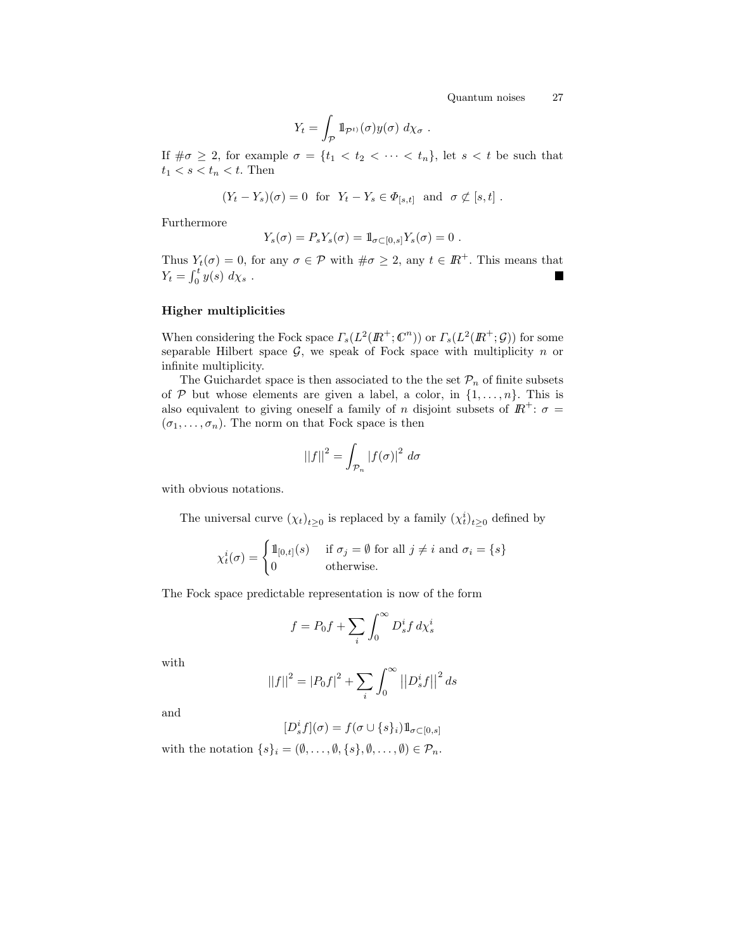$$
Y_t = \int_{\mathcal{P}} \mathbb{1}_{\mathcal{P}^{t}}(\sigma) y(\sigma) \, d\chi_{\sigma} .
$$

If  $\#\sigma \geq 2$ , for example  $\sigma = \{t_1 < t_2 < \cdots < t_n\}$ , let  $s < t$  be such that  $t_1 < s < t_n < t$ . Then

$$
(Y_t - Y_s)(\sigma) = 0
$$
 for  $Y_t - Y_s \in \Phi_{[s,t]}$  and  $\sigma \notin [s,t]$ .

Furthermore

$$
Y_s(\sigma) = P_s Y_s(\sigma) = 1_{\sigma \subset [0,s]} Y_s(\sigma) = 0.
$$

Thus  $Y_t(\sigma) = 0$ , for any  $\sigma \in \mathcal{P}$  with  $\#\sigma \geq 2$ , any  $t \in \mathbb{R}^+$ . This means that  $Y_t = \int_0^t y(s) \ d\chi_s$ .  $\overline{\phantom{a}}$ 

# Higher multiplicities

When considering the Fock space  $\Gamma_s(L^2(\mathbb{R}^+;\mathbb{C}^n))$  or  $\Gamma_s(L^2(\mathbb{R}^+;\mathcal{G}))$  for some separable Hilbert space  $G$ , we speak of Fock space with multiplicity n or infinite multiplicity.

The Guichardet space is then associated to the the set  $\mathcal{P}_n$  of finite subsets of P but whose elements are given a label, a color, in  $\{1, \ldots, n\}$ . This is also equivalent to giving oneself a family of n disjoint subsets of  $\mathbb{R}^+$ :  $\sigma$  =  $(\sigma_1, \ldots, \sigma_n)$ . The norm on that Fock space is then

$$
||f||^2 = \int_{\mathcal{P}_n} |f(\sigma)|^2 d\sigma
$$

with obvious notations.

The universal curve  $(\chi_t)_{t\geq 0}$  is replaced by a family  $(\chi_t^i)_{t\geq 0}$  defined by

$$
\chi_t^i(\sigma) = \begin{cases} \mathbb{1}_{[0,t]}(s) & \text{if } \sigma_j = \emptyset \text{ for all } j \neq i \text{ and } \sigma_i = \{s\} \\ 0 & \text{otherwise.} \end{cases}
$$

The Fock space predictable representation is now of the form

$$
f = P_0 f + \sum_i \int_0^\infty D_s^i f \, d\chi_s^i
$$

with

$$
||f||^2 = |P_0f|^2 + \sum_{i} \int_0^\infty ||D_s^i f||^2 ds
$$

and

$$
[D_s^i f](\sigma) = f(\sigma \cup \{s\}_i) 1\!\!1_{\sigma \subset [0,s]}
$$

with the notation  $\{s\}_i = (\emptyset, \ldots, \emptyset, \{s\}, \emptyset, \ldots, \emptyset) \in \mathcal{P}_n$ .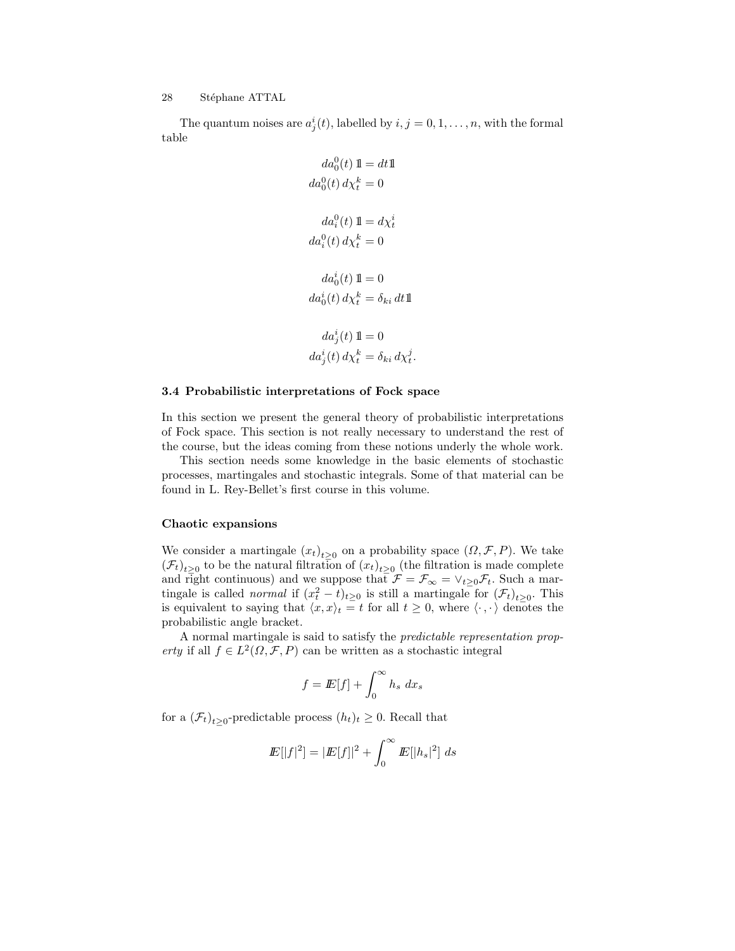The quantum noises are  $a_j^i(t)$ , labelled by  $i, j = 0, 1, \ldots, n$ , with the formal table

$$
da_0^0(t) \mathbf{1} = dt\mathbf{1}
$$

$$
da_0^0(t) d\chi_t^k = 0
$$

$$
da_i^0(t) \mathbf{1} = d\chi_t^i
$$

$$
da_i^0(t) d\chi_t^k = 0
$$

$$
da_0^i(t) \mathbf{1} = 0
$$

$$
da_0^i(t) d\chi_t^k = \delta_{ki} dt\mathbf{1}
$$

$$
da_j^i(t) \mathbf{1} = 0
$$

$$
da_j^i(t) d\chi_t^k = \delta_{ki} d\chi_t^j.
$$

#### 3.4 Probabilistic interpretations of Fock space

In this section we present the general theory of probabilistic interpretations of Fock space. This section is not really necessary to understand the rest of the course, but the ideas coming from these notions underly the whole work.

This section needs some knowledge in the basic elements of stochastic processes, martingales and stochastic integrals. Some of that material can be found in L. Rey-Bellet's first course in this volume.

### Chaotic expansions

We consider a martingale  $(x_t)_{t\geq 0}$  on a probability space  $(\Omega, \mathcal{F}, P)$ . We take  $(\mathcal{F}_t)_{t\geq 0}$  to be the natural filtration of  $(x_t)_{t\geq 0}$  (the filtration is made complete and right continuous) and we suppose that  $\mathcal{F} = \mathcal{F}_{\infty} = \vee_{t \geq 0} \mathcal{F}_t$ . Such a martingale is called *normal* if  $(x_t^2 - t)_{t \geq 0}$  is still a martingale for  $(\mathcal{F}_t)_{t \geq 0}$ . This is equivalent to saying that  $\langle x, x \rangle_t = t$  for all  $t \geq 0$ , where  $\langle \cdot, \cdot \rangle$  denotes the probabilistic angle bracket.

A normal martingale is said to satisfy the predictable representation property if all  $f \in L^2(\Omega, \mathcal{F}, P)$  can be written as a stochastic integral

$$
f = I\!\!E[f] + \int_0^\infty h_s \ dx_s
$$

for a  $(\mathcal{F}_t)_{t\geq 0}$ -predictable process  $(h_t)_t \geq 0$ . Recall that

$$
I\!\!E[|f|^2] = |I\!\!E[f]|^2 + \int_0^\infty I\!\!E[|h_s|^2] ds
$$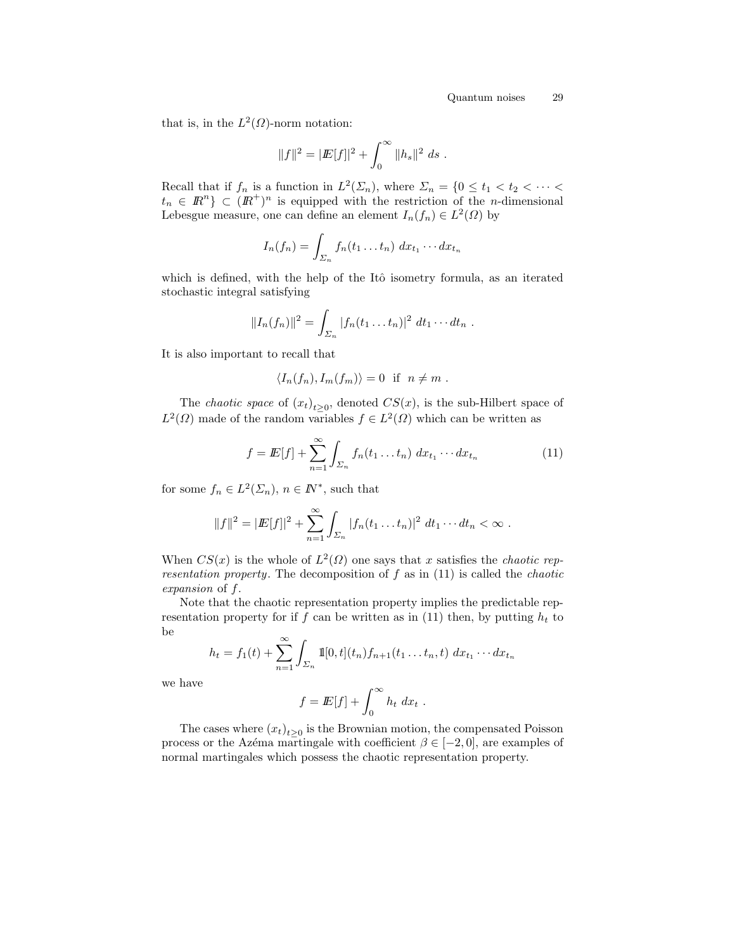that is, in the  $L^2(\Omega)$ -norm notation:

$$
||f||^2 = |E[f]|^2 + \int_0^\infty ||h_s||^2 ds.
$$

Recall that if  $f_n$  is a function in  $L^2(\Sigma_n)$ , where  $\Sigma_n = \{0 \le t_1 < t_2 < \cdots <$  $t_n \in \mathbb{R}^n$   $\subset (\mathbb{R}^+)^n$  is equipped with the restriction of the *n*-dimensional Lebesgue measure, one can define an element  $I_n(f_n) \in L^2(\Omega)$  by

$$
I_n(f_n) = \int_{\Sigma_n} f_n(t_1 \dots t_n) \, dx_{t_1} \cdots dx_{t_n}
$$

which is defined, with the help of the Itô isometry formula, as an iterated stochastic integral satisfying

$$
||I_n(f_n)||^2 = \int_{\Sigma_n} |f_n(t_1 \dots t_n)|^2 dt_1 \cdots dt_n.
$$

It is also important to recall that

$$
\langle I_n(f_n), I_m(f_m)\rangle = 0 \text{ if } n \neq m.
$$

The *chaotic space* of  $(x_t)_{t\geq 0}$ , denoted  $CS(x)$ , is the sub-Hilbert space of  $L^2(\Omega)$  made of the random variables  $f \in L^2(\Omega)$  which can be written as

$$
f = \mathbb{E}[f] + \sum_{n=1}^{\infty} \int_{\Sigma_n} f_n(t_1 \dots t_n) \, dx_{t_1} \cdots dx_{t_n} \tag{11}
$$

for some  $f_n \in L^2(\Sigma_n)$ ,  $n \in \mathbb{N}^*$ , such that

$$
||f||2 = |E[f]|2 + \sum_{n=1}^{\infty} \int_{\Sigma_n} |f_n(t_1 \dots t_n)|2 dt_1 \dots dt_n < \infty.
$$

When  $CS(x)$  is the whole of  $L^2(\Omega)$  one says that x satisfies the *chaotic rep*resentation property. The decomposition of  $f$  as in  $(11)$  is called the *chaotic* expansion of f.

Note that the chaotic representation property implies the predictable representation property for if f can be written as in  $(11)$  then, by putting  $h_t$  to be

$$
h_t = f_1(t) + \sum_{n=1}^{\infty} \int_{\Sigma_n} 1\!\mathrm{I}[0,t](t_n) f_{n+1}(t_1 \ldots t_n, t) \ dx_{t_1} \cdots dx_{t_n}
$$

we have

$$
f = I\!\!E[f] + \int_0^\infty h_t \, dx_t \; .
$$

The cases where  $(x_t)_{t\geq 0}$  is the Brownian motion, the compensated Poisson process or the Azéma martingale with coefficient  $\beta \in [-2, 0]$ , are examples of normal martingales which possess the chaotic representation property.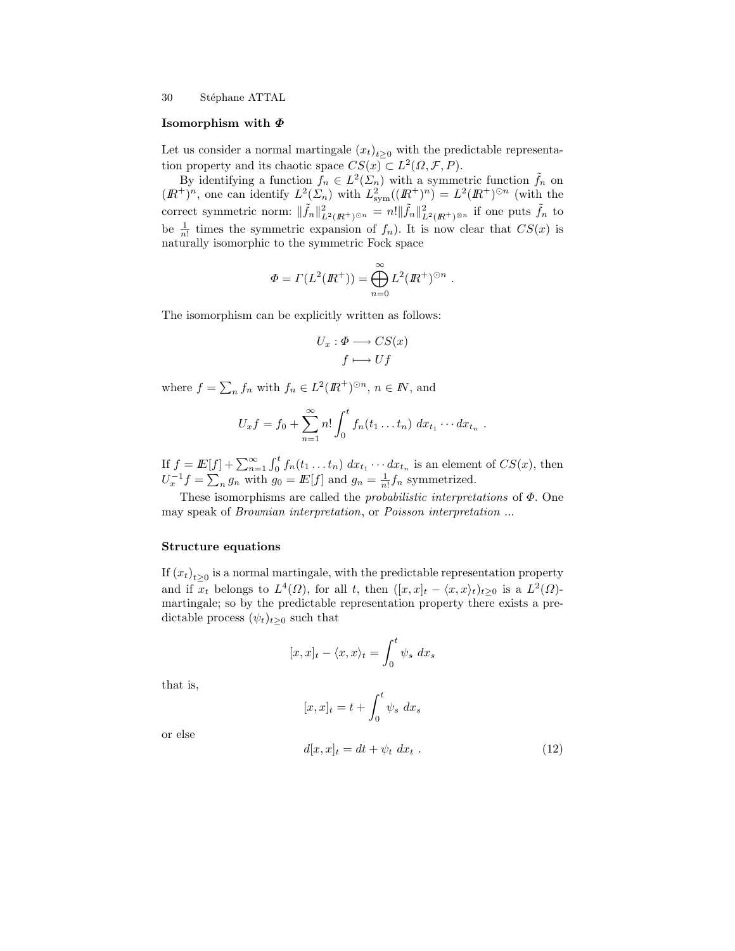# Isomorphism with  $\Phi$

Let us consider a normal martingale  $(x_t)_{t\geq 0}$  with the predictable representation property and its chaotic space  $CS(x) \subset L^2(\Omega, \mathcal{F}, P)$ .

By identifying a function  $f_n \in L^2(\Sigma_n)$  with a symmetric function  $\tilde{f}_n$  on  $(R^+)^n$ , one can identify  $L^2(\Sigma_n)$  with  $L^2_{sym}((R^+)^n) = L^2(R^+)^{\odot n}$  (with the correct symmetric norm:  $\|\tilde{f}_n\|_{L^2(\mathbb{R}^+)\odot n}^2 = n! \|\tilde{f}_n\|_{L^2(\mathbb{R}^+)\otimes n}^2$  if one puts  $\tilde{f}_n$  to be  $\frac{1}{n!}$  times the symmetric expansion of  $f_n$ ). It is now clear that  $CS(x)$  is naturally isomorphic to the symmetric Fock space

$$
\Phi = \Gamma(L^2(R^+)) = \bigoplus_{n=0}^{\infty} L^2(R^+)^{\odot n} .
$$

The isomorphism can be explicitly written as follows:

$$
U_x: \Phi \longrightarrow CS(x)
$$

$$
f \longmapsto Uf
$$

where  $f = \sum_n f_n$  with  $f_n \in L^2(\mathbb{R}^+)^{\odot n}$ ,  $n \in \mathbb{N}$ , and

$$
U_x f = f_0 + \sum_{n=1}^{\infty} n! \int_0^t f_n(t_1 \dots t_n) \, dx_{t_1} \cdots dx_{t_n} \; .
$$

If  $f = \mathbb{E}[f] + \sum_{n=1}^{\infty} \int_0^t f_n(t_1 \dots t_n) dx_{t_1} \dots dx_{t_n}$  is an element of  $CS(x)$ , then  $U_x^{-1}f = \sum_n g_n$  with  $g_0 = E[f]$  and  $g_n = \frac{1}{n!}f_n$  symmetrized.

These isomorphisms are called the *probabilistic interpretations* of  $\Phi$ . One may speak of Brownian interpretation, or Poisson interpretation ...

# Structure equations

If  $(x_t)_{t\geq0}$  is a normal martingale, with the predictable representation property and if  $x_t$  belongs to  $L^4(\Omega)$ , for all t, then  $([x,x]_t - \langle x,x \rangle_t)_{t \geq 0}$  is a  $L^2(\Omega)$ martingale; so by the predictable representation property there exists a predictable process  $(\psi_t)_{t>0}$  such that

$$
[x,x]_t - \langle x,x \rangle_t = \int_0^t \psi_s \ dx_s
$$

that is,

$$
[x,x]_t = t + \int_0^t \psi_s \ dx_s
$$

or else

$$
d[x, x]_t = dt + \psi_t dx_t . \qquad (12)
$$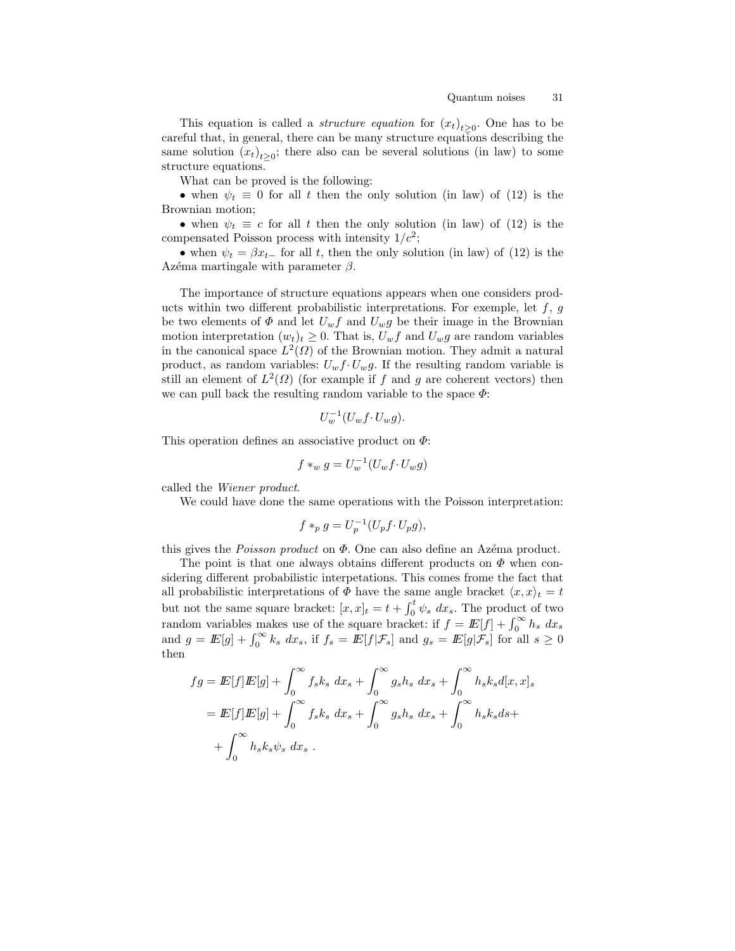This equation is called a *structure equation* for  $(x_t)_{t\geq 0}$ . One has to be careful that, in general, there can be many structure equations describing the same solution  $(x_t)_{t\geq 0}$ ; there also can be several solutions (in law) to some structure equations.

What can be proved is the following:

• when  $\psi_t \equiv 0$  for all t then the only solution (in law) of (12) is the Brownian motion;

• when  $\psi_t \equiv c$  for all t then the only solution (in law) of (12) is the compensated Poisson process with intensity  $1/c^2$ ;

• when  $\psi_t = \beta x_{t-}$  for all t, then the only solution (in law) of (12) is the Azéma martingale with parameter  $\beta$ .

The importance of structure equations appears when one considers products within two different probabilistic interpretations. For exemple, let  $f, g$ be two elements of  $\Phi$  and let  $U_w f$  and  $U_w g$  be their image in the Brownian motion interpretation  $(w_t)_t \geq 0$ . That is,  $U_w f$  and  $U_w g$  are random variables in the canonical space  $L^2(\Omega)$  of the Brownian motion. They admit a natural product, as random variables:  $U_w f \cdot U_w g$ . If the resulting random variable is still an element of  $L^2(\Omega)$  (for example if f and g are coherent vectors) then we can pull back the resulting random variable to the space  $\Phi$ :

$$
U_w^{-1}(U_w f \cdot U_w g).
$$

This operation defines an associative product on  $\Phi$ :

$$
f *_{w} g = U_{w}^{-1}(U_{w}f \cdot U_{w}g)
$$

called the Wiener product.

We could have done the same operations with the Poisson interpretation:

$$
f *_{p} g = U_{p}^{-1}(U_{p}f \cdot U_{p}g),
$$

this gives the *Poisson product* on  $\Phi$ . One can also define an Azéma product.

The point is that one always obtains different products on  $\Phi$  when considering different probabilistic interpetations. This comes frome the fact that all probabilistic interpretations of  $\Phi$  have the same angle bracket  $\langle x, x \rangle_t = t$ but not the same square bracket:  $[x, x]_t = t + \int_0^t \psi_s dx_s$ . The product of two random variables makes use of the square bracket: if  $f = \mathbb{E}[f] + \int_0^\infty h_s dx_s$ and  $g = \mathbb{E}[g] + \int_0^\infty k_s \ dx_s$ , if  $f_s = \mathbb{E}[f|\mathcal{F}_s]$  and  $g_s = \mathbb{E}[g|\mathcal{F}_s]$  for all  $s \geq 0$ then

$$
fg = E[f]E[g] + \int_0^\infty f_s k_s \ dx_s + \int_0^\infty g_s h_s \ dx_s + \int_0^\infty h_s k_s d[x, x]_s
$$
  
=  $E[f]E[g] + \int_0^\infty f_s k_s \ dx_s + \int_0^\infty g_s h_s \ dx_s + \int_0^\infty h_s k_s ds +$   
+  $\int_0^\infty h_s k_s \psi_s \ dx_s .$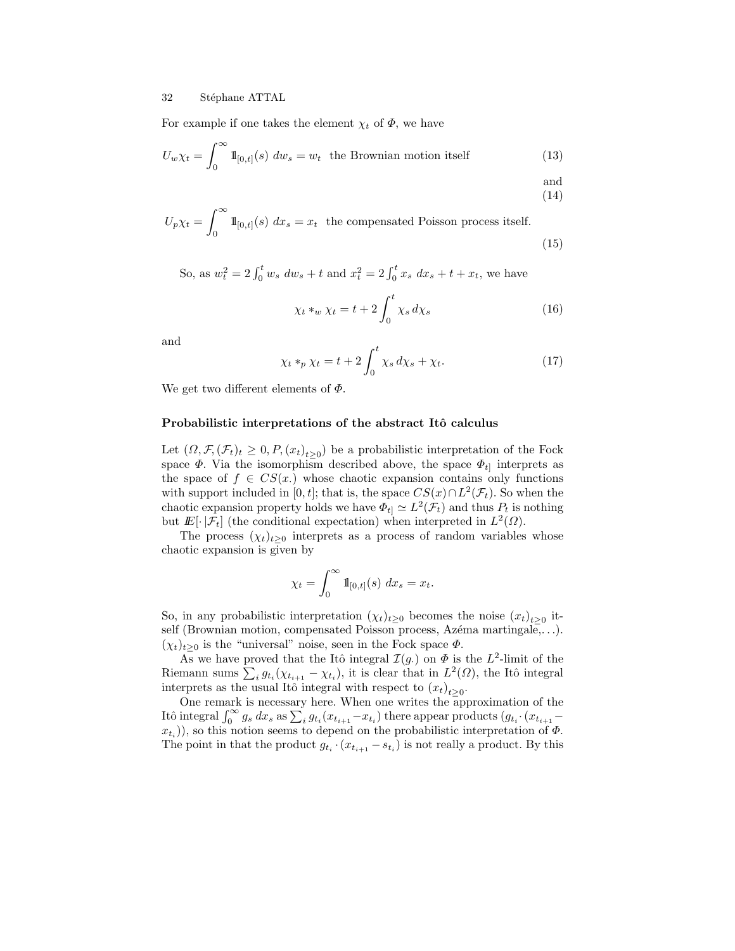For example if one takes the element  $\chi_t$  of  $\Phi$ , we have

$$
U_w \chi_t = \int_0^\infty \mathbb{1}_{[0,t]}(s) \, dw_s = w_t \quad \text{the Brownian motion itself}
$$
\n(13)

$$
\frac{\text{and}}{(14)}
$$

$$
U_p \chi_t = \int_0^\infty \mathbb{1}_{[0,t]}(s) \, dx_s = x_t
$$
 the compensated Poisson process itself. (15)

So, as  $w_t^2 = 2 \int_0^t w_s dw_s + t$  and  $x_t^2 = 2 \int_0^t x_s dx_s + t + x_t$ , we have

$$
\chi_t *_{w} \chi_t = t + 2 \int_0^t \chi_s \, d\chi_s \tag{16}
$$

and

$$
\chi_t *_p \chi_t = t + 2 \int_0^t \chi_s d\chi_s + \chi_t. \tag{17}
$$

We get two different elements of  $\Phi$ .

# Probabilistic interpretations of the abstract Itô calculus

Let  $(\Omega, \mathcal{F}, (\mathcal{F}_t)_t \geq 0, P, (x_t)_{t \geq 0})$  be a probabilistic interpretation of the Fock space  $\Phi$ . Via the isomorphism described above, the space  $\Phi_{t}$  interprets as the space of  $f \in CS(x)$  whose chaotic expansion contains only functions with support included in [0, t]; that is, the space  $CS(x) \cap L^2(\mathcal{F}_t)$ . So when the chaotic expansion property holds we have  $\Phi_{t} \simeq L^{2}(\mathcal{F}_{t})$  and thus  $P_{t}$  is nothing but  $\mathbb{E}[\cdot | \mathcal{F}_t]$  (the conditional expectation) when interpreted in  $L^2(\Omega)$ .

The process  $(\chi_t)_{t>0}$  interprets as a process of random variables whose chaotic expansion is given by

$$
\chi_t = \int_0^\infty \mathbb{1}_{[0,t]}(s) \, dx_s = x_t.
$$

So, in any probabilistic interpretation  $(\chi_t)_{t\geq 0}$  becomes the noise  $(x_t)_{t\geq 0}$  itself (Brownian motion, compensated Poisson process, Azema martingale,...).  $(\chi_t)_{t>0}$  is the "universal" noise, seen in the Fock space  $\Phi$ .

As we have proved that the Itô integral  $\mathcal{I}(g)$  on  $\Phi$  is the  $L^2$ -limit of the Riemann sums  $\sum_i g_{t_i}(\chi_{t_{i+1}} - \chi_{t_i})$ , it is clear that in  $L^2(\Omega)$ , the Itô integral interprets as the usual Itô integral with respect to  $(x_t)_{t\geq 0}$ .

One remark is necessary here. When one writes the approximation of the Itô integral  $\int_0^\infty g_s dx_s$  as  $\sum_i^i g_{t_i}(x_{t_{i+1}}-x_{t_i})$  there appear products  $(g_{t_i} \cdot (x_{t_{i+1}}-x_{t_i}))$  $(x_{t_i})$ , so this notion seems to depend on the probabilistic interpretation of  $\Phi$ . The point in that the product  $g_{t_i} \cdot (x_{t_{i+1}} - s_{t_i})$  is not really a product. By this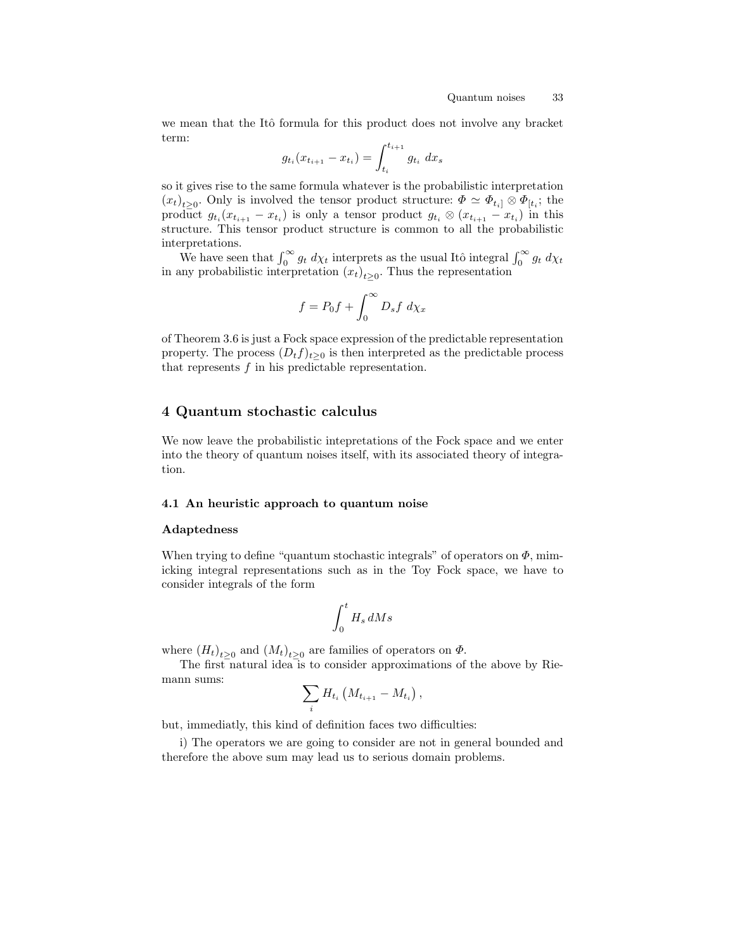we mean that the Itô formula for this product does not involve any bracket term:

$$
g_{t_i}(x_{t_{i+1}} - x_{t_i}) = \int_{t_i}^{t_{i+1}} g_{t_i} dx_s
$$

so it gives rise to the same formula whatever is the probabilistic interpretation  $(x_t)_{t\geq 0}$ . Only is involved the tensor product structure:  $\Phi \simeq \Phi_{t_i}$   $\otimes \Phi_{[t_i]}$ ; the product  $g_{t_i}(x_{t_{i+1}} - x_{t_i})$  is only a tensor product  $g_{t_i} \otimes (x_{t_{i+1}} - x_{t_i})$  in this structure. This tensor product structure is common to all the probabilistic interpretations.

We have seen that  $\int_0^\infty g_t \, d\chi_t$  interprets as the usual Itô integral  $\int_0^\infty g_t \, d\chi_t$ in any probabilistic interpretation  $(x_t)_{t\geq 0}$ . Thus the representation

$$
f = P_0 f + \int_0^\infty D_s f \, d\chi_x
$$

of Theorem 3.6 is just a Fock space expression of the predictable representation property. The process  $(D_t f)_{t>0}$  is then interpreted as the predictable process that represents  $f$  in his predictable representation.

# 4 Quantum stochastic calculus

We now leave the probabilistic intepretations of the Fock space and we enter into the theory of quantum noises itself, with its associated theory of integration.

# 4.1 An heuristic approach to quantum noise

# Adaptedness

When trying to define "quantum stochastic integrals" of operators on  $\Phi$ , mimicking integral representations such as in the Toy Fock space, we have to consider integrals of the form

$$
\int_0^t H_s \, dMs
$$

where  $(H_t)_{t\geq 0}$  and  $(M_t)_{t\geq 0}$  are families of operators on  $\Phi$ .

The first natural idea is to consider approximations of the above by Riemann sums:

$$
\sum_i H_{t_i} \left( M_{t_{i+1}} - M_{t_i} \right),
$$

but, immediatly, this kind of definition faces two difficulties:

i) The operators we are going to consider are not in general bounded and therefore the above sum may lead us to serious domain problems.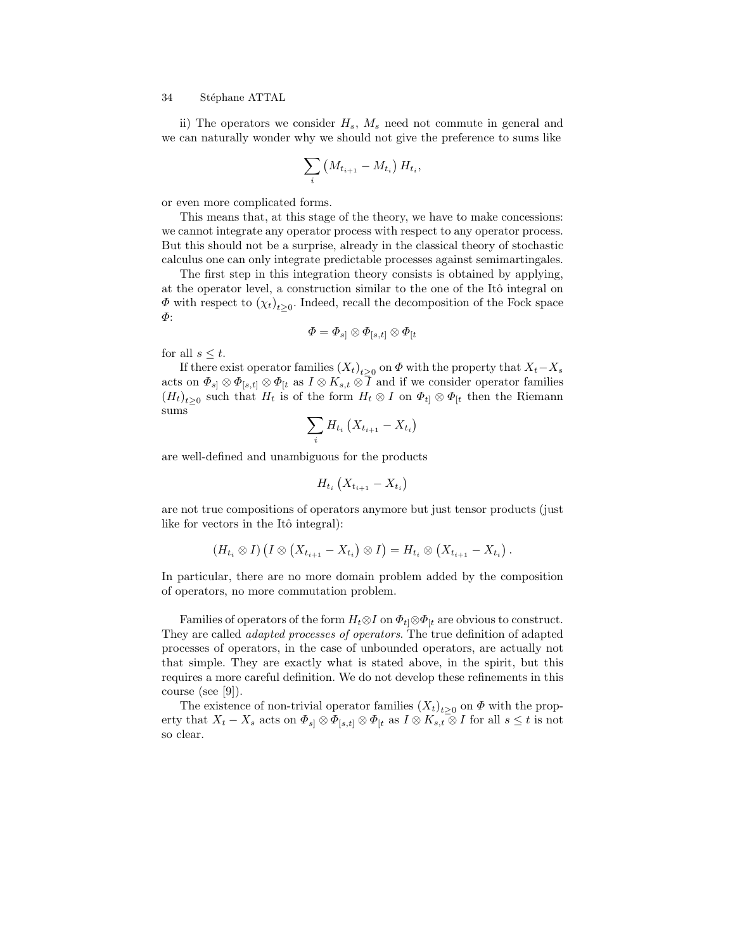ii) The operators we consider  $H_s$ ,  $M_s$  need not commute in general and we can naturally wonder why we should not give the preference to sums like

$$
\sum_i \left(M_{t_{i+1}}-M_{t_i}\right)H_{t_i},
$$

or even more complicated forms.

This means that, at this stage of the theory, we have to make concessions: we cannot integrate any operator process with respect to any operator process. But this should not be a surprise, already in the classical theory of stochastic calculus one can only integrate predictable processes against semimartingales.

The first step in this integration theory consists is obtained by applying, at the operator level, a construction similar to the one of the Itô integral on  $\Phi$  with respect to  $(\chi_t)_{t\geq 0}$ . Indeed, recall the decomposition of the Fock space Φ:

$$
\varPhi=\varPhi_{s]}\otimes\varPhi_{[s,t]}\otimes\varPhi_{[t}
$$

for all  $s \leq t$ .

If there exist operator families  $(X_t)_{t\geq 0}$  on  $\Phi$  with the property that  $X_t-X_s$ acts on  $\Phi_{s} \otimes \Phi_{[s,t]} \otimes \Phi_{[t]}$  as  $I \otimes K_{s,t} \otimes \overline{I}$  and if we consider operator families  $(H_t)_{t\geq0}$  such that  $H_t$  is of the form  $H_t \otimes I$  on  $\Phi_{t} \otimes \Phi_{t}$  then the Riemann sums

$$
\sum_i H_{t_i} \left( X_{t_{i+1}} - X_{t_i} \right)
$$

are well-defined and unambiguous for the products

$$
H_{t_i}\left(X_{t_{i+1}}-X_{t_i}\right)
$$

are not true compositions of operators anymore but just tensor products (just like for vectors in the Itô integral):

$$
(H_{t_i} \otimes I) (I \otimes (X_{t_{i+1}} - X_{t_i}) \otimes I) = H_{t_i} \otimes (X_{t_{i+1}} - X_{t_i}).
$$

In particular, there are no more domain problem added by the composition of operators, no more commutation problem.

Families of operators of the form  $H_t \otimes I$  on  $\Phi_t$ |⊗ $\Phi$ <sub>[t</sub> are obvious to construct. They are called adapted processes of operators. The true definition of adapted processes of operators, in the case of unbounded operators, are actually not that simple. They are exactly what is stated above, in the spirit, but this requires a more careful definition. We do not develop these refinements in this course (see [9]).

The existence of non-trivial operator families  $(X_t)_{t\geq 0}$  on  $\Phi$  with the property that  $X_t - X_s$  acts on  $\Phi_{s} \otimes \Phi_{[s,t]} \otimes \Phi_{[t]}$  as  $I \otimes K_{s,t} \otimes I$  for all  $s \leq t$  is not so clear.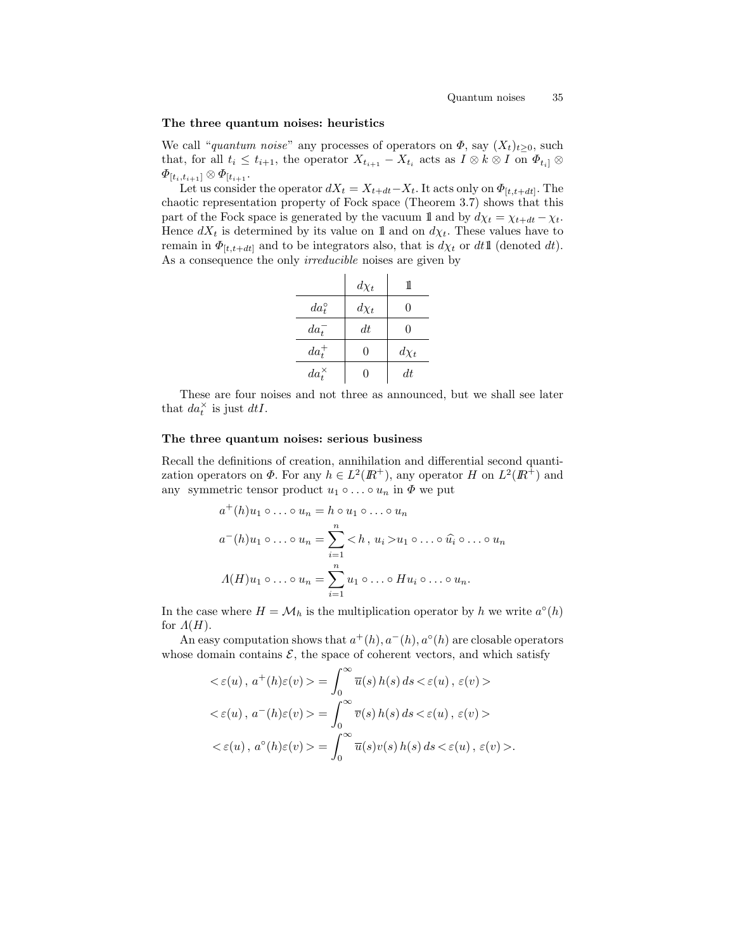#### The three quantum noises: heuristics

We call "quantum noise" any processes of operators on  $\Phi$ , say  $(X_t)_{t\geq0}$ , such that, for all  $t_i \leq t_{i+1}$ , the operator  $X_{t_{i+1}} - X_{t_i}$  acts as  $I \otimes k \otimes I$  on  $\Phi_{t_i} \otimes$  $\Phi_{[t_i,t_{i+1}]} \otimes \Phi_{[t_{i+1}}$ .

Let us consider the operator  $dX_t = X_{t+dt} - X_t$ . It acts only on  $\Phi_{[t,t+dt]}$ . The chaotic representation property of Fock space (Theorem 3.7) shows that this part of the Fock space is generated by the vacuum 1l and by  $d\chi_t = \chi_{t+dt} - \chi_t$ . Hence  $dX_t$  is determined by its value on 1 and on  $d\chi_t$ . These values have to remain in  $\Phi_{[t,t+dt]}$  and to be integrators also, that is  $d\chi_t$  or dt 1 (denoted dt). As a consequence the only *irreducible* noises are given by

|                 | $d\chi_t$ | 1         |
|-----------------|-----------|-----------|
| $da_t^{\circ}$  | $d\chi_t$ | 0         |
| $da_t^-$        | dt        | 0         |
| $da_t^+$        | 0         | $d\chi_t$ |
| $da_t^{\times}$ | $\theta$  | dt        |

These are four noises and not three as announced, but we shall see later that  $da_t^{\times}$  is just  $dtI$ .

#### The three quantum noises: serious business

Recall the definitions of creation, annihilation and differential second quantization operators on  $\Phi$ . For any  $h \in L^2(\mathbb{R}^+)$ , any operator H on  $L^2(\mathbb{R}^+)$  and any symmetric tensor product  $u_1 \circ \ldots \circ u_n$  in  $\Phi$  we put

$$
a^+(h)u_1 \circ \dots \circ u_n = h \circ u_1 \circ \dots \circ u_n
$$
  
\n
$$
a^-(h)u_1 \circ \dots \circ u_n = \sum_{i=1}^n \langle h, u_i \rangle u_1 \circ \dots \circ \widehat{u_i} \circ \dots \circ u_n
$$
  
\n
$$
\Lambda(H)u_1 \circ \dots \circ u_n = \sum_{i=1}^n u_1 \circ \dots \circ Hu_i \circ \dots \circ u_n.
$$

In the case where  $H = \mathcal{M}_h$  is the multiplication operator by h we write  $a^{\circ}(h)$ for  $\Lambda(H)$ .

An easy computation shows that  $a^+(h)$ ,  $a^-(h)$ ,  $a^o(h)$  are closable operators whose domain contains  $\mathcal{E}$ , the space of coherent vectors, and which satisfy

$$
\langle \varepsilon(u), a^+(h)\varepsilon(v) \rangle = \int_0^\infty \overline{u}(s) h(s) ds \langle \varepsilon(u), \varepsilon(v) \rangle
$$
  

$$
\langle \varepsilon(u), a^-(h)\varepsilon(v) \rangle = \int_0^\infty \overline{v}(s) h(s) ds \langle \varepsilon(u), \varepsilon(v) \rangle
$$
  

$$
\langle \varepsilon(u), a^\circ(h)\varepsilon(v) \rangle = \int_0^\infty \overline{u}(s)v(s) h(s) ds \langle \varepsilon(u), \varepsilon(v) \rangle.
$$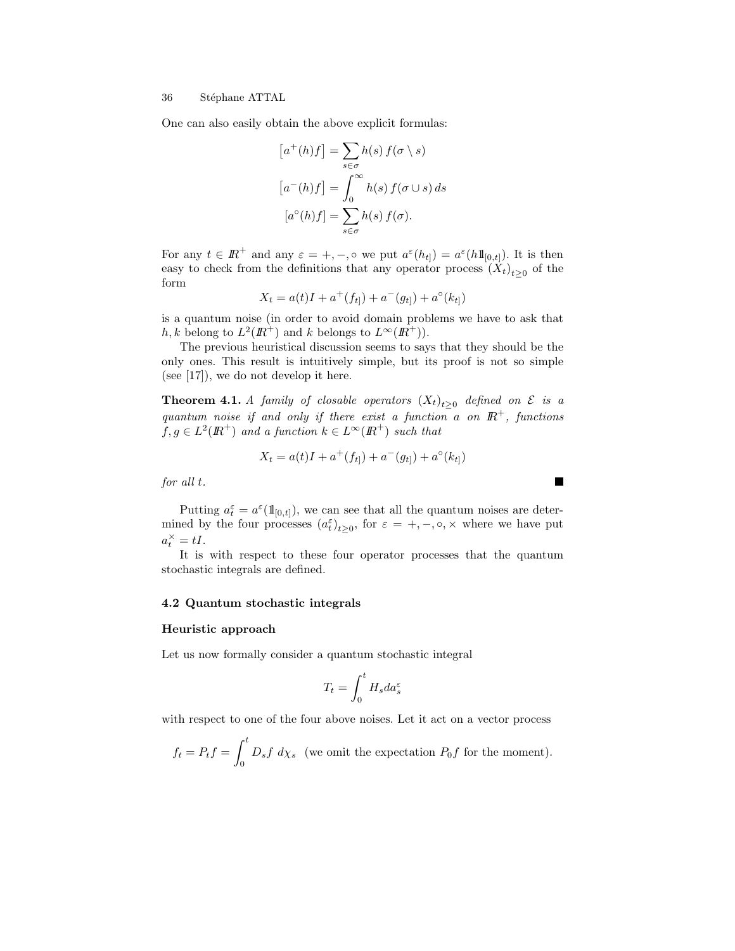One can also easily obtain the above explicit formulas:

$$
[a^+(h)f] = \sum_{s \in \sigma} h(s) f(\sigma \setminus s)
$$

$$
[a^-(h)f] = \int_0^\infty h(s) f(\sigma \cup s) ds
$$

$$
[a^\circ(h)f] = \sum_{s \in \sigma} h(s) f(\sigma).
$$

For any  $t \in \mathbb{R}^+$  and any  $\varepsilon = +, -, \circ$  we put  $a^{\varepsilon}(h_{t}) = a^{\varepsilon}(h \mathbb{1}_{[0,t]})$ . It is then easy to check from the definitions that any operator process  $(X_t)_{t\geq 0}$  of the form

$$
X_t = a(t)I + a^+(f_{t]}) + a^-(g_{t]}) + a^{\circ}(k_{t]})
$$

is a quantum noise (in order to avoid domain problems we have to ask that  $h, k$  belong to  $L^2(\mathbb{R}^+)$  and k belongs to  $L^\infty(\mathbb{R}^+)$ .

The previous heuristical discussion seems to says that they should be the only ones. This result is intuitively simple, but its proof is not so simple (see [17]), we do not develop it here.

**Theorem 4.1.** A family of closable operators  $(X_t)_{t\geq 0}$  defined on  $\mathcal E$  is a quantum noise if and only if there exist a function a on  $\mathbb{R}^+$ , functions  $f, g \in L^2(\mathbb{R}^+)$  and a function  $k \in L^\infty(\mathbb{R}^+)$  such that

$$
X_t = a(t)I + a^+(f_{t}) + a^-(g_{t}) + a^{\circ}(k_{t})
$$

 $\overline{\phantom{a}}$ 

for all t.

Putting  $a_t^{\varepsilon} = a^{\varepsilon}(\mathbb{1}_{[0,t]})$ , we can see that all the quantum noises are determined by the four processes  $(a_t^{\varepsilon})_{t\geq0}$ , for  $\varepsilon = +, -, \circ, \times$  where we have put  $a_t^{\times} = tI.$ 

It is with respect to these four operator processes that the quantum stochastic integrals are defined.

# 4.2 Quantum stochastic integrals

#### Heuristic approach

Let us now formally consider a quantum stochastic integral

$$
T_t=\int_0^t H_s d a^\varepsilon_s
$$

with respect to one of the four above noises. Let it act on a vector process

$$
f_t = P_t f = \int_0^t D_s f \ d\chi_s
$$
 (we omit the expectation  $P_0 f$  for the moment).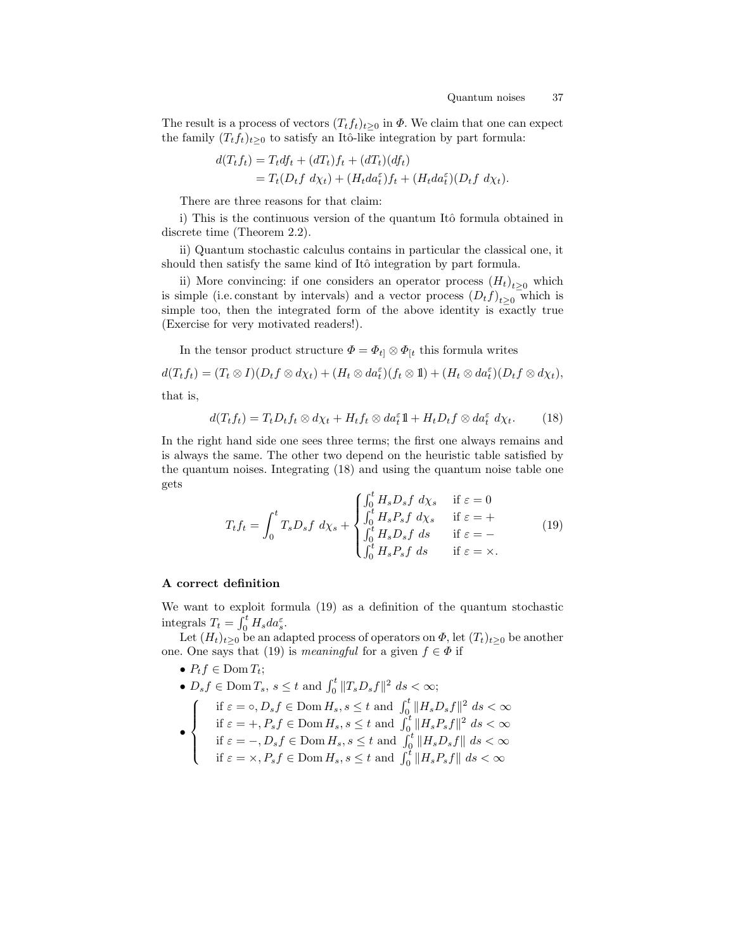The result is a process of vectors  $(T_t f_t)_{t\geq0}$  in  $\Phi$ . We claim that one can expect the family  $(T_t f_t)_{t\geq 0}$  to satisfy an Itô-like integration by part formula:

$$
d(T_t f_t) = T_t df_t + (dT_t) f_t + (dT_t)(df_t)
$$
  
= 
$$
T_t (D_t f \, d\chi_t) + (H_t d a_t^{\varepsilon}) f_t + (H_t d a_t^{\varepsilon}) (D_t f \, d\chi_t).
$$

There are three reasons for that claim:

i) This is the continuous version of the quantum Itô formula obtained in discrete time (Theorem 2.2).

ii) Quantum stochastic calculus contains in particular the classical one, it should then satisfy the same kind of Itô integration by part formula.

ii) More convincing: if one considers an operator process  $(H_t)_{t\geq 0}$  which is simple (i.e. constant by intervals) and a vector process  $(D_t f)_{t\geq 0}$  which is simple too, then the integrated form of the above identity is exactly true (Exercise for very motivated readers!).

In the tensor product structure  $\Phi = \Phi_{t} \otimes \Phi_{[t]}$  this formula writes

$$
d(T_t f_t) = (T_t \otimes I)(D_t f \otimes d\chi_t) + (H_t \otimes da_t^{\varepsilon})(f_t \otimes 1\!) + (H_t \otimes da_t^{\varepsilon})(D_t f \otimes d\chi_t),
$$
 that is

that is,

$$
d(T_t f_t) = T_t D_t f_t \otimes d\chi_t + H_t f_t \otimes d a_t^{\varepsilon} \mathbb{1} + H_t D_t f \otimes d a_t^{\varepsilon} d\chi_t.
$$
 (18)

In the right hand side one sees three terms; the first one always remains and is always the same. The other two depend on the heuristic table satisfied by the quantum noises. Integrating (18) and using the quantum noise table one gets

$$
T_{t}f_{t} = \int_{0}^{t} T_{s}D_{s}f \ d\chi_{s} + \begin{cases} \int_{0}^{t} H_{s}D_{s}f \ d\chi_{s} & \text{if } \varepsilon = 0\\ \int_{0}^{t} H_{s}P_{s}f \ d\chi_{s} & \text{if } \varepsilon = +\\ \int_{0}^{t} H_{s}D_{s}f \ ds & \text{if } \varepsilon = -\\ \int_{0}^{t} H_{s}P_{s}f \ ds & \text{if } \varepsilon = \times. \end{cases}
$$
(19)

# A correct definition

We want to exploit formula (19) as a definition of the quantum stochastic integrals  $T_t = \int_0^t H_s da_s^{\varepsilon}$ .

Let  $(H_t)_{t\geq0}$  be an adapted process of operators on  $\Phi$ , let  $(T_t)_{t\geq0}$  be another one. One says that (19) is *meaningful* for a given  $f \in \Phi$  if

•  $P_t f \in \text{Dom } T_t$ ;

\n- \n
$$
D_s f \in \text{Dom } T_s, \, s \leq t
$$
 and  $\int_0^t \|T_s D_s f\|^2 \, ds < \infty;$ \n
\n- \n $\text{if } \varepsilon = \circ, D_s f \in \text{Dom } H_s, \, s \leq t$  and  $\int_0^t \|H_s D_s f\|^2 \, ds < \infty$ \n
\n- \n $\text{if } \varepsilon = +, P_s f \in \text{Dom } H_s, \, s \leq t$  and  $\int_0^t \|H_s P_s f\|^2 \, ds < \infty$ \n
\n- \n $\text{if } \varepsilon = -, D_s f \in \text{Dom } H_s, \, s \leq t$  and  $\int_0^t \|H_s D_s f\| \, ds < \infty$ \n
\n- \n $\varepsilon = \times, P_s f \in \text{Dom } H_s, \, s \leq t$  and  $\int_0^t \|H_s P_s f\| \, ds < \infty$ \n
\n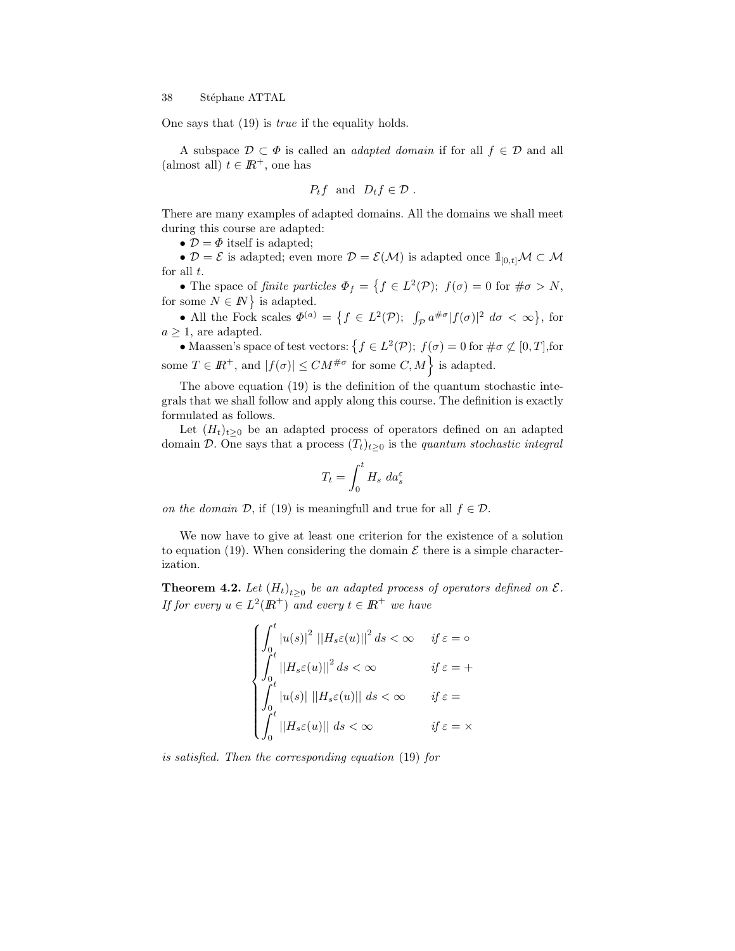One says that (19) is true if the equality holds.

A subspace  $\mathcal{D} \subset \Phi$  is called an *adapted domain* if for all  $f \in \mathcal{D}$  and all (almost all)  $t \in \mathbb{R}^+$ , one has

$$
P_t f \text{ and } D_t f \in \mathcal{D} .
$$

There are many examples of adapted domains. All the domains we shall meet during this course are adapted:

•  $\mathcal{D} = \Phi$  itself is adapted;

•  $\mathcal{D} = \mathcal{E}$  is adapted; even more  $\mathcal{D} = \mathcal{E}(\mathcal{M})$  is adapted once  $\mathbb{1}_{[0,t]} \mathcal{M} \subset \mathcal{M}$ for all  $t$ .

• The space of finite particles  $\Phi_f = \{ f \in L^2(\mathcal{P}) : f(\sigma) = 0 \text{ for } \#\sigma > N, \}$ for some  $N \in \mathbb{N}$  is adapted.

• All the Fock scales  $\Phi^{(a)} = \{ f \in L^2(\mathcal{P}); \int_{\mathcal{P}} a^{\# \sigma} |f(\sigma)|^2 \, d\sigma < \infty \},\}$  for  $a \geq 1$ , are adapted.

• Maassen's space of test vectors:  $\{f \in L^2(\mathcal{P}); f(\sigma) = 0 \text{ for } \#\sigma \notin [0,T], \text{for }$ some  $T \in \mathbb{R}^+$ , and  $|f(\sigma)| \leq CM^{\#\sigma}$  for some  $C, M$  is adapted.

The above equation (19) is the definition of the quantum stochastic integrals that we shall follow and apply along this course. The definition is exactly formulated as follows.

Let  $(H_t)_{t>0}$  be an adapted process of operators defined on an adapted domain D. One says that a process  $(T_t)_{t>0}$  is the quantum stochastic integral

$$
T_t = \int_0^t H_s \; da_s^\varepsilon
$$

on the domain D, if (19) is meaningfull and true for all  $f \in \mathcal{D}$ .

We now have to give at least one criterion for the existence of a solution to equation (19). When considering the domain  $\mathcal E$  there is a simple characterization.

**Theorem 4.2.** Let  $(H_t)_{t\geq 0}$  be an adapted process of operators defined on  $\mathcal{E}$ . If for every  $u \in L^2(\mathbb{R}^+)$  and every  $t \in \mathbb{R}^+$  we have

$$
\begin{cases} \displaystyle\int_0^t |u(s)|^2 \ ||H_s \varepsilon(u)||^2 \, ds < \infty & \textit{ if } \varepsilon = \circ \\ \displaystyle\int_0^t ||H_s \varepsilon(u)||^2 \, ds < \infty & \textit{ if } \varepsilon = + \\ \displaystyle\int_0^t |u(s)| \ ||H_s \varepsilon(u)|| \, ds < \infty & \textit{ if } \varepsilon = \\ \displaystyle\int_0^t ||H_s \varepsilon(u)|| \, ds < \infty & \textit{ if } \varepsilon = \times \end{cases}
$$

is satisfied. Then the corresponding equation (19) for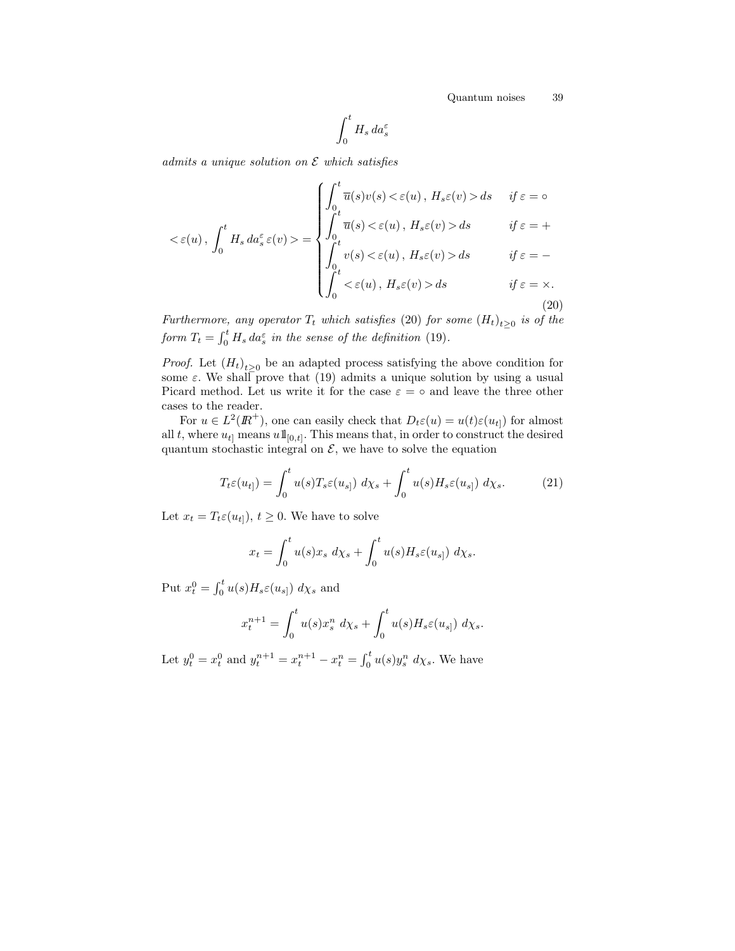$$
\int_0^t H_s \, da_s^\varepsilon
$$

admits a unique solution on  $\mathcal E$  which satisfies

$$
\langle \varepsilon(u), \int_0^t H_s \, da_s^\varepsilon \, \varepsilon(v) \rangle = \begin{cases} \int_0^t \overline{u}(s)v(s) \langle \varepsilon(u), H_s \varepsilon(v) \rangle ds & \text{if } \varepsilon = \infty \\ \int_0^t \overline{u}(s) \langle \varepsilon(u), H_s \varepsilon(v) \rangle ds & \text{if } \varepsilon = + \\ \int_0^t v(s) \langle \varepsilon(u), H_s \varepsilon(v) \rangle ds & \text{if } \varepsilon = - \\ \int_0^t \langle \varepsilon(u), H_s \varepsilon(v) \rangle ds & \text{if } \varepsilon = \times. \end{cases} \tag{20}
$$

Furthermore, any operator  $T_t$  which satisfies (20) for some  $(H_t)_{t\geq0}$  is of the form  $T_t = \int_0^t H_s \, da_s^{\varepsilon}$  in the sense of the definition (19).

*Proof.* Let  $(H_t)_{t\geq 0}$  be an adapted process satisfying the above condition for some  $\varepsilon$ . We shall prove that (19) admits a unique solution by using a usual Picard method. Let us write it for the case  $\varepsilon = \circ$  and leave the three other cases to the reader.

For  $u \in L^2(\mathbb{R}^+)$ , one can easily check that  $D_t \varepsilon(u) = u(t)\varepsilon(u_t)$  for almost all t, where  $u_{t}$  means  $u1_{[0,t]}$ . This means that, in order to construct the desired quantum stochastic integral on  $\mathcal{E}$ , we have to solve the equation

$$
T_t \varepsilon(u_{t}) = \int_0^t u(s) T_s \varepsilon(u_{s}) \, d\chi_s + \int_0^t u(s) H_s \varepsilon(u_{s}) \, d\chi_s. \tag{21}
$$

Let  $x_t = T_t \varepsilon(u_t)$ ,  $t \geq 0$ . We have to solve

$$
x_t = \int_0^t u(s)x_s \ d\chi_s + \int_0^t u(s)H_s \varepsilon(u_{s}) \ d\chi_s.
$$

Put  $x_t^0 = \int_0^t u(s) H_s \varepsilon(u_{s}) \, d\chi_s$  and

$$
x_t^{n+1} = \int_0^t u(s)x_s^n \ d\chi_s + \int_0^t u(s)H_s \varepsilon(u_{s}) \ d\chi_s.
$$

Let  $y_t^0 = x_t^0$  and  $y_t^{n+1} = x_t^{n+1} - x_t^n = \int_0^t u(s) y_s^n \ d\chi_s$ . We have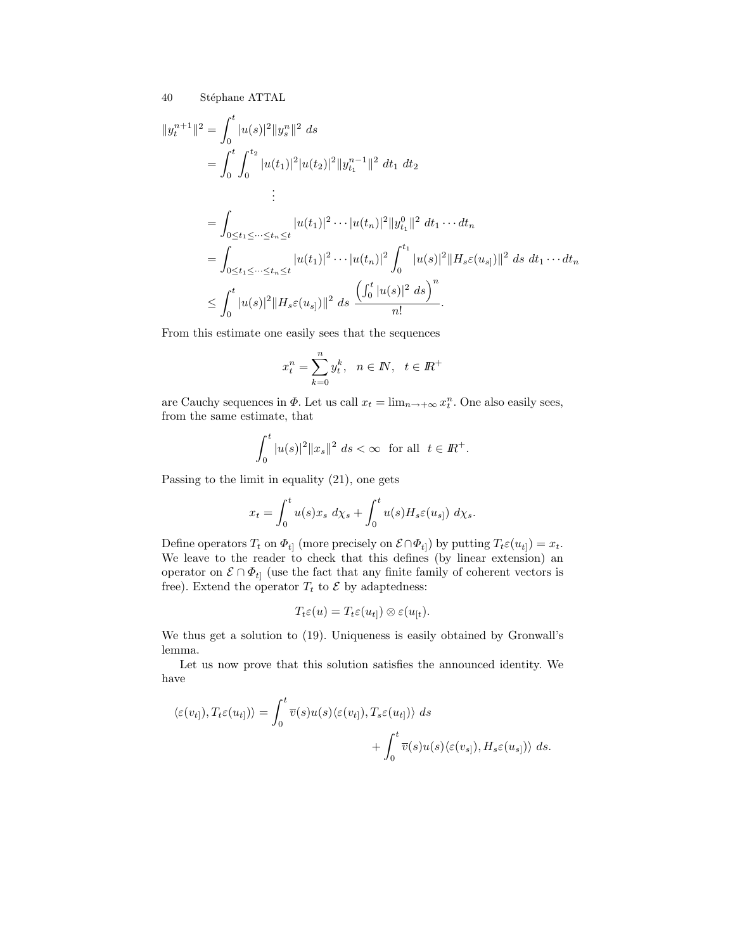$$
||y_t^{n+1}||^2 = \int_0^t |u(s)|^2 ||y_s^n||^2 ds
$$
  
= 
$$
\int_0^t \int_0^{t_2} |u(t_1)|^2 |u(t_2)|^2 ||y_{t_1}^{n-1}||^2 dt_1 dt_2
$$
  
:  

$$
= \int_{0 \le t_1 \le \dots \le t_n \le t} |u(t_1)|^2 \dots |u(t_n)|^2 ||y_{t_1}^0||^2 dt_1 \dots dt_n
$$
  
= 
$$
\int_{0 \le t_1 \le \dots \le t_n \le t} |u(t_1)|^2 \dots |u(t_n)|^2 \int_0^{t_1} |u(s)|^2 ||H_s \varepsilon(u_s)||^2 ds dt_1 \dots dt_n
$$
  

$$
\le \int_0^t |u(s)|^2 ||H_s \varepsilon(u_s)||^2 ds \frac{\left(\int_0^t |u(s)|^2 ds\right)^n}{n!}.
$$

From this estimate one easily sees that the sequences

$$
x_t^n = \sum_{k=0}^n y_t^k, \quad n \in \mathbb{N}, \quad t \in \mathbb{R}^+
$$

are Cauchy sequences in  $\Phi$ . Let us call  $x_t = \lim_{n \to +\infty} x_t^n$ . One also easily sees, from the same estimate, that

$$
\int_0^t |u(s)|^2 \|x_s\|^2 \ ds < \infty \text{ for all } t \in I\!\!R^+.
$$

Passing to the limit in equality (21), one gets

$$
x_t = \int_0^t u(s)x_s \ d\chi_s + \int_0^t u(s)H_s \varepsilon(u_s) \ d\chi_s.
$$

Define operators  $T_t$  on  $\Phi_{t}$  (more precisely on  $\mathcal{E} \cap \Phi_{t}$ ) by putting  $T_t \varepsilon(u_{t}) = x_t$ . We leave to the reader to check that this defines (by linear extension) an operator on  $\mathcal{E} \cap \Phi_{t}$  (use the fact that any finite family of coherent vectors is free). Extend the operator  $T_t$  to  $\mathcal E$  by adaptedness:

$$
T_t\varepsilon(u) = T_t\varepsilon(u_{t}) \otimes \varepsilon(u_{[t}).
$$

We thus get a solution to (19). Uniqueness is easily obtained by Gronwall's lemma.

Let us now prove that this solution satisfies the announced identity. We have

$$
\langle \varepsilon(v_{t_l}), T_t \varepsilon(u_{t_l}) \rangle = \int_0^t \overline{v}(s) u(s) \langle \varepsilon(v_{t_l}), T_s \varepsilon(u_{t_l}) \rangle ds
$$
  
+ 
$$
\int_0^t \overline{v}(s) u(s) \langle \varepsilon(v_{s_l}), H_s \varepsilon(u_{s_l}) \rangle ds.
$$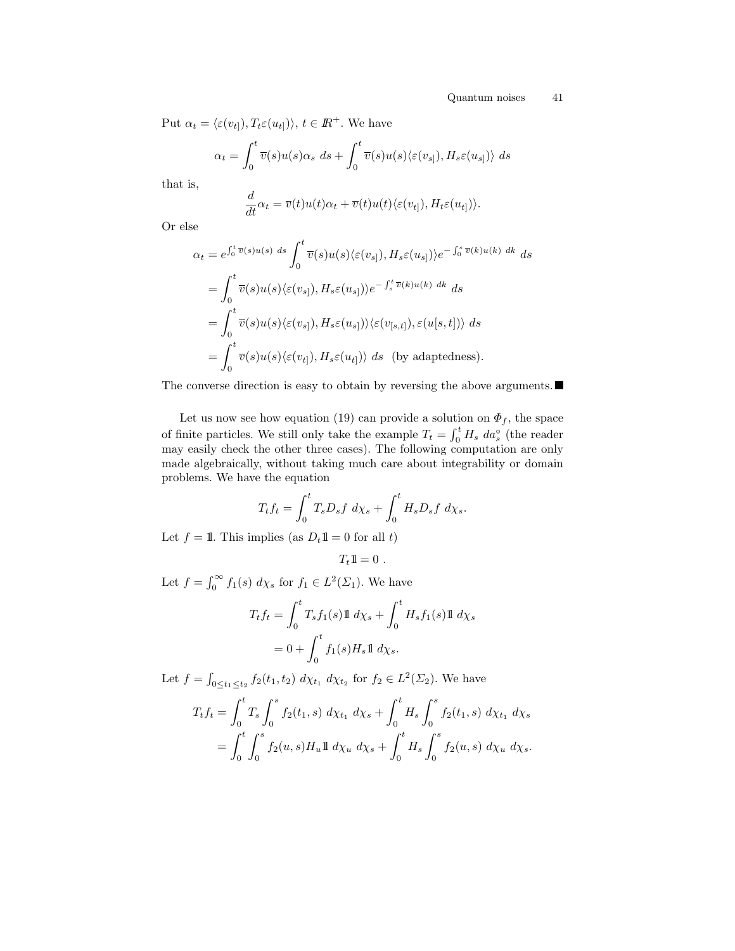Put  $\alpha_t = \langle \varepsilon(v_{t_l}), T_t \varepsilon(u_{t_l}) \rangle, t \in I\!\!R^+$ . We have

$$
\alpha_t = \int_0^t \overline{v}(s)u(s)\alpha_s \ ds + \int_0^t \overline{v}(s)u(s)\langle \varepsilon(v_{s}), H_s\varepsilon(u_{s]})\rangle \ ds
$$

that is,

$$
\frac{d}{dt}\alpha_t = \overline{v}(t)u(t)\alpha_t + \overline{v}(t)u(t)\langle \varepsilon(v_{t]}), H_t\varepsilon(u_{t]})\rangle.
$$

Or else

$$
\alpha_t = e^{\int_0^t \overline{v}(s)u(s) ds} \int_0^t \overline{v}(s)u(s) \langle \varepsilon(v_{s}], H_s \varepsilon(u_{s]}) \rangle e^{-\int_0^s \overline{v}(k)u(k) ds} ds
$$
  
\n
$$
= \int_0^t \overline{v}(s)u(s) \langle \varepsilon(v_{s}], H_s \varepsilon(u_{s]}) \rangle e^{-\int_s^t \overline{v}(k)u(k) ds} ds
$$
  
\n
$$
= \int_0^t \overline{v}(s)u(s) \langle \varepsilon(v_{s}], H_s \varepsilon(u_{s]}) \rangle \langle \varepsilon(v_{[s,t]}), \varepsilon(u[s,t]) \rangle ds
$$
  
\n
$$
= \int_0^t \overline{v}(s)u(s) \langle \varepsilon(v_{t}], H_s \varepsilon(u_{t]}) \rangle ds \text{ (by adaptedness)}.
$$

The converse direction is easy to obtain by reversing the above arguments.

Let us now see how equation (19) can provide a solution on  $\Phi_f$ , the space of finite particles. We still only take the example  $T_t = \int_0^t H_s \, da_s^{\circ}$  (the reader may easily check the other three cases). The following computation are only made algebraically, without taking much care about integrability or domain problems. We have the equation

$$
T_t f_t = \int_0^t T_s D_s f \ d\chi_s + \int_0^t H_s D_s f \ d\chi_s.
$$

Let  $f = 1$ . This implies (as  $D_t 1 = 0$  for all t)

$$
T_t 1\!\!1 = 0.
$$

Let  $f = \int_0^\infty f_1(s) \ d\chi_s$  for  $f_1 \in L^2(\Sigma_1)$ . We have

$$
T_t f_t = \int_0^t T_s f_1(s) \mathbb{1} \, d\chi_s + \int_0^t H_s f_1(s) \mathbb{1} \, d\chi_s
$$
  
=  $0 + \int_0^t f_1(s) H_s \mathbb{1} \, d\chi_s$ .

Let  $f = \int_{0 \le t_1 \le t_2} f_2(t_1, t_2) \ d\chi_{t_1} \ d\chi_{t_2}$  for  $f_2 \in L^2(\Sigma_2)$ . We have

$$
T_t f_t = \int_0^t T_s \int_0^s f_2(t_1, s) \ d\chi_{t_1} \ d\chi_s + \int_0^t H_s \int_0^s f_2(t_1, s) \ d\chi_{t_1} \ d\chi_s
$$
  
= 
$$
\int_0^t \int_0^s f_2(u, s) H_u \mathbb{1} \ d\chi_u \ d\chi_s + \int_0^t H_s \int_0^s f_2(u, s) \ d\chi_u \ d\chi_s.
$$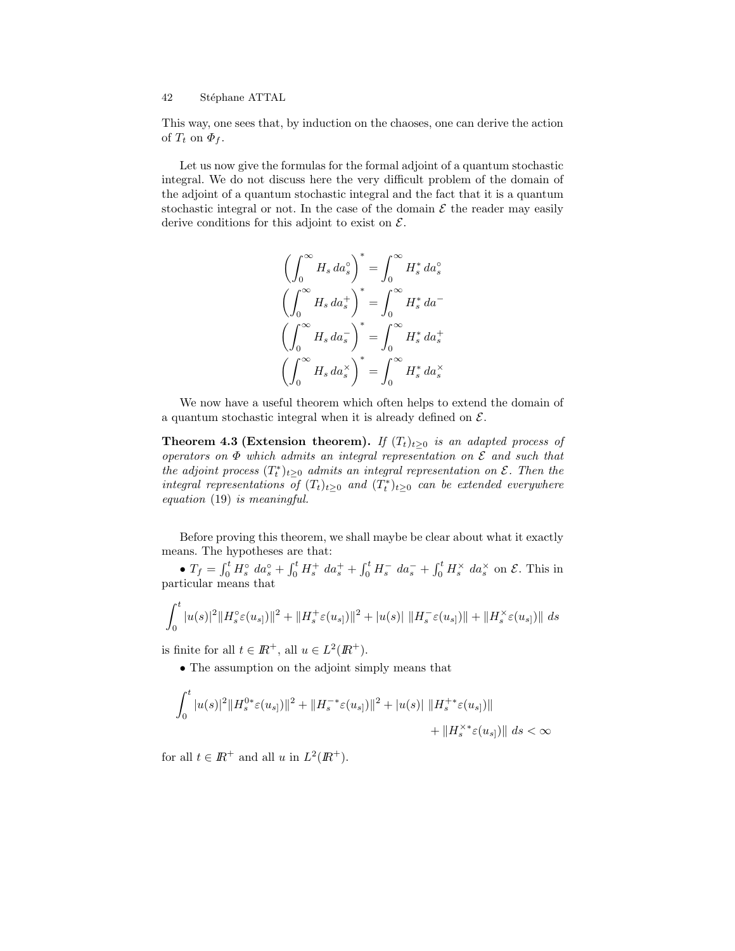This way, one sees that, by induction on the chaoses, one can derive the action of  $T_t$  on  $\Phi_f$ .

Let us now give the formulas for the formal adjoint of a quantum stochastic integral. We do not discuss here the very difficult problem of the domain of the adjoint of a quantum stochastic integral and the fact that it is a quantum stochastic integral or not. In the case of the domain  $\mathcal E$  the reader may easily derive conditions for this adjoint to exist on  $\mathcal{E}$ .

$$
\left(\int_0^\infty H_s \, da_s^\circ\right)^* = \int_0^\infty H_s^* \, da_s^\circ
$$

$$
\left(\int_0^\infty H_s \, da_s^+\right)^* = \int_0^\infty H_s^* \, da^-
$$

$$
\left(\int_0^\infty H_s \, da_s^-\right)^* = \int_0^\infty H_s^* \, da_s^+
$$

$$
\left(\int_0^\infty H_s \, da_s^\times\right)^* = \int_0^\infty H_s^* \, da_s^\times
$$

We now have a useful theorem which often helps to extend the domain of a quantum stochastic integral when it is already defined on  $\mathcal{E}$ .

**Theorem 4.3 (Extension theorem).** If  $(T_t)_{t>0}$  is an adapted process of operators on  $\Phi$  which admits an integral representation on  $\mathcal E$  and such that the adjoint process  $(T_t^*)_{t\geq 0}$  admits an integral representation on  $\mathcal{E}$ . Then the integral representations of  $(T_t)_{t\geq 0}$  and  $(T_t^*)_{t\geq 0}$  can be extended everywhere equation (19) is meaningful.

Before proving this theorem, we shall maybe be clear about what it exactly means. The hypotheses are that:

•  $T_f = \int_0^t H_s^{\circ} da_s^{\circ} + \int_0^t H_s^+ da_s^+ + \int_0^t H_s^- da_s^- + \int_0^t H_s^{\times} da_s^{\times}$  on  $\mathcal{E}$ . This in particular means that

$$
\int_0^t |u(s)|^2 ||H_s^\circ \varepsilon (u_{s_1})||^2 + ||H_s^+ \varepsilon (u_{s_1})||^2 + |u(s)| ||H_s^- \varepsilon (u_{s_1})|| + ||H_s^\times \varepsilon (u_{s_1})|| ds
$$

is finite for all  $t \in \mathbb{R}^+$ , all  $u \in L^2(\mathbb{R}^+)$ .

• The assumption on the adjoint simply means that

$$
\int_0^t |u(s)|^2 \|H_s^{0*}\varepsilon(u_{s})\|^2 + \|H_s^{-*}\varepsilon(u_{s})\|^2 + |u(s)| \|H_s^{+*}\varepsilon(u_{s})\| + \|H_s^{\times*}\varepsilon(u_{s})\| ds < \infty
$$

for all  $t \in \mathbb{R}^+$  and all u in  $L^2(\mathbb{R}^+)$ .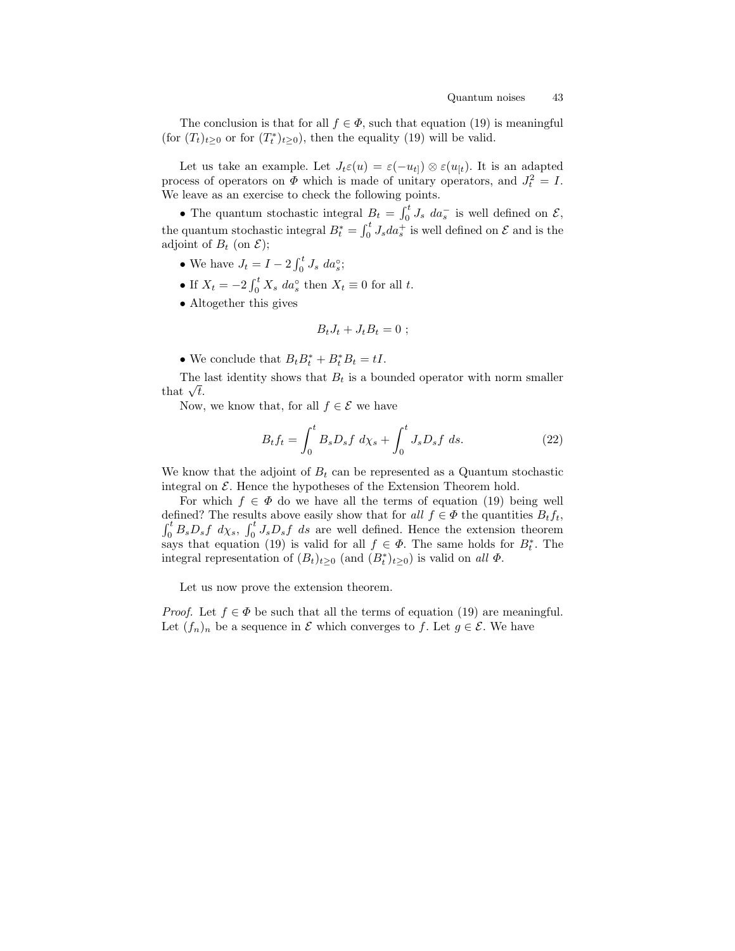The conclusion is that for all  $f \in \Phi$ , such that equation (19) is meaningful (for  $(T_t)_{t\geq 0}$  or for  $(T_t^*)_{t\geq 0}$ ), then the equality (19) will be valid.

Let us take an example. Let  $J_t \varepsilon(u) = \varepsilon(-u_t) \otimes \varepsilon(u_t)$ . It is an adapted process of operators on  $\Phi$  which is made of unitary operators, and  $J_t^2 = I$ . We leave as an exercise to check the following points.

• The quantum stochastic integral  $B_t = \int_0^t J_s \, da_s^-$  is well defined on  $\mathcal{E}$ , the quantum stochastic integral  $B_t^* = \int_0^t J_s da_s^+$  is well defined on  $\mathcal E$  and is the adjoint of  $B_t$  (on  $\mathcal{E}$ );

- We have  $J_t = I 2 \int_0^t J_s \, da_s^{\circ}$ ;
- If  $X_t = -2 \int_0^t X_s \, da_s^{\circ}$  then  $X_t \equiv 0$  for all t.
- Altogether this gives

$$
B_t J_t + J_t B_t = 0 ;
$$

• We conclude that  $B_t B_t^* + B_t^* B_t = tI$ .

The last identity shows that  $B_t$  is a bounded operator with norm smaller  $\frac{1}{\pi}$  that  $\sqrt{t}$ .

Now, we know that, for all  $f \in \mathcal{E}$  we have

$$
B_t f_t = \int_0^t B_s D_s f \, d\chi_s + \int_0^t J_s D_s f \, ds. \tag{22}
$$

We know that the adjoint of  $B_t$  can be represented as a Quantum stochastic integral on  $\mathcal E$ . Hence the hypotheses of the Extension Theorem hold.

For which  $f \in \Phi$  do we have all the terms of equation (19) being well defined? The results above easily show that for all  $f \in \Phi$  the quantities  $B_t f_t$ ,  $\int_0^t B_s D_s f \, d\chi_s, \int_0^t J_s D_s f \, ds$  are well defined. Hence the extension theorem says that equation (19) is valid for all  $f \in \Phi$ . The same holds for  $B_t^*$ . The integral representation of  $(B_t)_{t\geq0}$  (and  $(B_t^*)_{t\geq0}$ ) is valid on all  $\Phi$ .

Let us now prove the extension theorem.

*Proof.* Let  $f \in \Phi$  be such that all the terms of equation (19) are meaningful. Let  $(f_n)_n$  be a sequence in  $\mathcal E$  which converges to f. Let  $g \in \mathcal E$ . We have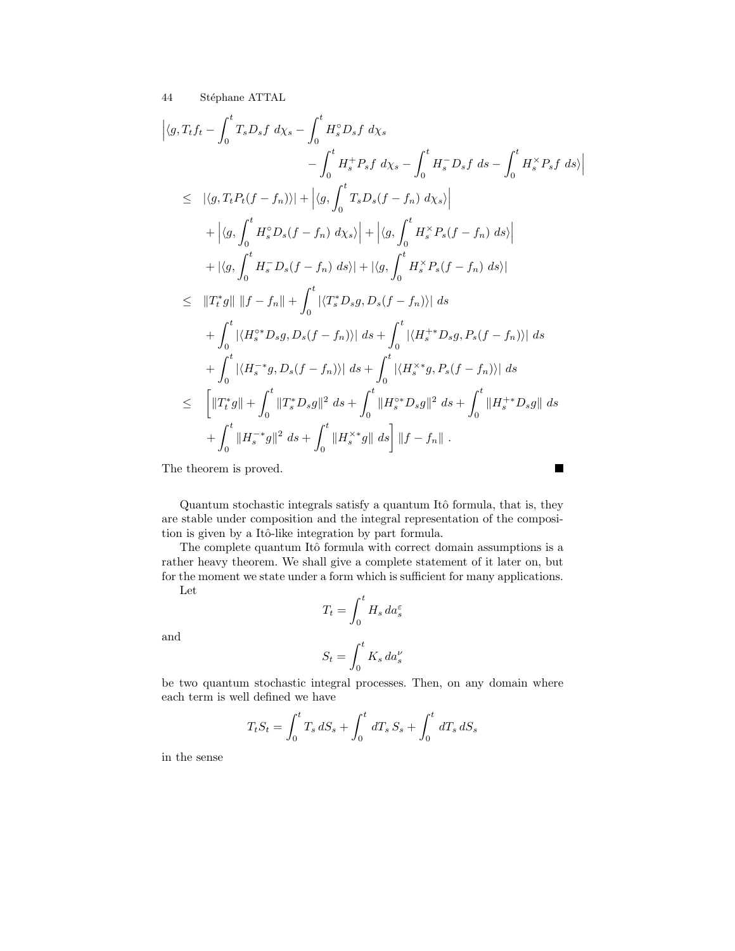$$
\left| \langle g, T_t f_t - \int_0^t T_s D_s f \, d\chi_s - \int_0^t H_s^{\circ} D_s f \, d\chi_s \right|
$$
  
\n
$$
- \int_0^t H_s^+ P_s f \, d\chi_s - \int_0^t H_s^- D_s f \, ds - \int_0^t H_s^{\times} P_s f \, ds \rangle
$$
  
\n
$$
\leq \left| \langle g, T_t P_t (f - f_n) \rangle \right| + \left| \langle g, \int_0^t T_s D_s (f - f_n) \, d\chi_s \rangle \right|
$$
  
\n
$$
+ \left| \langle g, \int_0^t H_s^{\circ} D_s (f - f_n) \, d\chi_s \rangle \right| + \left| \langle g, \int_0^t H_s^{\times} P_s (f - f_n) \, ds \rangle \right|
$$
  
\n
$$
+ \left| \langle g, \int_0^t H_s^- D_s (f - f_n) \, ds \rangle \right| + \left| \langle g, \int_0^t H_s^{\times} P_s (f - f_n) \, ds \rangle \right|
$$
  
\n
$$
\leq ||T_t^* g|| ||f - f_n|| + \int_0^t |\langle T_s^* D_s g, D_s (f - f_n) \rangle| \, ds
$$
  
\n
$$
+ \int_0^t |\langle H_s^{-*} g, D_s (f - f_n) \rangle| \, ds + \int_0^t |\langle H_s^{+*} D_s g, P_s (f - f_n) \rangle| \, ds
$$
  
\n
$$
\leq \left[ ||T_t^* g|| + \int_0^t ||T_s^* D_s g||^2 \, ds + \int_0^t ||H_s^{<*} D_s g||^2 \, ds + \int_0^t ||H_s^{+*} D_s g|| \, ds
$$
  
\n
$$
+ \int_0^t ||H_s^{-*} g||^2 \, ds + \int_0^t ||H_s^{<*} g|| \, ds \right] ||f - f_n ||.
$$

 $\overline{\phantom{a}}$  $\overline{\phantom{a}}$  $\overline{\phantom{a}}$ 

 $\blacksquare$ 

The theorem is proved.

Quantum stochastic integrals satisfy a quantum Itô formula, that is, they are stable under composition and the integral representation of the composition is given by a Itô-like integration by part formula.

The complete quantum Itô formula with correct domain assumptions is a rather heavy theorem. We shall give a complete statement of it later on, but for the moment we state under a form which is sufficient for many applications.

Let

$$
T_t = \int_0^t H_s \, da_s^{\varepsilon}
$$

and

$$
S_t = \int_0^t K_s \, da_s^{\nu}
$$

be two quantum stochastic integral processes. Then, on any domain where each term is well defined we have

$$
T_t S_t = \int_0^t T_s \, dS_s + \int_0^t dT_s \, S_s + \int_0^t dT_s \, dS_s
$$

in the sense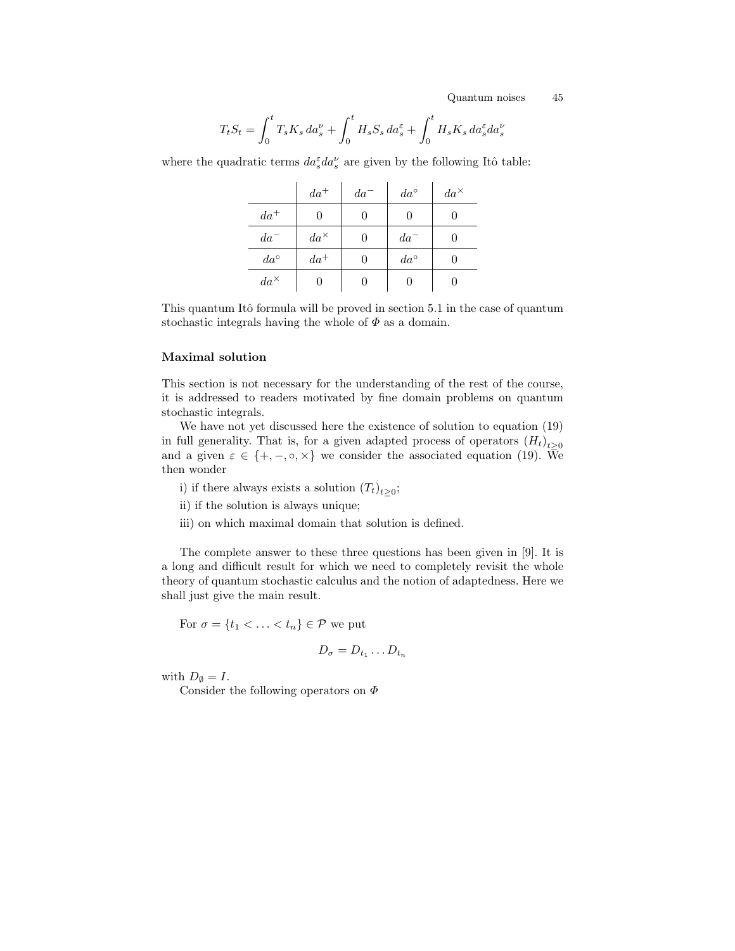$$
T_t S_t = \int_0^t T_s K_s \, da_s^{\nu} + \int_0^t H_s S_s \, da_s^{\varepsilon} + \int_0^t H_s K_s \, da_s^{\varepsilon} da_s^{\nu}
$$

where the quadratic terms  $da_s^{\varepsilon} da_s^{\nu}$  are given by the following Itô table:

|               | $da^+$      | $da^-$ | $da^{\circ}$ | $da^{\times}$ |
|---------------|-------------|--------|--------------|---------------|
| $da^+$        |             |        |              |               |
| $da^-$        | $da^\times$ |        | $da^-$       |               |
| $da^{\circ}$  | $da^+$      |        | $da^{\circ}$ |               |
| $da^{\times}$ |             |        |              |               |

This quantum Itô formula will be proved in section 5.1 in the case of quantum stochastic integrals having the whole of  $\Phi$  as a domain.

# Maximal solution

This section is not necessary for the understanding of the rest of the course, it is addressed to readers motivated by fine domain problems on quantum stochastic integrals.

We have not yet discussed here the existence of solution to equation (19) in full generality. That is, for a given adapted process of operators  $(H_t)_{t\geq 0}$ and a given  $\varepsilon \in \{+, -, \circ, \times\}$  we consider the associated equation (19). We then wonder

- i) if there always exists a solution  $(T_t)_{t\geq 0}$ ;
- ii) if the solution is always unique;
- iii) on which maximal domain that solution is defined.

The complete answer to these three questions has been given in [9]. It is a long and difficult result for which we need to completely revisit the whole theory of quantum stochastic calculus and the notion of adaptedness. Here we shall just give the main result.

For  $\sigma = \{t_1 < \ldots < t_n\} \in \mathcal{P}$  we put

$$
D_{\sigma}=D_{t_1}\ldots D_{t_n}
$$

with  $D_{\emptyset} = I$ .

Consider the following operators on  $\Phi$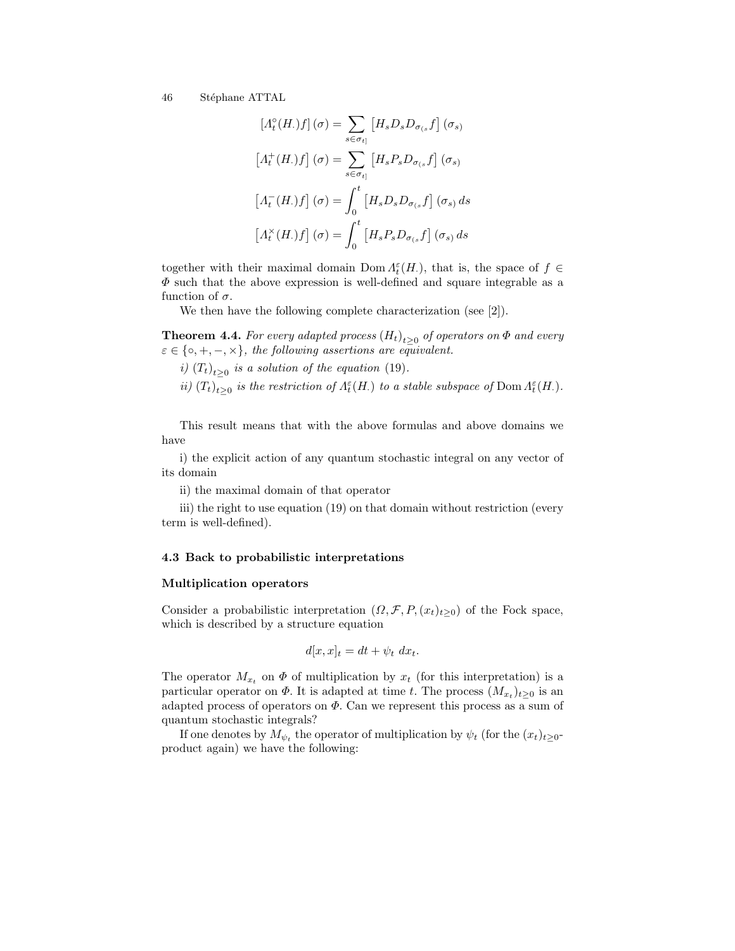$$
[A_t^{\circ}(H.)f](\sigma) = \sum_{s \in \sigma_{t}} [H_s D_s D_{\sigma(s} f](\sigma_s)
$$

$$
[A_t^+(H.)f](\sigma) = \sum_{s \in \sigma_{t}} [H_s P_s D_{\sigma(s} f](\sigma_s)
$$

$$
[A_t^-(H.)f](\sigma) = \int_0^t [H_s D_s D_{\sigma(s} f](\sigma_s) ds
$$

$$
[A_t^{\times}(H.)f](\sigma) = \int_0^t [H_s P_s D_{\sigma(s} f](\sigma_s) ds
$$

together with their maximal domain Dom  $\Lambda_t^{\varepsilon}(H)$ , that is, the space of  $f \in$  $\Phi$  such that the above expression is well-defined and square integrable as a function of  $\sigma$ .

We then have the following complete characterization (see [2]).

**Theorem 4.4.** For every adapted process  $(H_t)_{t\geq 0}$  of operators on  $\Phi$  and every  $\varepsilon \in \{\circ, +, -, \times\}$ , the following assertions are equivalent.

i)  $(T_t)_{t\geq 0}$  is a solution of the equation (19).

*ii*)  $(T_t)_{t\geq 0}$  *is the restriction of*  $\Lambda_t^{\varepsilon}(H)$  *to a stable subspace of* Dom  $\Lambda_t^{\varepsilon}(H)$ .

This result means that with the above formulas and above domains we have

i) the explicit action of any quantum stochastic integral on any vector of its domain

ii) the maximal domain of that operator

iii) the right to use equation (19) on that domain without restriction (every term is well-defined).

#### 4.3 Back to probabilistic interpretations

### Multiplication operators

Consider a probabilistic interpretation  $(\Omega, \mathcal{F}, P, (x_t)_{t\geq 0})$  of the Fock space, which is described by a structure equation

$$
d[x, x]_t = dt + \psi_t dx_t.
$$

The operator  $M_{x_t}$  on  $\Phi$  of multiplication by  $x_t$  (for this interpretation) is a particular operator on  $\Phi$ . It is adapted at time t. The process  $(M_{x_t})_{t\geq0}$  is an adapted process of operators on  $\Phi$ . Can we represent this process as a sum of quantum stochastic integrals?

If one denotes by  $M_{\psi_t}$  the operator of multiplication by  $\psi_t$  (for the  $(x_t)_{t\geq 0}$ product again) we have the following: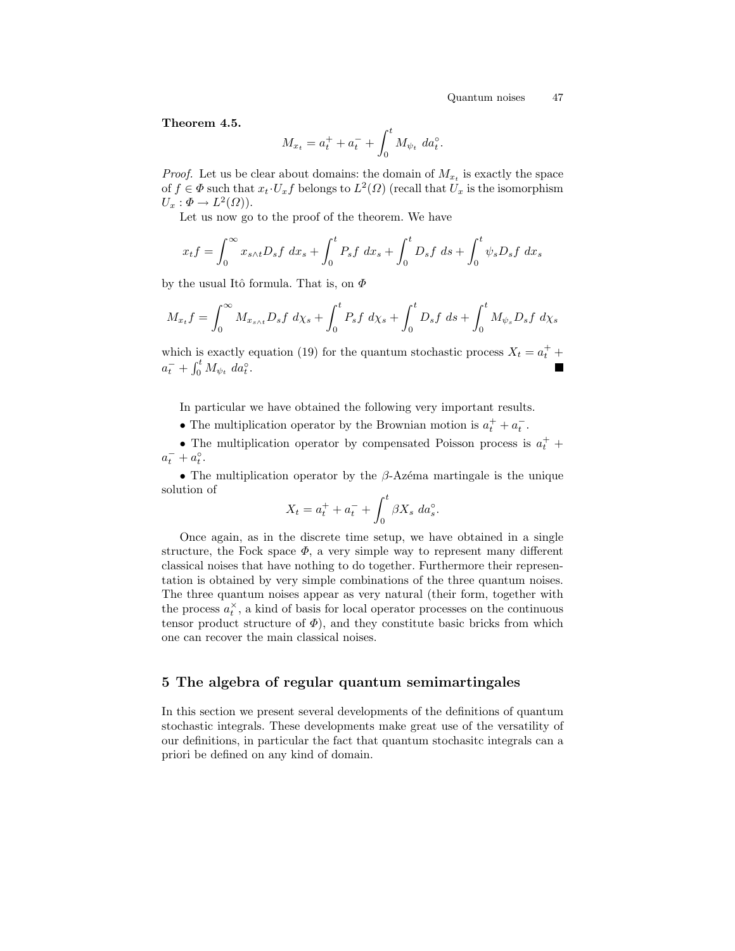Theorem 4.5.

$$
M_{x_t} = a_t^+ + a_t^- + \int_0^t M_{\psi_t} \, da_t^{\circ}.
$$

*Proof.* Let us be clear about domains: the domain of  $M_{x_t}$  is exactly the space of  $f \in \Phi$  such that  $x_t \cdot U_x f$  belongs to  $L^2(\Omega)$  (recall that  $U_x$  is the isomorphism  $U_x: \Phi \to L^2(\Omega)$ ).

Let us now go to the proof of the theorem. We have

$$
x_t f = \int_0^\infty x_{s \wedge t} D_s f \, dx_s + \int_0^t P_s f \, dx_s + \int_0^t D_s f \, ds + \int_0^t \psi_s D_s f \, dx_s
$$

by the usual Itô formula. That is, on  $\Phi$ 

$$
M_{x_t}f = \int_0^{\infty} M_{x_{s \wedge t}} D_s f \, d\chi_s + \int_0^t P_s f \, d\chi_s + \int_0^t D_s f \, ds + \int_0^t M_{\psi_s} D_s f \, d\chi_s
$$

which is exactly equation (19) for the quantum stochastic process  $X_t = a_t^+ + a_t^$  $a_t^- + \int_0^t M_{\psi_t} da_t^{\circ}.$ 

In particular we have obtained the following very important results.

• The multiplication operator by the Brownian motion is  $a_t^+ + a_t^-$ .

• The multiplication operator by compensated Poisson process is  $a_t^+$  +  $a_t^- + a_t^{\circ}$ .

• The multiplication operator by the  $\beta$ -Azema martingale is the unique solution of

$$
X_t = a_t^+ + a_t^- + \int_0^t \beta X_s \, da_s^{\circ}.
$$

Once again, as in the discrete time setup, we have obtained in a single structure, the Fock space  $\Phi$ , a very simple way to represent many different classical noises that have nothing to do together. Furthermore their representation is obtained by very simple combinations of the three quantum noises. The three quantum noises appear as very natural (their form, together with the process  $a_t^{\times}$ , a kind of basis for local operator processes on the continuous tensor product structure of  $\Phi$ ), and they constitute basic bricks from which one can recover the main classical noises.

# 5 The algebra of regular quantum semimartingales

In this section we present several developments of the definitions of quantum stochastic integrals. These developments make great use of the versatility of our definitions, in particular the fact that quantum stochasitc integrals can a priori be defined on any kind of domain.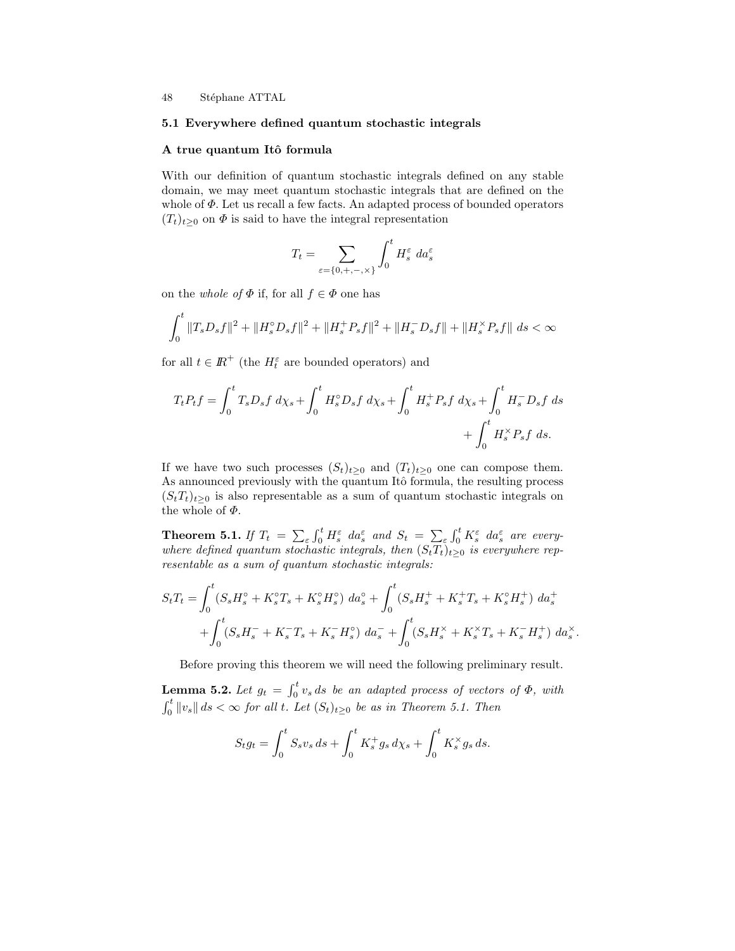#### 5.1 Everywhere defined quantum stochastic integrals

### A true quantum Itô formula

With our definition of quantum stochastic integrals defined on any stable domain, we may meet quantum stochastic integrals that are defined on the whole of Φ. Let us recall a few facts. An adapted process of bounded operators  $(T_t)_{t\geq0}$  on  $\Phi$  is said to have the integral representation

$$
T_t = \sum_{\varepsilon = \{0, +, -, \times\}} \int_0^t H_s^{\varepsilon} \, da_s^{\varepsilon}
$$

on the *whole of*  $\Phi$  if, for all  $f \in \Phi$  one has

$$
\int_0^t \|T_s D_s f\|^2 + \|H_s^{\circ} D_s f\|^2 + \|H_s^+ P_s f\|^2 + \|H_s^- D_s f\| + \|H_s^{\times} P_s f\| \, ds < \infty
$$

for all  $t \in \mathbb{R}^+$  (the  $H_t^{\varepsilon}$  are bounded operators) and

$$
T_t P_t f = \int_0^t T_s D_s f \, d\chi_s + \int_0^t H_s^{\circ} D_s f \, d\chi_s + \int_0^t H_s^+ P_s f \, d\chi_s + \int_0^t H_s^- D_s f \, ds + \int_0^t H_s^{\times} P_s f \, ds.
$$

If we have two such processes  $(S_t)_{t\geq0}$  and  $(T_t)_{t\geq0}$  one can compose them. As announced previously with the quantum Itô formula, the resulting process  $(S_tT_t)_{t\geq 0}$  is also representable as a sum of quantum stochastic integrals on the whole of  $\Phi$ .

**Theorem 5.1.** If  $T_t = \sum_{\varepsilon} \int_0^t H_s^{\varepsilon} da_s^{\varepsilon}$  and  $S_t = \sum_{\varepsilon} \int_0^t K_s^{\varepsilon} da_s^{\varepsilon}$  are everywhere defined quantum stochastic integrals, then  $(S_tT_t)_{t\geq0}$  is everywhere representable as a sum of quantum stochastic integrals:

$$
S_t T_t = \int_0^t (S_s H_s^\circ + K_s^\circ T_s + K_s^\circ H_s^\circ) \, da_s^{\circ} + \int_0^t (S_s H_s^+ + K_s^+ T_s + K_s^\circ H_s^+) \, da_s^+
$$
  
+ 
$$
\int_0^t (S_s H_s^- + K_s^- T_s + K_s^- H_s^\circ) \, da_s^- + \int_0^t (S_s H_s^\times + K_s^\times T_s + K_s^- H_s^+) \, da_s^\times.
$$

Before proving this theorem we will need the following preliminary result.

**Lemma 5.2.** Let  $g_t = \int_0^t v_s ds$  be an adapted process of vectors of  $\Phi$ , with  $\int_0^t ||v_s|| ds < \infty$  for all t. Let  $(S_t)_{t \geq 0}$  be as in Theorem 5.1. Then

$$
S_t g_t = \int_0^t S_s v_s \, ds + \int_0^t K_s^+ g_s \, d\chi_s + \int_0^t K_s^\times g_s \, ds.
$$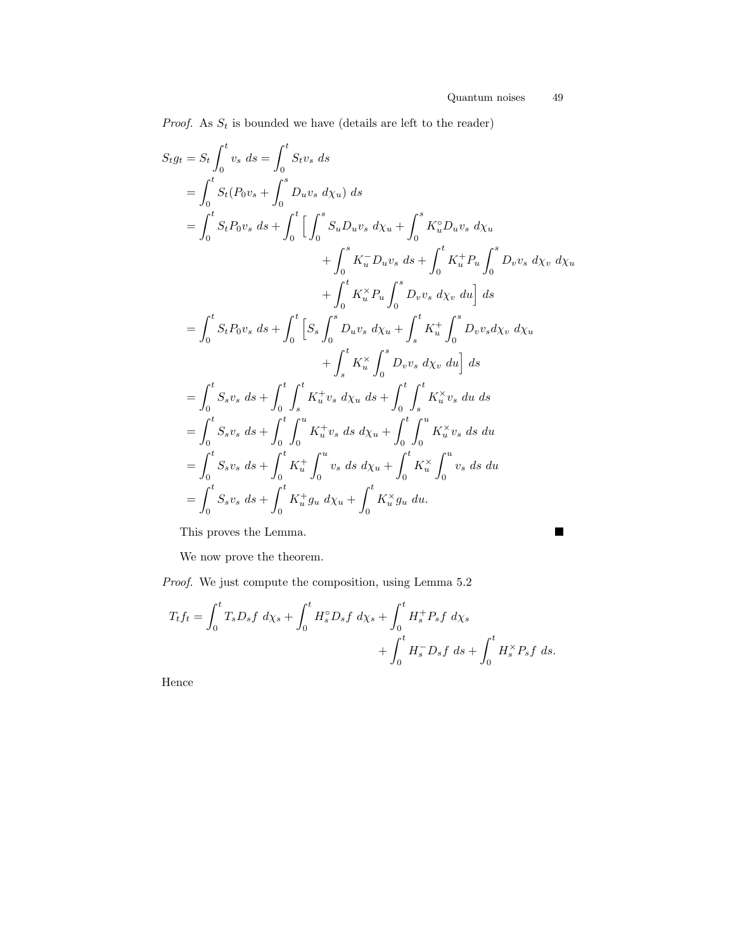$\blacksquare$ 

*Proof.* As  $S_t$  is bounded we have (details are left to the reader)

$$
S_{t}g_{t} = S_{t} \int_{0}^{t} v_{s} ds = \int_{0}^{t} S_{t}v_{s} ds
$$
  
\n
$$
= \int_{0}^{t} S_{t}(P_{0}v_{s} + \int_{0}^{s} D_{u}v_{s} d\chi_{u}) ds
$$
  
\n
$$
= \int_{0}^{t} S_{t}P_{0}v_{s} ds + \int_{0}^{t} \Big[\int_{0}^{s} S_{u}D_{u}v_{s} d\chi_{u} + \int_{0}^{s} K_{u}^{c}D_{u}v_{s} d\chi_{u}
$$
  
\n
$$
+ \int_{0}^{s} K_{u}^{-}D_{u}v_{s} ds + \int_{0}^{t} K_{u}^{+}P_{u} \int_{0}^{s} D_{v}v_{s} d\chi_{v} d\chi_{u}
$$
  
\n
$$
+ \int_{0}^{t} K_{u}^{x}P_{u} \int_{0}^{s} D_{v}v_{s} d\chi_{v} du \Big] ds
$$
  
\n
$$
= \int_{0}^{t} S_{t}P_{0}v_{s} ds + \int_{0}^{t} \Big[S_{s} \int_{0}^{s} D_{u}v_{s} d\chi_{u} + \int_{s}^{t} K_{u}^{+} \int_{0}^{s} D_{v}v_{s} d\chi_{v} d\chi_{u}
$$
  
\n
$$
+ \int_{s}^{t} K_{u}^{x} \int_{0}^{s} D_{v}v_{s} d\chi_{v} du \Big] ds
$$
  
\n
$$
= \int_{0}^{t} S_{s}v_{s} ds + \int_{0}^{t} \int_{s}^{t} K_{u}^{+}v_{s} d\chi_{u} ds + \int_{0}^{t} \int_{s}^{t} K_{u}^{x}v_{s} du ds
$$
  
\n
$$
= \int_{0}^{t} S_{s}v_{s} ds + \int_{0}^{t} \int_{0}^{u} K_{u}^{+}v_{s} ds d\chi_{u} + \int_{0}^{t} \int_{0}^{u} K_{u}^{x}v_{s} ds du
$$
  
\n
$$
= \int_{0}^{t} S_{s}v_{s} ds + \int_{0}^{t} K_{u}^{+} \int_{0}^{u} v_{s
$$

This proves the Lemma.

We now prove the theorem.

Proof. We just compute the composition, using Lemma 5.2

$$
T_t f_t = \int_0^t T_s D_s f \, d\chi_s + \int_0^t H_s^{\circ} D_s f \, d\chi_s + \int_0^t H_s^+ P_s f \, d\chi_s + \int_0^t H_s^- D_s f \, ds + \int_0^t H_s^{\times} P_s f \, ds.
$$

Hence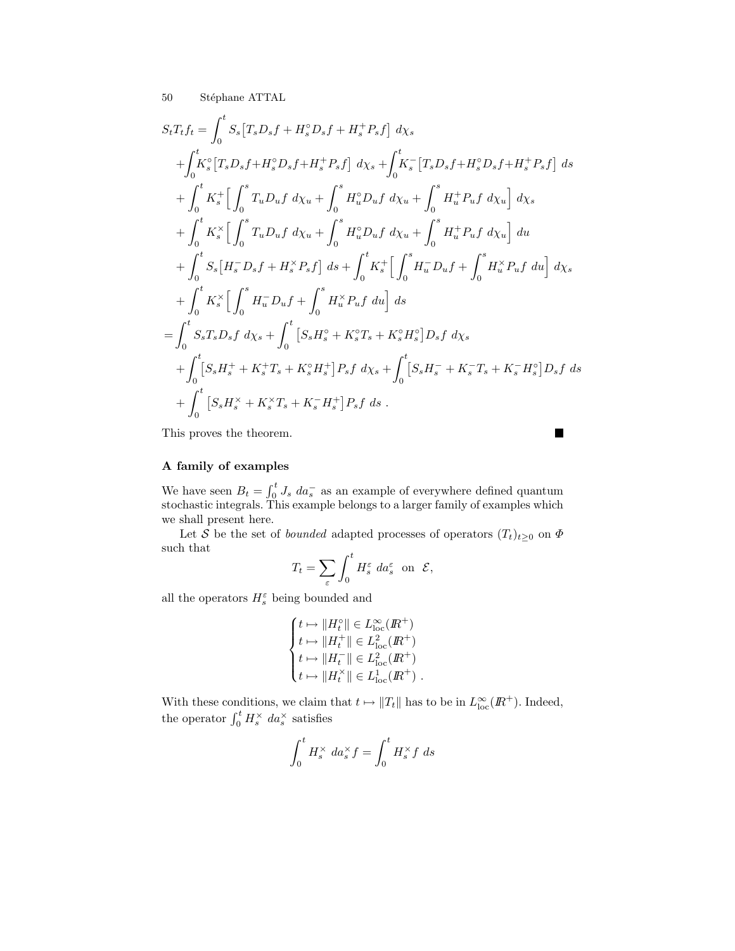$$
S_{t}T_{t}f_{t} = \int_{0}^{t} S_{s}[T_{s}D_{s}f + H_{s}^{\circ}D_{s}f + H_{s}^{+}P_{s}f] d\chi_{s}
$$
  
+ 
$$
\int_{0}^{t} K_{s}^{\circ}[T_{s}D_{s}f + H_{s}^{\circ}D_{s}f + H_{s}^{+}P_{s}f] d\chi_{s} + \int_{0}^{t} K_{s}^{-}[T_{s}D_{s}f + H_{s}^{+}P_{s}f] ds
$$
  
+ 
$$
\int_{0}^{t} K_{s}^{+} \Big[\int_{0}^{s} T_{u}D_{u}f d\chi_{u} + \int_{0}^{s} H_{u}^{\circ}D_{u}f d\chi_{u} + \int_{0}^{s} H_{u}^{+}P_{u}f d\chi_{u}\Big] d\chi_{s}
$$
  
+ 
$$
\int_{0}^{t} K_{s}^{\times} \Big[\int_{0}^{s} T_{u}D_{u}f d\chi_{u} + \int_{0}^{s} H_{u}^{\circ}D_{u}f d\chi_{u} + \int_{0}^{s} H_{u}^{+}P_{u}f d\chi_{u}\Big] du
$$
  
+ 
$$
\int_{0}^{t} S_{s}[H_{s}^{-}D_{s}f + H_{s}^{\times}P_{s}f] ds + \int_{0}^{t} K_{s}^{+} \Big[\int_{0}^{s} H_{u}^{-}D_{u}f + \int_{0}^{s} H_{u}^{\times}P_{u}f du\Big] d\chi_{s}
$$
  
+ 
$$
\int_{0}^{t} K_{s}^{\times} \Big[\int_{0}^{s} H_{u}^{-}D_{u}f + \int_{0}^{s} H_{u}^{\times}P_{u}f du\Big] ds
$$
  
= 
$$
\int_{0}^{t} S_{s}T_{s}D_{s}f d\chi_{s} + \int_{0}^{t} [S_{s}H_{s}^{\circ} + K_{s}^{\circ}T_{s} + K_{s}^{\circ}H_{s}^{\circ}]D_{s}f d\chi_{s}
$$
  
+ 
$$
\int_{0}^{t} [S_{s}H_{s}^{+} + K_{s}^{+}T_{s} + K_{s}^{\circ}H_{s}^{+}]P_{s}f d\chi_{s} + \int_{
$$

This proves the theorem.

# A family of examples

We have seen  $B_t = \int_0^t J_s \, da_s^-$  as an example of everywhere defined quantum stochastic integrals. This example belongs to a larger family of examples which we shall present here.

 $\blacksquare$ 

Let S be the set of *bounded* adapted processes of operators  $(T_t)_{t\geq0}$  on  $\Phi$ such that

$$
T_t = \sum_{\varepsilon} \int_0^t H_s^{\varepsilon} \, da_s^{\varepsilon} \text{ on } \mathcal{E},
$$

all the operators  $H_s^{\varepsilon}$  being bounded and

$$
\begin{cases} t \mapsto \|H_t^\circ\| \in L^\infty_{\text{loc}}(I\!\!R^+)\\ t \mapsto \|H_t^+\| \in L^2_{\text{loc}}(I\!\!R^+)\\ t \mapsto \|H_t^-\| \in L^2_{\text{loc}}(I\!\!R^+)\\ t \mapsto \|H_t^\times\| \in L^1_{\text{loc}}(I\!\!R^+) \ . \end{cases}
$$

With these conditions, we claim that  $t \mapsto ||T_t||$  has to be in  $L^{\infty}_{loc}(\mathbb{R}^+)$ . Indeed, the operator  $\int_0^t H_s^{\times} da_s^{\times}$  satisfies

$$
\int_0^t H_s^\times \, da_s^\times f = \int_0^t H_s^\times f \, ds
$$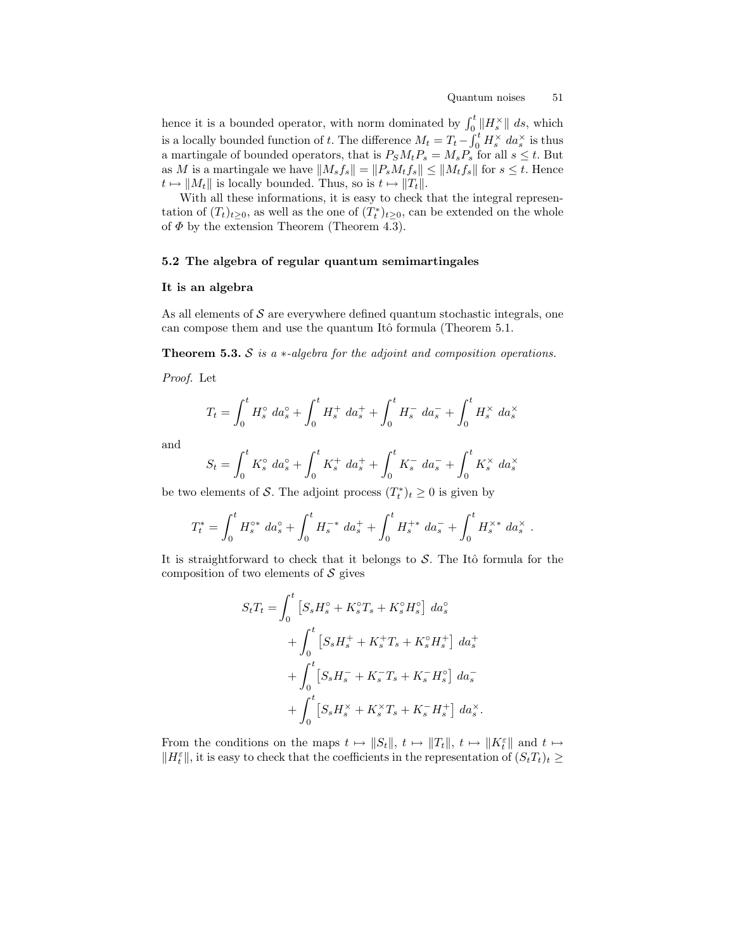hence it is a bounded operator, with norm dominated by  $\int_0^t \|H_s^\times\| \ ds$ , which is a locally bounded function of t. The difference  $M_t = T_t - \int_0^t H_s^{\times} d a_s^{\times}$  is thus a martingale of bounded operators, that is  $P_S M_t P_s = M_s P_s$  for all  $s \leq t$ . But as M is a martingale we have  $||M_s f_s|| = ||P_s M_t f_s|| \le ||M_t f_s||$  for  $s \le t$ . Hence  $t \mapsto ||M_t||$  is locally bounded. Thus, so is  $t \mapsto ||T_t||$ .

With all these informations, it is easy to check that the integral representation of  $(T_t)_{t\geq0}$ , as well as the one of  $(T_t^*)_{t\geq0}$ , can be extended on the whole of  $\Phi$  by the extension Theorem (Theorem 4.3).

# 5.2 The algebra of regular quantum semimartingales

#### It is an algebra

As all elements of  $\mathcal S$  are everywhere defined quantum stochastic integrals, one can compose them and use the quantum Itô formula (Theorem 5.1.

**Theorem 5.3.**  $S$  is a  $\ast$ -algebra for the adjoint and composition operations.

Proof. Let

$$
T_t = \int_0^t H_s^{\circ} da_s^{\circ} + \int_0^t H_s^+ da_s^+ + \int_0^t H_s^- da_s^- + \int_0^t H_s^{\times} da_s^{\times}
$$

and

$$
S_t = \int_0^t K_s^{\circ} da_s^{\circ} + \int_0^t K_s^+ da_s^+ + \int_0^t K_s^- da_s^- + \int_0^t K_s^{\times} da_s^{\times}
$$

be two elements of S. The adjoint process  $(T_t^*)_t \geq 0$  is given by

$$
T_t^* = \int_0^t H_s^{\circ*} \, da_s^{\circ} + \int_0^t H_s^{-*} \, da_s^+ + \int_0^t H_s^{+*} \, da_s^- + \int_0^t H_s^{\times*} \, da_s^{\times} \, .
$$

It is straightforward to check that it belongs to  $S$ . The Itô formula for the composition of two elements of  $S$  gives

$$
S_t T_t = \int_0^t \left[ S_s H_s^\circ + K_s^\circ T_s + K_s^\circ H_s^\circ \right] \, da_s^\circ
$$
  
+ 
$$
\int_0^t \left[ S_s H_s^+ + K_s^+ T_s + K_s^\circ H_s^+ \right] \, da_s^+
$$
  
+ 
$$
\int_0^t \left[ S_s H_s^- + K_s^- T_s + K_s^- H_s^\circ \right] \, da_s^-
$$
  
+ 
$$
\int_0^t \left[ S_s H_s^\times + K_s^\times T_s + K_s^- H_s^+ \right] \, da_s^\times.
$$

From the conditions on the maps  $t \mapsto ||S_t||, t \mapsto ||T_t||, t \mapsto ||K_t^{\varepsilon}||$  and  $t \mapsto$  $||H_t^{\varepsilon}||$ , it is easy to check that the coefficients in the representation of  $(S_tT_t)_t \ge$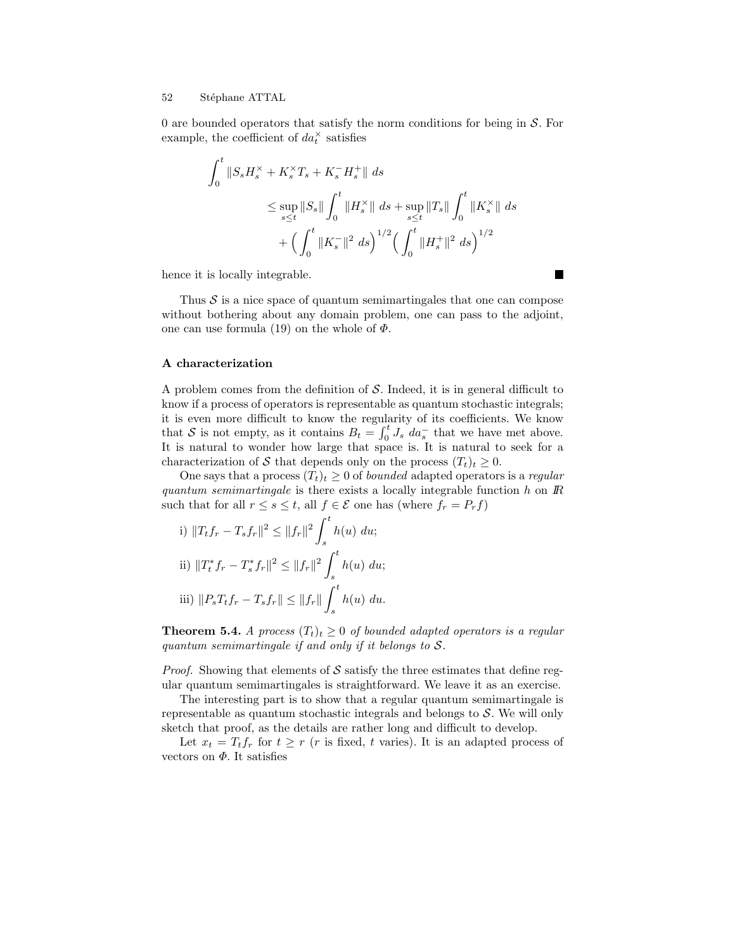0 are bounded operators that satisfy the norm conditions for being in  $S$ . For example, the coefficient of  $da_t^{\times}$  satisfies

$$
\int_0^t \|S_s H_s^{\times} + K_s^{\times} T_s + K_s^- H_s^+ \| ds
$$
  
\n
$$
\leq \sup_{s \leq t} \|S_s\| \int_0^t \|H_s^{\times}\| ds + \sup_{s \leq t} \|T_s\| \int_0^t \|K_s^{\times}\| ds
$$
  
\n
$$
+ \left(\int_0^t \|K_s^-\|^2 ds\right)^{1/2} \left(\int_0^t \|H_s^+\|^2 ds\right)^{1/2}
$$

hence it is locally integrable.

Thus  $S$  is a nice space of quantum semimartingales that one can compose without bothering about any domain problem, one can pass to the adjoint, one can use formula (19) on the whole of  $\Phi$ .

П

#### A characterization

A problem comes from the definition of  $S$ . Indeed, it is in general difficult to know if a process of operators is representable as quantum stochastic integrals; it is even more difficult to know the regularity of its coefficients. We know that S is not empty, as it contains  $B_t = \int_0^t J_s \, da_s^-$  that we have met above. It is natural to wonder how large that space is. It is natural to seek for a characterization of S that depends only on the process  $(T_t)_t \geq 0$ .

One says that a process  $(T_t)_t \geq 0$  of *bounded* adapted operators is a *regular* quantum semimartingale is there exists a locally integrable function  $h$  on  $\mathbb{R}$ such that for all  $r \leq s \leq t$ , all  $f \in \mathcal{E}$  one has (where  $f_r = P_r f$ )

i) 
$$
||T_t f_r - T_s f_r||^2 \le ||f_r||^2 \int_s^t h(u) du;
$$
  
\nii)  $||T_t^* f_r - T_s^* f_r||^2 \le ||f_r||^2 \int_s^t h(u) du;$   
\niii)  $||P_s T_t f_r - T_s f_r|| \le ||f_r|| \int_s^t h(u) du.$ 

**Theorem 5.4.** A process  $(T_t)_t \geq 0$  of bounded adapted operators is a regular quantum semimartingale if and only if it belongs to  $S$ .

*Proof.* Showing that elements of S satisfy the three estimates that define regular quantum semimartingales is straightforward. We leave it as an exercise.

The interesting part is to show that a regular quantum semimartingale is representable as quantum stochastic integrals and belongs to  $S$ . We will only sketch that proof, as the details are rather long and difficult to develop.

Let  $x_t = T_t f_r$  for  $t \geq r$  (*r* is fixed, *t* varies). It is an adapted process of vectors on  $\Phi$ . It satisfies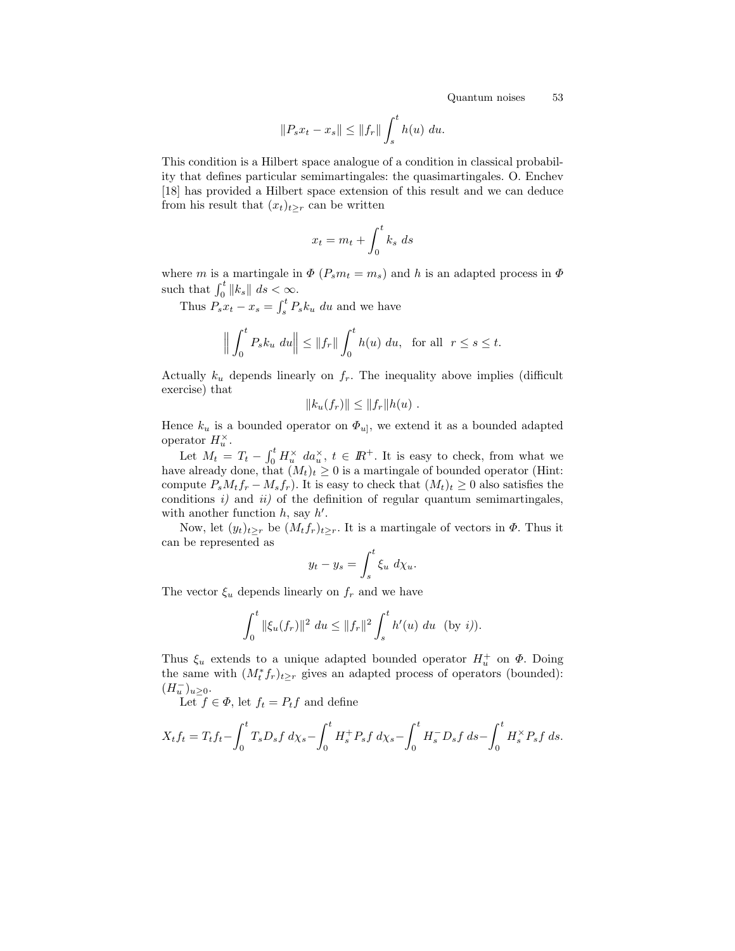$$
||P_s x_t - x_s|| \le ||f_r|| \int_s^t h(u) \ du.
$$

This condition is a Hilbert space analogue of a condition in classical probability that defines particular semimartingales: the quasimartingales. O. Enchev [18] has provided a Hilbert space extension of this result and we can deduce from his result that  $(x_t)_{t\geq r}$  can be written

$$
x_t = m_t + \int_0^t k_s \, ds
$$

where m is a martingale in  $\Phi(P_s m_t = m_s)$  and h is an adapted process in  $\Phi$ such that  $\int_0^t ||k_s|| ds < \infty$ .

Thus  $P_s x_t - x_s = \int_s^t P_s k_u \ du$  and we have

$$
\left\| \int_0^t P_s k_u \ du \right\| \leq \|f_r\| \int_0^t h(u) \ du, \text{ for all } r \leq s \leq t.
$$

Actually  $k_u$  depends linearly on  $f_r$ . The inequality above implies (difficult exercise) that

$$
||k_u(f_r)|| \leq ||f_r|| h(u) .
$$

Hence  $k_u$  is a bounded operator on  $\Phi_{u}$ , we extend it as a bounded adapted operator  $H_u^{\times}$ .

Let  $M_t = T_t - \int_0^t H_u^{\times} da_u^{\times}, t \in \mathbb{R}^+$ . It is easy to check, from what we have already done, that  $(M_t)_t \geq 0$  is a martingale of bounded operator (Hint: compute  $P_sM_tf_r-M_sf_r$ ). It is easy to check that  $(M_t)_t\geq 0$  also satisfies the conditions  $i$ ) and  $ii$ ) of the definition of regular quantum semimartingales, with another function  $h$ , say  $h'$ .

Now, let  $(y_t)_{t\geq r}$  be  $(M_t f_r)_{t\geq r}$ . It is a martingale of vectors in  $\Phi$ . Thus it can be represented as

$$
y_t - y_s = \int_s^t \xi_u \ d\chi_u.
$$

The vector  $\xi_u$  depends linearly on  $f_r$  and we have

$$
\int_0^t \|\xi_u(f_r)\|^2 \ du \le \|f_r\|^2 \int_s^t h'(u) \ du \ (\text{by } i\text{)}).
$$

Thus  $\xi_u$  extends to a unique adapted bounded operator  $H_u^+$  on  $\Phi$ . Doing the same with  $(M_t^* f_r)_{t\geq r}$  gives an adapted process of operators (bounded):  $(H_u^-)_{u\geq 0}$ .

Let  $f \in \Phi$ , let  $f_t = P_t f$  and define

$$
X_t f_t = T_t f_t - \int_0^t T_s D_s f \, d\chi_s - \int_0^t H_s^+ P_s f \, d\chi_s - \int_0^t H_s^- D_s f \, ds - \int_0^t H_s^\times P_s f \, ds.
$$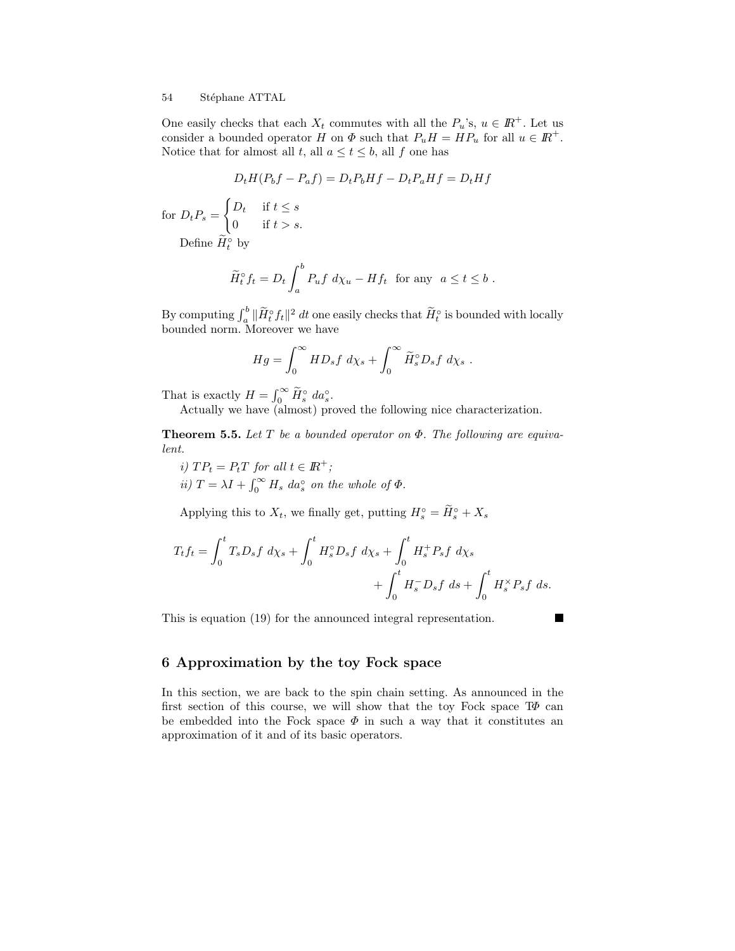One easily checks that each  $X_t$  commutes with all the  $P_u$ 's,  $u \in \mathbb{R}^+$ . Let us consider a bounded operator H on  $\Phi$  such that  $P_u H = H P_u$  for all  $u \in \mathbb{R}^+$ . Notice that for almost all t, all  $a \le t \le b$ , all f one has

$$
D_t H(P_b f - P_a f) = D_t P_b H f - D_t P_a H f = D_t H f
$$

for  $D_tP_s =$  $\int D_t$  if  $t \leq s$ 0 if  $t > s$ . Define  $\tilde{H}_t^{\circ}$  by

$$
\widetilde{H}_t^{\circ} f_t = D_t \int_a^b P_u f \ d\chi_u - H f_t \ \text{ for any } \ a \le t \le b \ .
$$

By computing  $\int_{a}^{b} \|\widetilde{H}_{t}^{\circ} f_{t}\|^{2} dt$  one easily checks that  $\widetilde{H}_{t}^{\circ}$  is bounded with locally bounded norm. Moreover we have

$$
Hg = \int_0^\infty HD_s f \, d\chi_s + \int_0^\infty \widetilde{H}_s^{\circ} D_s f \, d\chi_s \; .
$$

That is exactly  $H = \int_0^\infty \widetilde{H}_s^{\circ} da_s^{\circ}$ .

Actually we have (almost) proved the following nice characterization.

**Theorem 5.5.** Let T be a bounded operator on  $\Phi$ . The following are equivalent.

*i)* 
$$
TP_t = P_tT
$$
 for all  $t \in \mathbb{R}^+$ ;  
*ii)*  $T = \lambda I + \int_0^\infty H_s \, da_s^{\circ}$  on the whole of  $\Phi$ .

Applying this to  $X_t$ , we finally get, putting  $H_s^\circ = \widetilde{H}_s^\circ + X_s$ 

$$
T_{t}f_{t} = \int_{0}^{t} T_{s}D_{s}f \ d\chi_{s} + \int_{0}^{t} H_{s}^{\circ}D_{s}f \ d\chi_{s} + \int_{0}^{t} H_{s}^{+}P_{s}f \ d\chi_{s} + \int_{0}^{t} H_{s}^{-}D_{s}f \ ds + \int_{0}^{t} H_{s}^{\times}P_{s}f \ ds.
$$

This is equation (19) for the announced integral representation.

# 6 Approximation by the toy Fock space

In this section, we are back to the spin chain setting. As announced in the first section of this course, we will show that the toy Fock space  $T\Phi$  can be embedded into the Fock space  $\Phi$  in such a way that it constitutes an approximation of it and of its basic operators.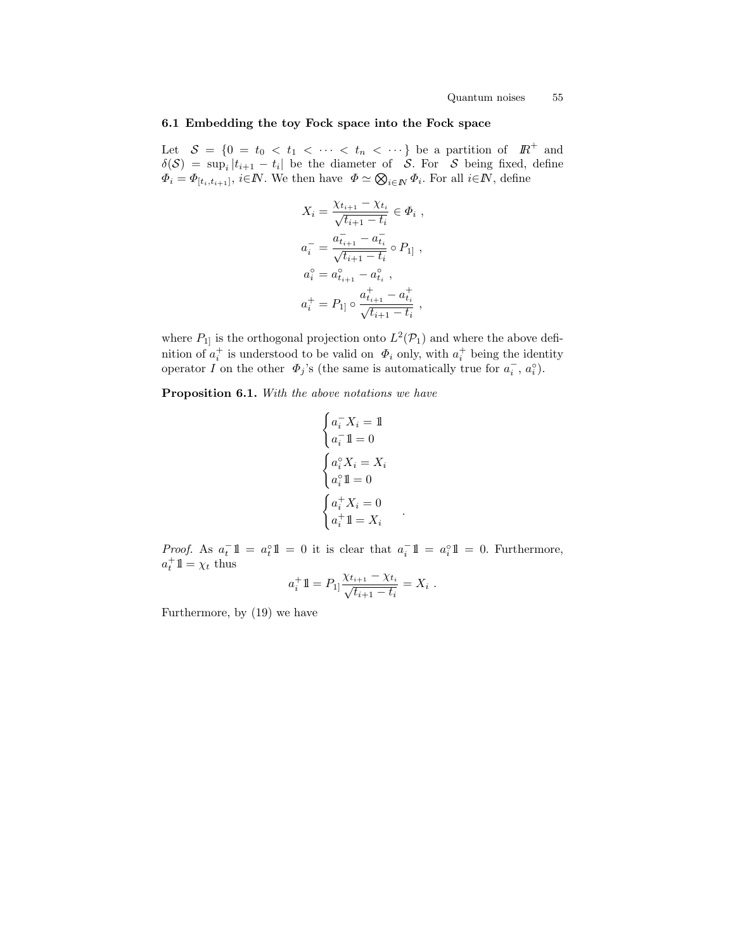# 6.1 Embedding the toy Fock space into the Fock space

Let  $S = \{0 = t_0 < t_1 < \cdots < t_n < \cdots \}$  be a partition of  $\mathbb{R}^+$  and  $\delta(\mathcal{S}) = \sup_i |t_{i+1} - t_i|$  be the diameter of  $\mathcal{S}$ . For  $\mathcal{S}$  being fixed, define  $\Phi_i = \Phi_{[t_i, t_{i+1}]}, i \in \mathbb{N}$ . We then have  $\Phi \simeq \bigotimes_{i \in \mathbb{N}} \Phi_i$ . For all  $i \in \mathbb{N}$ , define

$$
X_i = \frac{\chi_{t_{i+1}} - \chi_{t_i}}{\sqrt{t_{i+1} - t_i}} \in \Phi_i ,
$$
  
\n
$$
a_i^- = \frac{a_{t_{i+1}} - a_{t_i}}{\sqrt{t_{i+1} - t_i}} \circ P_{1}] ,
$$
  
\n
$$
a_i^\circ = a_{t_{i+1}}^\circ - a_{t_i}^\circ ,
$$
  
\n
$$
a_i^+ = P_{1}] \circ \frac{a_{t_{i+1}}^+ - a_{t_i}^+}{\sqrt{t_{i+1} - t_i}} ,
$$

where  $P_{1}$  is the orthogonal projection onto  $L^2(\mathcal{P}_1)$  and where the above definition of  $a_i^+$  is understood to be valid on  $\Phi_i$  only, with  $a_i^+$  being the identity operator  $I$  on the other  $\Phi_j$ 's (the same is automatically true for  $a_i^-, a_i^{\circ}$ ).

Proposition 6.1. With the above notations we have

$$
\begin{cases}\na_i^- X_i = 1 \\
a_i^- 1 = 0\n\end{cases}
$$
\n
$$
\begin{cases}\na_i^{\circ} X_i = X_i \\
a_i^{\circ} 1 = 0\n\end{cases}
$$
\n
$$
\begin{cases}\na_i^+ X_i = 0 \\
a_i^+ 1 = X_i\n\end{cases}
$$

*Proof.* As  $a_t^- 1 = a_t^0 1 = 0$  it is clear that  $a_t^- 1 = a_t^0 1 = 0$ . Furthermore,  $a_t^{\dagger} \mathbb{1} = \chi_t$  thus

$$
a_i^+ 1\!\!1 = P_{1} \frac{\chi_{t_{i+1}} - \chi_{t_i}}{\sqrt{t_{i+1} - t_i}} = X_i.
$$

Furthermore, by (19) we have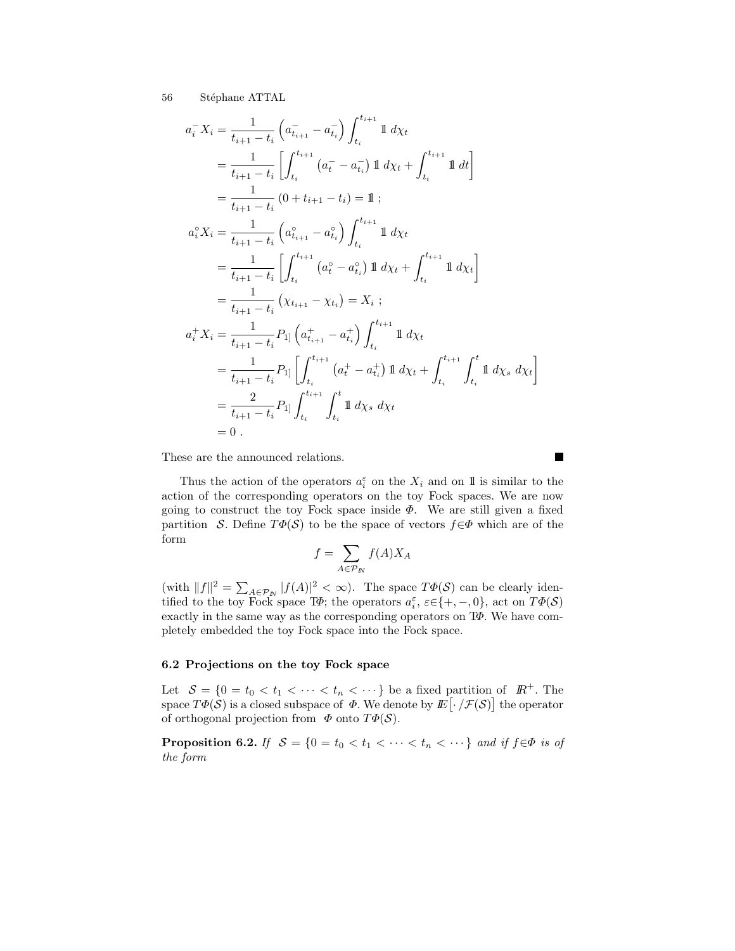$$
a_i^T X_i = \frac{1}{t_{i+1} - t_i} \left( a_{t_{i+1}}^- - a_{t_i}^- \right) \int_{t_i}^{t_{i+1}} 1 \, d\chi_t
$$
  
\n
$$
= \frac{1}{t_{i+1} - t_i} \left[ \int_{t_i}^{t_{i+1}} (a_t^- - a_{t_i}^-) 1 \, d\chi_t + \int_{t_i}^{t_{i+1}} 1 \, dt \right]
$$
  
\n
$$
= \frac{1}{t_{i+1} - t_i} \left( 0 + t_{i+1} - t_i \right) = 1;
$$
  
\n
$$
a_i^{\circ} X_i = \frac{1}{t_{i+1} - t_i} \left( a_{t_{i+1}}^{\circ} - a_{t_i}^{\circ} \right) \int_{t_i}^{t_{i+1}} 1 \, d\chi_t
$$
  
\n
$$
= \frac{1}{t_{i+1} - t_i} \left[ \int_{t_i}^{t_{i+1}} (a_t^{\circ} - a_{t_i}^{\circ}) 1 \, d\chi_t + \int_{t_i}^{t_{i+1}} 1 \, d\chi_t \right]
$$
  
\n
$$
= \frac{1}{t_{i+1} - t_i} \left( \chi_{t_{i+1}} - \chi_{t_i} \right) = X_i ;
$$
  
\n
$$
a_i^+ X_i = \frac{1}{t_{i+1} - t_i} P_{1} \left( a_{t_{i+1}}^+ - a_{t_i}^+ \right) \int_{t_i}^{t_{i+1}} 1 \, d\chi_t
$$
  
\n
$$
= \frac{1}{t_{i+1} - t_i} P_{1} \left[ \int_{t_i}^{t_{i+1}} (a_t^+ - a_{t_i}^+) 1 \, d\chi_t + \int_{t_i}^{t_{i+1}} \int_{t_i}^t 1 \, d\chi_s \, d\chi_t \right]
$$
  
\n
$$
= \frac{2}{t_{i+1} - t_i} P_{1} \left[ \int_{t_i}^{t_{i+1}} \int_{t_i}^t 1 \, d\chi_s \, d\chi_t \right]
$$
  
\n= 0.

These are the announced relations.

Thus the action of the operators  $a_i^{\varepsilon}$  on the  $X_i$  and on 1 is similar to the action of the corresponding operators on the toy Fock spaces. We are now going to construct the toy Fock space inside  $\Phi$ . We are still given a fixed partition S. Define  $T\Phi(S)$  to be the space of vectors  $f\in\Phi$  which are of the form

$$
f = \sum_{A \in \mathcal{P}_N} f(A) X_A
$$

(with  $||f||^2 = \sum_{A \in \mathcal{P}_N} |f(A)|^2 < \infty$ ). The space  $T\Phi(\mathcal{S})$  can be clearly identified to the toy Fock space  $\mathbb{T}\Phi$ ; the operators  $a_i^{\varepsilon}$ ,  $\varepsilon \in \{+, -, 0\}$ , act on  $T\Phi(\mathcal{S})$ exactly in the same way as the corresponding operators on TΦ. We have completely embedded the toy Fock space into the Fock space.

# 6.2 Projections on the toy Fock space

Let  $S = \{0 = t_0 < t_1 < \cdots < t_n < \cdots \}$  be a fixed partition of  $\mathbb{R}^+$ . The space  $T\Phi(\mathcal{S})$  is a closed subspace of  $\Phi$ . We denote by  $\mathbb{E}[\cdot/\mathcal{F}(\mathcal{S})]$  the operator of orthogonal projection from  $\Phi$  onto  $T\Phi(\mathcal{S})$ .

**Proposition 6.2.** If  $S = \{0 = t_0 < t_1 < \cdots < t_n < \cdots \}$  and if  $f \in \Phi$  is of the form

Г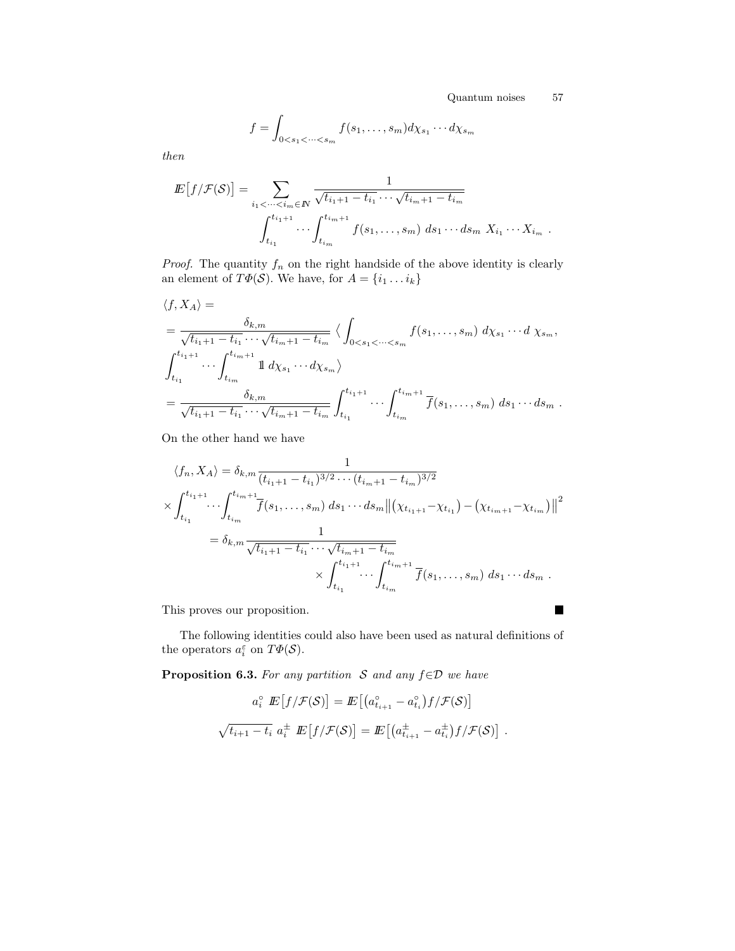$\overline{\phantom{a}}$ 

$$
f = \int_{0 < s_1 < \dots < s_m} f(s_1, \dots, s_m) d\chi_{s_1} \dots d\chi_{s_m}
$$

then

$$
I\!\!E[f/\mathcal{F}(\mathcal{S})] = \sum_{i_1 < \dots < i_m \in \mathbb{N}} \frac{1}{\sqrt{t_{i_1+1} - t_{i_1}} \cdots \sqrt{t_{i_m+1} - t_{i_m}}}
$$
\n
$$
\int_{t_{i_1}}^{t_{i_1+1}} \cdots \int_{t_{i_m}}^{t_{i_m+1}} f(s_1, \dots, s_m) \ ds_1 \cdots ds_m \ X_{i_1} \cdots X_{i_m}.
$$

*Proof.* The quantity  $f_n$  on the right handside of the above identity is clearly an element of  $T\Phi(\mathcal{S})$ . We have, for  $A = \{i_1 \dots i_k\}$ 

$$
\langle f, X_A \rangle =
$$
\n
$$
= \frac{\delta_{k,m}}{\sqrt{t_{i_1+1} - t_{i_1} \cdots \sqrt{t_{i_m+1} - t_{i_m}}} \langle \int_{0 < s_1 < \cdots < s_m} f(s_1, \ldots, s_m) \, d\chi_{s_1} \cdots d\chi_{s_m},
$$
\n
$$
\int_{t_{i_1}}^{t_{i_1+1}} \cdots \int_{t_{i_m}}^{t_{i_m+1}} 1 \, d\chi_{s_1} \cdots d\chi_{s_m} \rangle
$$
\n
$$
= \frac{\delta_{k,m}}{\sqrt{t_{i_1+1} - t_{i_1} \cdots \sqrt{t_{i_m+1} - t_{i_m}}} \int_{t_{i_1}}^{t_{i_1+1}} \cdots \int_{t_{i_m}}^{t_{i_m+1}} \overline{f}(s_1, \ldots, s_m) \, ds_1 \cdots ds_m \, .
$$

On the other hand we have

$$
\langle f_n, X_A \rangle = \delta_{k,m} \frac{1}{(t_{i_1+1} - t_{i_1})^{3/2} \cdots (t_{i_m+1} - t_{i_m})^{3/2}}
$$
  
 
$$
\times \int_{t_{i_1}}^{t_{i_1+1}} \cdots \int_{t_{i_m}}^{t_{i_m+1}} \overline{f}(s_1, \ldots, s_m) \, ds_1 \cdots ds_m ||(\chi_{t_{i_1+1}} - \chi_{t_{i_1}}) - (\chi_{t_{i_m+1}} - \chi_{t_{i_m}})||^2
$$
  

$$
= \delta_{k,m} \frac{1}{\sqrt{t_{i_1+1} - t_{i_1} \cdots \sqrt{t_{i_m+1} - t_{i_m}}}}
$$
  

$$
\times \int_{t_{i_1}}^{t_{i_1+1}} \cdots \int_{t_{i_m}}^{t_{i_m+1}} \overline{f}(s_1, \ldots, s_m) \, ds_1 \cdots ds_m.
$$

This proves our proposition.

The following identities could also have been used as natural definitions of the operators  $a_i^{\varepsilon}$  on  $T\Phi(\mathcal{S})$ .

**Proposition 6.3.** For any partition S and any  $f \in \mathcal{D}$  we have

$$
a_i^{\circ} \mathop{\mathrm{I\!E}}\left[f/\mathcal{F}(\mathcal{S})\right] = \mathop{\mathrm{I\!E}}\left[\left(a_{t_{i+1}}^{\circ} - a_{t_i}^{\circ}\right) f/\mathcal{F}(\mathcal{S})\right]
$$
  

$$
\sqrt{t_{i+1} - t_i} \ a_i^{\pm} \mathop{\mathrm{I\!E}}\left[f/\mathcal{F}(\mathcal{S})\right] = \mathop{\mathrm{I\!E}}\left[\left(a_{t_{i+1}}^{\pm} - a_{t_i}^{\pm}\right) f/\mathcal{F}(\mathcal{S})\right].
$$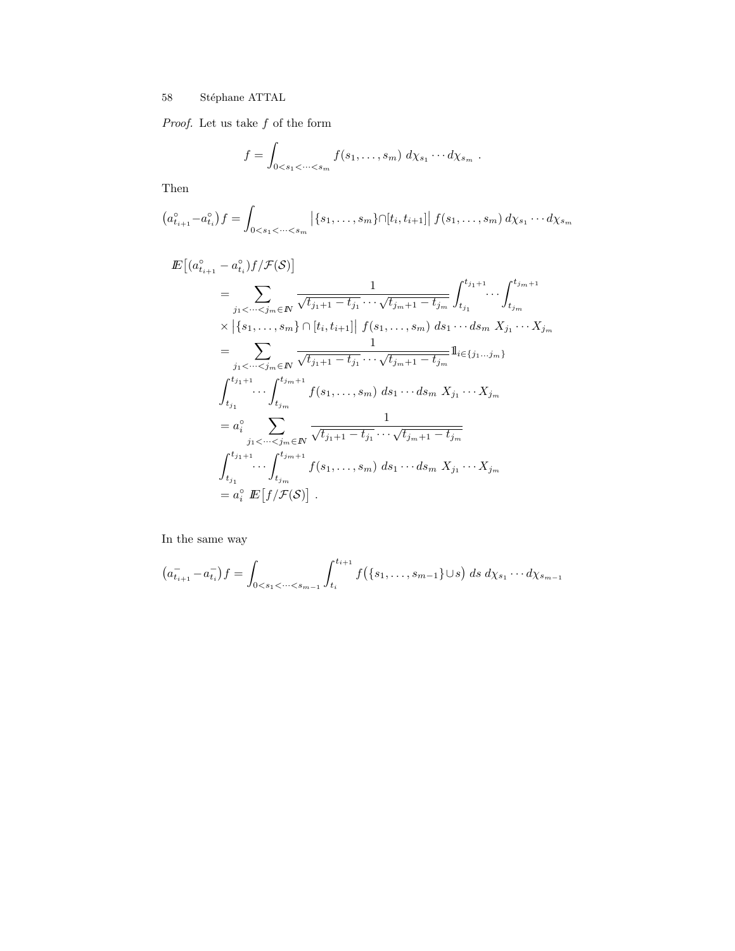*Proof.* Let us take  $f$  of the form

$$
f = \int_{0 < s_1 < \dots < s_m} f(s_1, \dots, s_m) \ d\chi_{s_1} \cdots d\chi_{s_m} \ .
$$

Then

$$
(a_{t_{i+1}}^{\circ} - a_{t_i}^{\circ})f = \int_{0 < s_1 < \dots < s_m} \left| \{ s_1, \dots, s_m \} \cap [t_i, t_{i+1}] \right| f(s_1, \dots, s_m) \, d\chi_{s_1} \cdots d\chi_{s_m}
$$

$$
E[(a_{t_{i+1}}^{\circ} - a_{t_i}^{\circ})f/\mathcal{F}(S)]
$$
\n
$$
= \sum_{j_1 < \dots < j_m \in \mathbb{N}} \frac{1}{\sqrt{t_{j_1+1} - t_{j_1} \cdots \sqrt{t_{j_m+1} - t_{j_m}}} \int_{t_{j_1}}^{t_{j_1+1}} \dots \int_{t_{j_m}}^{t_{j_m+1}}
$$
\n
$$
\times |\{s_1, \dots, s_m\} \cap [t_i, t_{i+1}]| f(s_1, \dots, s_m) ds_1 \cdots ds_m X_{j_1} \cdots X_{j_m}
$$
\n
$$
= \sum_{j_1 < \dots < j_m \in \mathbb{N}} \frac{1}{\sqrt{t_{j_1+1} - t_{j_1} \cdots \sqrt{t_{j_m+1} - t_{j_m}}} 1_{i \in \{j_1 \dots j_m\}}
$$
\n
$$
\int_{t_{j_1}}^{t_{j_1+1}} \dots \int_{t_{j_m}}^{t_{j_m+1}} f(s_1, \dots, s_m) ds_1 \cdots ds_m X_{j_1} \cdots X_{j_m}
$$
\n
$$
= a_i^{\circ} \sum_{j_1 < \dots < j_m \in \mathbb{N}} \frac{1}{\sqrt{t_{j_1+1} - t_{j_1} \cdots \sqrt{t_{j_m+1} - t_{j_m}}}
$$
\n
$$
\int_{t_{j_1}}^{t_{j_1+1}} \dots \int_{t_{j_m}}^{t_{j_m+1}} f(s_1, \dots, s_m) ds_1 \cdots ds_m X_{j_1} \cdots X_{j_m}
$$
\n
$$
= a_i^{\circ} E[f/\mathcal{F}(S)].
$$

In the same way

$$
(a_{t_{i+1}}^- - a_{t_i}^-)f = \int_{0 < s_1 < \dots < s_{m-1}} \int_{t_i}^{t_{i+1}} f(\{s_1, \dots, s_{m-1}\} \cup s) \, ds \, d\chi_{s_1} \cdots d\chi_{s_{m-1}}
$$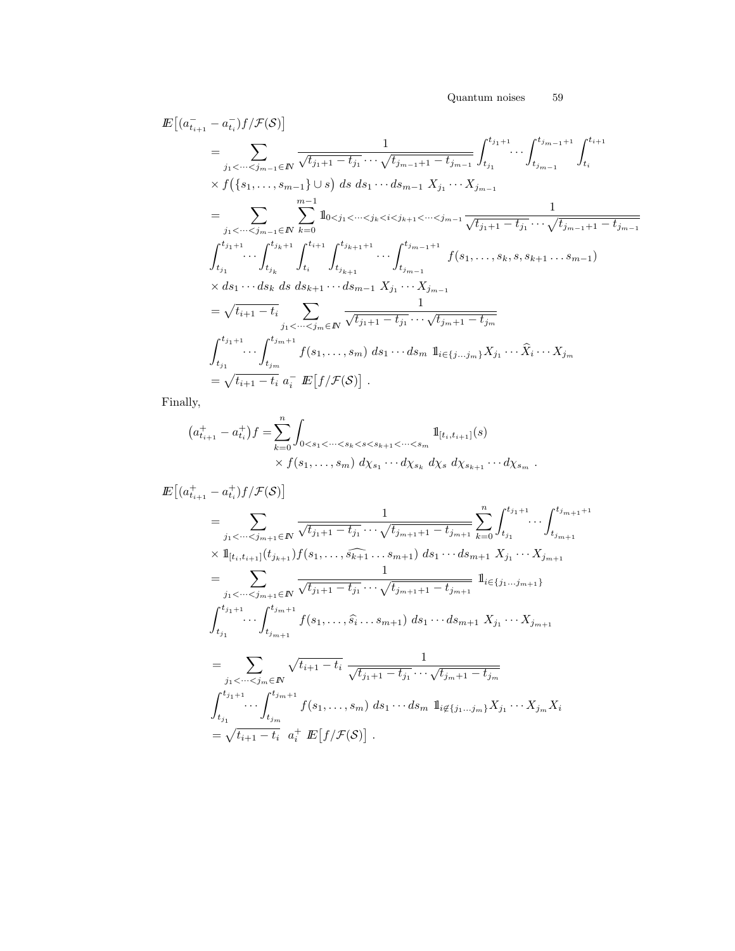Quantum noises 59

$$
E[(a_{i+1}^{-} - a_{i})f/\mathcal{F}(S)]
$$
\n
$$
= \sum_{j_{1} < \dots < j_{m-1} \in \mathbb{N}} \frac{1}{\sqrt{t_{j_{1}+1} - t_{j_{1}}} \cdots \sqrt{t_{j_{m-1}+1} - t_{j_{m-1}}} } \int_{t_{j_{1}}}^{t_{j_{1}+1}} \cdots \int_{t_{j_{m-1}}}^{t_{j_{m-1}+1}} \int_{t_{i}}^{t_{i+1}}
$$
\n
$$
\times f(\{s_{1}, \dots, s_{m-1}\} \cup s) \, ds \, ds_{1} \cdots ds_{m-1} \, X_{j_{1}} \cdots X_{j_{m-1}}
$$
\n
$$
= \sum_{j_{1} < \dots < j_{m-1} \in \mathbb{N}} \sum_{k=0}^{m-1} 1_{0 < j_{1} < \dots < j_{k} < i < j_{k+1} < \dots < j_{m-1}} \frac{1}{\sqrt{t_{j_{1}+1} - t_{j_{1}}} \cdots \sqrt{t_{j_{m-1}+1} - t_{j_{m-1}}}}
$$
\n
$$
\int_{t_{j_{1}}}^{t_{j_{1}+1}} \cdots \int_{t_{j_{k}}}^{t_{j_{k}+1}} \int_{t_{i}}^{t_{i+1}} \int_{t_{j_{k+1}}}^{t_{j_{k+1}+1}} \cdots \int_{t_{j_{m-1}}}^{t_{j_{m-1}+1}} f(s_{1}, \dots, s_{k}, s, s_{k+1} \dots s_{m-1})
$$
\n
$$
\times ds_{1} \cdots ds_{k} \, ds \, ds_{k+1} \cdots ds_{m-1} \, X_{j_{1}} \cdots X_{j_{m-1}}
$$
\n
$$
= \sqrt{t_{i+1} - t_{i}} \sum_{j_{1} < \dots < j_{m} \in \mathbb{N}} \frac{1}{\sqrt{t_{j_{1}+1} - t_{j_{1}}} \cdots \sqrt{t_{j_{m}+1} - t_{j_{m}}}}
$$
\n
$$
\int_{t_{j_{1}}}^{t_{j_{1}+1}} \cdots \int_{t_{j_{m}}}^{t_{j_{m+1}}} f(s_{1}, \dots, s_{m}) \, ds_{1} \cdots ds_{m} \, 1_{i \in \{j \dots j_{m}\}} X
$$

Finally,

$$
(a_{t_{i+1}}^+ - a_{t_i}^+)f = \sum_{k=0}^n \int_{0 < s_1 < \dots < s_k < s < s_{k+1} < \dots < s_m} \mathbb{1}_{[t_i, t_{i+1}]}(s)
$$
\n
$$
\times f(s_1, \dots, s_m) \ d\chi_{s_1} \cdots d\chi_{s_k} \ d\chi_s \ d\chi_{s_{k+1}} \cdots d\chi_{s_m} \ .
$$

$$
E\left[(a_{t_{i+1}}^+ - a_{t_i}^+)f/\mathcal{F}(\mathcal{S})\right]
$$
  
\n
$$
= \sum_{j_1 < \dots < j_{m+1} \in \mathbb{N}} \frac{1}{\sqrt{t_{j_1+1} - t_{j_1}} \cdots \sqrt{t_{j_{m+1}+1} - t_{j_{m+1}}}} \sum_{k=0}^n \int_{t_{j_1}}^{t_{j_1+1}} \cdots \int_{t_{j_{m+1}}}^{t_{j_{m+1}+1}} dt_{j_{m+1}} dt_{j_{m+1}}
$$
  
\n
$$
\times 1_{[t_i, t_{i+1}]}(t_{j_{k+1}}) f(s_1, \dots, \widehat{s_{k+1}} \dots s_{m+1}) ds_1 \cdots ds_{m+1} X_{j_1} \cdots X_{j_{m+1}}
$$
  
\n
$$
= \sum_{j_1 < \dots < j_{m+1} \in \mathbb{N}} \frac{1}{\sqrt{t_{j_1+1} - t_{j_1}} \cdots \sqrt{t_{j_{m+1}+1} - t_{j_{m+1}}}} 1_{i \in \{j_1, \dots, j_{m+1}\}}
$$
  
\n
$$
\int_{t_{j_1}}^{t_{j_1+1}} \cdots \int_{t_{j_{m+1}}}^{t_{j_{m+1}}} f(s_1, \dots, \widehat{s_i} \dots s_{m+1}) ds_1 \cdots ds_{m+1} X_{j_1} \cdots X_{j_{m+1}}
$$
  
\n
$$
= \sum_{j_1 < \dots < j_m \in \mathbb{N}} \sqrt{t_{i+1} - t_i} \frac{1}{\sqrt{t_{j_1+1} - t_{j_1}} \cdots \sqrt{t_{j_m+1} - t_{j_m}}
$$
  
\n
$$
\int_{t_{j_1}}^{t_{j_1+1}} \cdots \int_{t_{j_m}}^{t_{j_m+1}} f(s_1, \dots, s_m) ds_1 \cdots ds_m 1_{i \notin \{j_1, \dots, j_m\}} X_{j_1} \cdots X_{j_m} X_i
$$
  
\n
$$
= \sqrt{t_{i+1} - t_i} a_i^+ E[f/\mathcal{F}(\mathcal{S})].
$$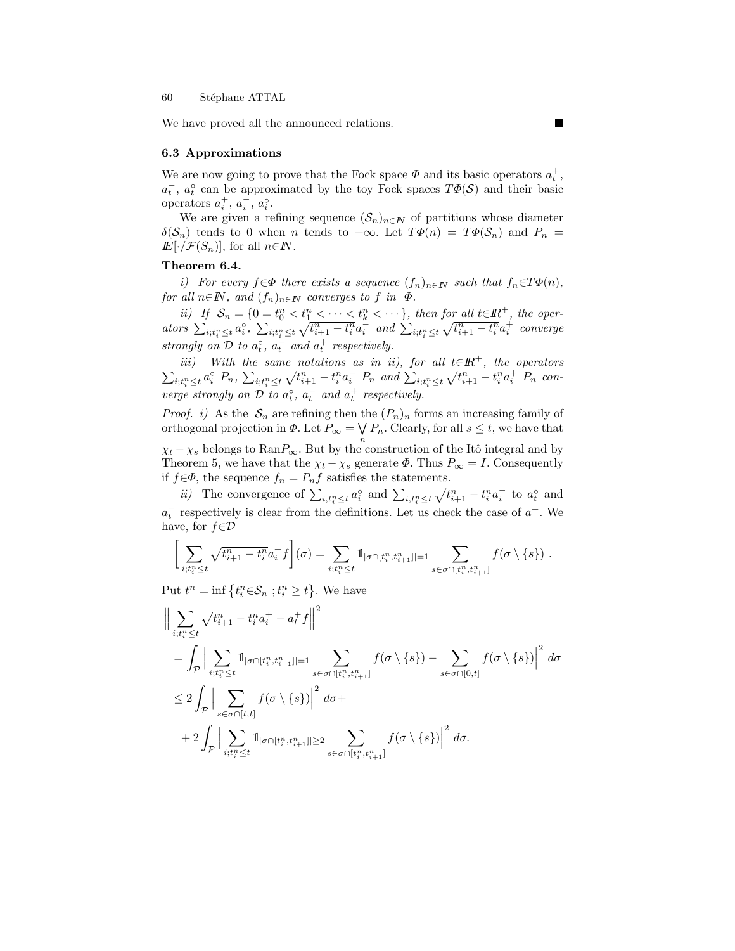We have proved all the announced relations.

# 6.3 Approximations

We are now going to prove that the Fock space  $\Phi$  and its basic operators  $a_t^+$ ,  $a_t^-$ ,  $a_t^{\circ}$  can be approximated by the toy Fock spaces  $T\Phi(\mathcal{S})$  and their basic operators  $a_i^+, a_i^-, a_i^{\circ}$ .

We are given a refining sequence  $(S_n)_{n\in\mathbb{N}}$  of partitions whose diameter  $\delta(S_n)$  tends to 0 when *n* tends to +∞. Let  $T\Phi(n) = T\Phi(S_n)$  and  $P_n =$  $\mathbb{E}[\cdot/\mathcal{F}(S_n)],$  for all  $n \in \mathbb{N}$ .

# Theorem 6.4.

i) For every  $f \in \Phi$  there exists a sequence  $(f_n)_{n \in \mathbb{N}}$  such that  $f_n \in T\Phi(n)$ , for all  $n\in\mathbb{N}$ , and  $(f_n)_{n\in\mathbb{N}}$  converges to f in  $\Phi$ .

ii) If  $S_n = \{0 = t_0^n < t_1^n < \cdots < t_k^n < \cdots \}$ , then for all  $t \in \mathbb{R}^+$ , the operators  $\sum_{i;t_i^n\leq t} a_i^{\circ}$ ,  $\sum_{i;t_i^n\leq t} \sqrt{t_{i+1}^n - t_i^n} a_i^{\sim}$  and  $\sum_{i;t_i^n\leq t} \sqrt{t_{i+1}^n - t_i^n} a_i^{\perp}$  converge strongly on  $\mathcal D$  to  $a_t^{\circ}$ ,  $a_t^{-}$  and  $a_t^{+}$  respectively.

iii) With the same notations as in ii), for all  $t \in \mathbb{R}^+$ , the operators  $\sum_{i;t_i^n \leq t} a_i^{\circ} P_n$ ,  $\sum_{i;t_i^n \leq t} \sqrt{t_{i+1}^n - t_i^n} a_i^- P_n$  and  $\sum_{i;t_i^n \leq t} \sqrt{t_{i+1}^n - t_i^n} a_i^+ P_n$  converge strongly on  $\mathcal D$  to  $a_t^{\circ}$ ,  $a_t^{-}$  and  $a_t^{+}$  respectively.

*Proof.* i) As the  $S_n$  are refining then the  $(P_n)_n$  forms an increasing family of orthogonal projection in  $\Phi$ . Let  $P_{\infty} = \bigvee$  $\bigvee_n P_n$ . Clearly, for all  $s \leq t$ , we have that  $\chi_t - \chi_s$  belongs to Ran $P_\infty$ . But by the construction of the Itô integral and by Theorem 5, we have that the  $\chi_t - \chi_s$  generate  $\Phi$ . Thus  $P_\infty = I$ . Consequently if  $f \in \Phi$ , the sequence  $f_n = P_n f$  satisfies the statements.

ii) The convergence of  $\sum_{i,t_i^n \leq t} a_i^{\circ}$  and  $\sum_{i,t_i^n \leq t} \sqrt{t_{i+1}^n - t_i^n} a_i^-$  to  $a_t^{\circ}$  and  $a_t^-$  respectively is clear from the definitions. Let us check the case of  $a^+$ . We have, for  $f \in \mathcal{D}$ 

$$
\bigg[\sum_{i;t_i^n\leq t}\sqrt{t_{i+1}^n-t_i^n}a_i^+f\bigg](\sigma)=\sum_{i;t_i^n\leq t}1\!\!1_{|\sigma\cap[t_i^n,t_{i+1}^n]|=1}\sum_{s\in\sigma\cap[t_i^n,t_{i+1}^n]}f(\sigma\setminus\{s\})\ .
$$

Put  $t^n = \inf \{ t_i^n \in \mathcal{S}_n \; ; t_i^n \geq t \}.$  We have

$$
\begin{split}\n&\left\|\sum_{i;t_i^n\leq t}\sqrt{t_{i+1}^n-t_i^n}a_i^+-a_t^+f\right\|^2 \\
&=\int_{\mathcal{P}}\Big|\sum_{i;t_i^n\leq t}\mathbb{1}_{|\sigma\cap[t_i^n,t_{i+1}^n]|=1}\sum_{s\in\sigma\cap[t_i^n,t_{i+1}^n]}f(\sigma\setminus\{s\})-\sum_{s\in\sigma\cap[0,t]}f(\sigma\setminus\{s\})\Big|^2\ d\sigma \\
&\leq 2\int_{\mathcal{P}}\Big|\sum_{s\in\sigma\cap[t,t]}f(\sigma\setminus\{s\})\Big|^2\ d\sigma + \\
&+2\int_{\mathcal{P}}\Big|\sum_{i;t_i^n\leq t}\mathbb{1}_{|\sigma\cap[t_i^n,t_{i+1}^n]|\geq 2}\sum_{s\in\sigma\cap[t_i^n,t_{i+1}^n]}f(\sigma\setminus\{s\})\Big|^2\ d\sigma.\n\end{split}
$$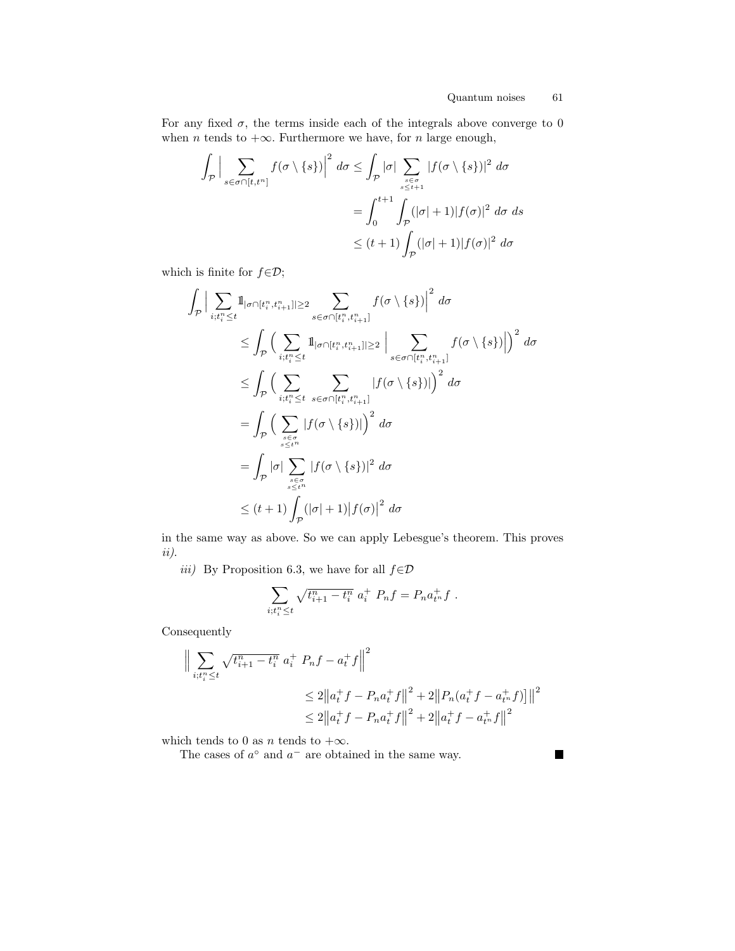$\blacksquare$ 

For any fixed  $\sigma$ , the terms inside each of the integrals above converge to 0 when *n* tends to  $+\infty$ . Furthermore we have, for *n* large enough,

$$
\int_{\mathcal{P}} \Big| \sum_{s \in \sigma \cap [t, t^n]} f(\sigma \setminus \{s\}) \Big|^2 d\sigma \le \int_{\mathcal{P}} |\sigma| \sum_{\substack{s \in \sigma \\ s \le t+1}} |f(\sigma \setminus \{s\})|^2 d\sigma
$$

$$
= \int_0^{t+1} \int_{\mathcal{P}} (|\sigma| + 1) |f(\sigma)|^2 d\sigma d\sigma
$$

$$
\le (t+1) \int_{\mathcal{P}} (|\sigma| + 1) |f(\sigma)|^2 d\sigma
$$

which is finite for  $f \in \mathcal{D}$ ;

$$
\int_{\mathcal{P}} \Big| \sum_{i;t_i^n \leq t} \mathbb{1}_{|\sigma \cap [t_i^n, t_{i+1}^n]| \geq 2} \sum_{s \in \sigma \cap [t_i^n, t_{i+1}^n]} f(\sigma \setminus \{s\}) \Big|^2 d\sigma
$$
\n
$$
\leq \int_{\mathcal{P}} \Big( \sum_{i;t_i^n \leq t} \mathbb{1}_{|\sigma \cap [t_i^n, t_{i+1}^n]| \geq 2} \Big| \sum_{s \in \sigma \cap [t_i^n, t_{i+1}^n]} f(\sigma \setminus \{s\}) \Big|^2 d\sigma
$$
\n
$$
\leq \int_{\mathcal{P}} \Big( \sum_{i;t_i^n \leq t} \sum_{s \in \sigma \cap [t_i^n, t_{i+1}^n]} |f(\sigma \setminus \{s\})| \Big)^2 d\sigma
$$
\n
$$
= \int_{\mathcal{P}} \Big( \sum_{s \in \sigma \atop s \leq t^n} |f(\sigma \setminus \{s\})| \Big)^2 d\sigma
$$
\n
$$
= \int_{\mathcal{P}} |\sigma| \sum_{s \in \sigma \atop s \leq t^n} |f(\sigma \setminus \{s\})|^2 d\sigma
$$
\n
$$
\leq (t+1) \int_{\mathcal{P}} (|\sigma|+1) |f(\sigma)|^2 d\sigma
$$

in the same way as above. So we can apply Lebesgue's theorem. This proves ii).

iii) By Proposition 6.3, we have for all  $f \in \mathcal{D}$ 

$$
\sum_{i;t_i^n \le t} \sqrt{t_{i+1}^n - t_i^n} \; a_i^+ \; P_nf = P_n a_{t^n}^+ f \; .
$$

Consequently

$$
\left\| \sum_{i;t_i^n \le t} \sqrt{t_{i+1}^n - t_i^n} \ a_i^+ P_n f - a_t^+ f \right\|^2
$$
  
\n
$$
\le 2 \|a_t^+ f - P_n a_t^+ f\|^2 + 2 \|P_n(a_t^+ f - a_t^+ f)\|^2
$$
  
\n
$$
\le 2 \|a_t^+ f - P_n a_t^+ f\|^2 + 2 \|a_t^+ f - a_t^+ f\|^2
$$

which tends to 0 as n tends to  $+\infty$ .

The cases of  $a^{\circ}$  and  $a^{-}$  are obtained in the same way.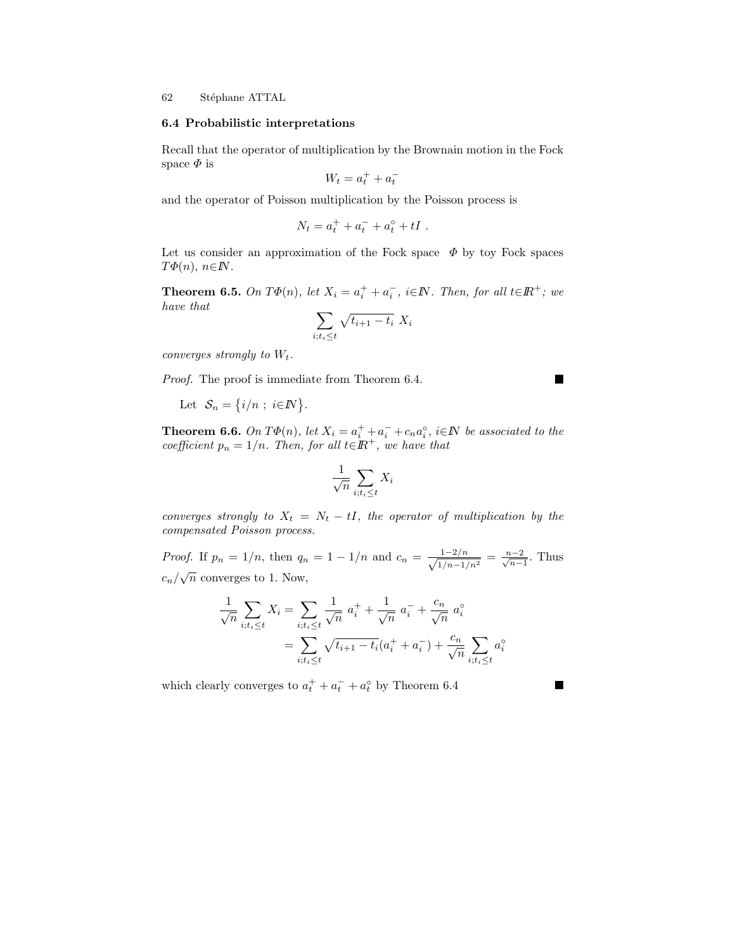#### 6.4 Probabilistic interpretations

Recall that the operator of multiplication by the Brownain motion in the Fock space  $\Phi$  is

$$
W_t = a_t^+ + a_t^- \,
$$

and the operator of Poisson multiplication by the Poisson process is

$$
N_t = a_t^+ + a_t^- + a_t^{\circ} + tI \ .
$$

Let us consider an approximation of the Fock space  $\Phi$  by toy Fock spaces  $T\Phi(n), n\in \mathbb{N}$ .

**Theorem 6.5.** On  $T\Phi(n)$ , let  $X_i = a_i^+ + a_i^-$ , i $\in \mathbb{N}$ . Then, for all  $t \in \mathbb{R}^+$ ; we have that

$$
\sum_{i:t_i\leq t}\sqrt{t_{i+1}-t_i}\;X_i
$$

converges strongly to  $W_t$ .

Proof. The proof is immediate from Theorem 6.4.

Let  $S_n = \{i/n ; i \in \mathbb{N}\}.$ 

**Theorem 6.6.** On  $T\Phi(n)$ , let  $X_i = a_i^+ + a_i^- + c_n a_i^{\circ}$ , i $\in \mathbb{N}$  be associated to the coefficient  $p_n = 1/n$ . Then, for all  $t \in \mathbb{R}^+$ , we have that

$$
\frac{1}{\sqrt{n}} \sum_{i:t_i \le t} X_i
$$

converges strongly to  $X_t = N_t - tI$ , the operator of multiplication by the compensated Poisson process.

*Proof.* If  $p_n = 1/n$ , then  $q_n = 1 - 1/n$  and  $c_n = \frac{1-2/n}{\sqrt{1/n-1/n^2}} = \frac{n-2}{\sqrt{n-1}}$ . Thus  $c_n/\sqrt{n}$  converges to 1. Now, √

$$
\frac{1}{\sqrt{n}} \sum_{i:t_i \le t} X_i = \sum_{i:t_i \le t} \frac{1}{\sqrt{n}} a_i^+ + \frac{1}{\sqrt{n}} a_i^- + \frac{c_n}{\sqrt{n}} a_i^{\circ}
$$

$$
= \sum_{i:t_i \le t} \sqrt{t_{i+1} - t_i} (a_i^+ + a_i^-) + \frac{c_n}{\sqrt{n}} \sum_{i:t_i \le t} a_i^{\circ}
$$

which clearly converges to  $a_t^+ + a_t^- + a_t^{\circ}$  by Theorem 6.4

**In the Second State** 

 $\overline{\phantom{a}}$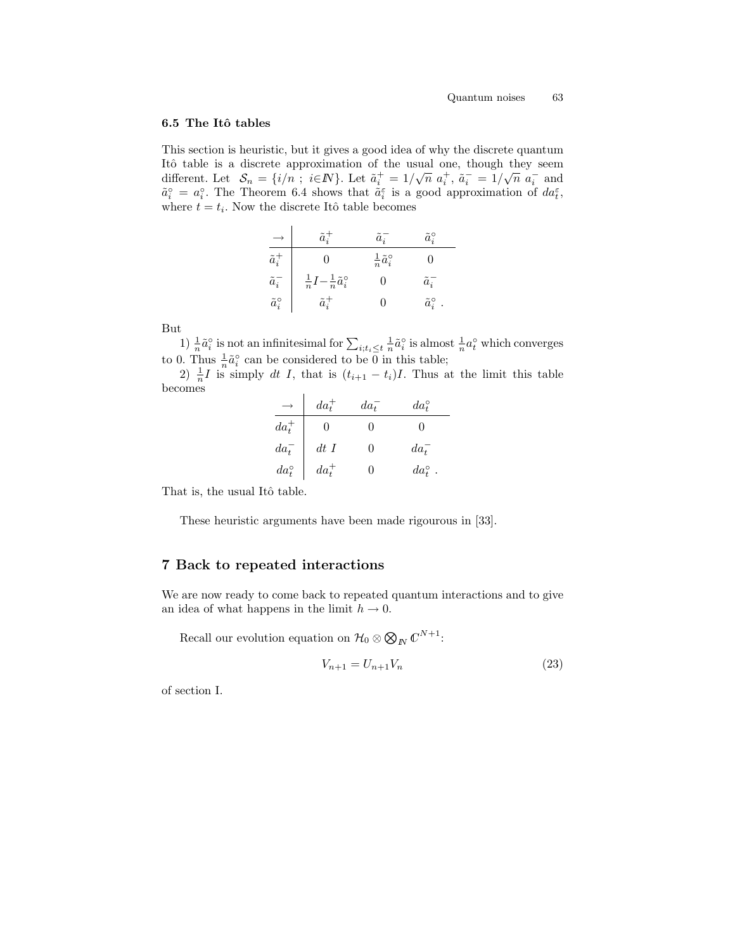#### 6.5 The Itô tables

This section is heuristic, but it gives a good idea of why the discrete quantum Itô table is a discrete approximation of the usual one, though they seem different. Let  $S_n = \{i/n ; i \in \mathbb{N}\}\$ . Let  $\tilde{a}_i^+ = 1/\sqrt{n} a_i^+, \tilde{a}_i^- = 1/\sqrt{n} a_i^-$  and  $\tilde{a}_i^{\circ} = a_i^{\circ}$ . The Theorem 6.4 shows that  $\tilde{a}_i^{\varepsilon}$  is a good approximation of  $da_i^{\varepsilon}$ , where  $t = t_i$ . Now the discrete Itô table becomes

|                       | $\tilde{a}_i^+$                             | $a_i^-$                        | $\tilde{a}_{i}^{\circ}$ |
|-----------------------|---------------------------------------------|--------------------------------|-------------------------|
| $\tilde{a}_i^+$       |                                             | $rac{1}{n}\tilde{a}_i^{\circ}$ |                         |
| $\tilde{a}_i^-$       | $rac{1}{n}I-\frac{1}{n}\tilde{a}_i^{\circ}$ |                                | $\tilde{a}_i^-$         |
| $\tilde{a}_i^{\rm o}$ | $\tilde{a}_i^+$                             |                                | $\tilde{a}_{i}^{\circ}$ |

But

1)  $\frac{1}{n}\tilde{a}_i^{\circ}$  is not an infinitesimal for  $\sum_{i,t_i\leq t} \frac{1}{n}\tilde{a}_i^{\circ}$  is almost  $\frac{1}{n}a_t^{\circ}$  which converges to 0. Thus  $\frac{1}{n}\tilde{a}_i^{\circ}$  can be considered to be 0 in this table;

2)  $\frac{1}{n}I$  is simply dt I, that is  $(t_{i+1} - t_i)I$ . Thus at the limit this table becomes  $\mathbf{r}$ 

|                | $da_t^+$ | $da_t$ | $da_t^{\circ}$   |
|----------------|----------|--------|------------------|
| $da_t^+$       |          |        |                  |
| $da_t^-$       | $dt$ I   | U      | $da_{t}^{-}$     |
| $da_t^{\circ}$ | $da_t^+$ |        | $da_t^{\circ}$ . |

That is, the usual Itô table.

These heuristic arguments have been made rigourous in [33].

# 7 Back to repeated interactions

We are now ready to come back to repeated quantum interactions and to give an idea of what happens in the limit  $h \to 0$ .

Recall our evolution equation on  $\mathcal{H}_0 \otimes \bigotimes_{I\!\!N} \mathbb{C}^{N+1}$ :

$$
V_{n+1} = U_{n+1} V_n \tag{23}
$$

of section I.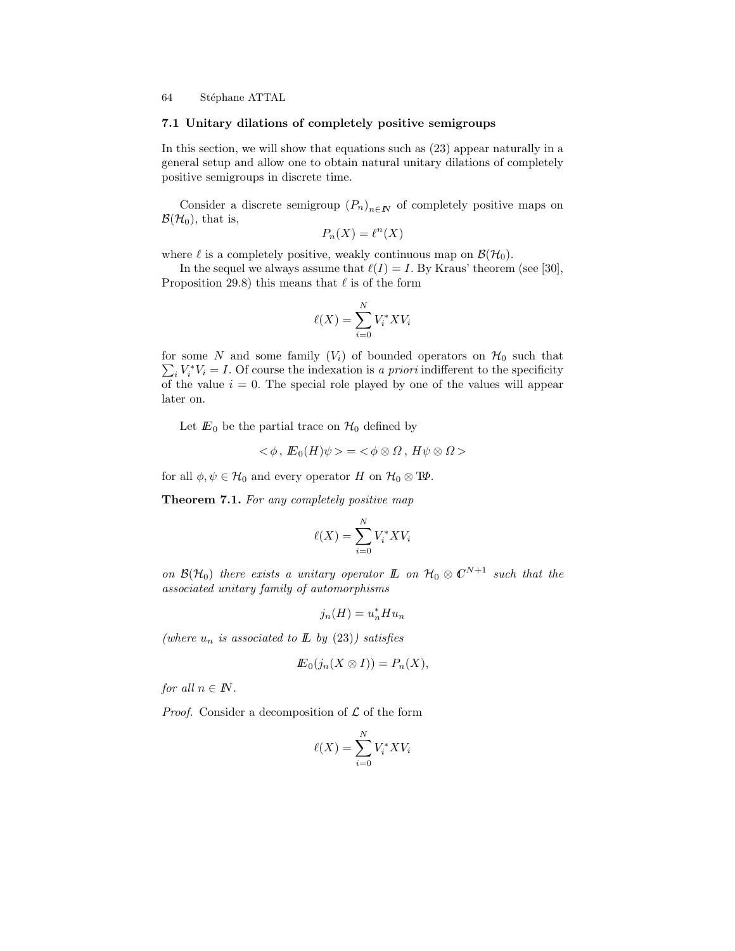#### 7.1 Unitary dilations of completely positive semigroups

In this section, we will show that equations such as (23) appear naturally in a general setup and allow one to obtain natural unitary dilations of completely positive semigroups in discrete time.

Consider a discrete semigroup  $(P_n)_{n\in\mathbb{N}}$  of completely positive maps on  $\mathcal{B}(\mathcal{H}_0)$ , that is,

$$
P_n(X) = \ell^n(X)
$$

where  $\ell$  is a completely positive, weakly continuous map on  $\mathcal{B}(\mathcal{H}_0)$ .

In the sequel we always assume that  $\ell(I) = I$ . By Kraus' theorem (see [30], Proposition 29.8) this means that  $\ell$  is of the form

$$
\ell(X) = \sum_{i=0}^{N} V_i^* X V_i
$$

for some N and some family  $(V_i)$  of bounded operators on  $\mathcal{H}_0$  such that  $\sum_i V_i^* V_i = I$ . Of course the indexation is a priori indifferent to the specificity of the value  $i = 0$ . The special role played by one of the values will appear later on.

Let  $E_0$  be the partial trace on  $\mathcal{H}_0$  defined by

$$
\langle \phi, E_0(H)\psi \rangle = \langle \phi \otimes \Omega, H\psi \otimes \Omega \rangle
$$

for all  $\phi, \psi \in \mathcal{H}_0$  and every operator H on  $\mathcal{H}_0 \otimes \mathbb{T}\Phi$ .

Theorem 7.1. For any completely positive map

$$
\ell(X) = \sum_{i=0}^{N} V_i^* X V_i
$$

on  $\mathcal{B}(\mathcal{H}_0)$  there exists a unitary operator  $\mathbb{L}$  on  $\mathcal{H}_0 \otimes \mathbb{C}^{N+1}$  such that the associated unitary family of automorphisms

$$
j_n(H) = u_n^* H u_n
$$

(where  $u_n$  is associated to  $\mathbb{L}$  by (23)) satisfies

$$
I\!\!E_0(j_n(X \otimes I)) = P_n(X),
$$

for all  $n \in \mathbb{N}$ .

*Proof.* Consider a decomposition of  $\mathcal L$  of the form

$$
\ell(X) = \sum_{i=0}^{N} V_i^* X V_i
$$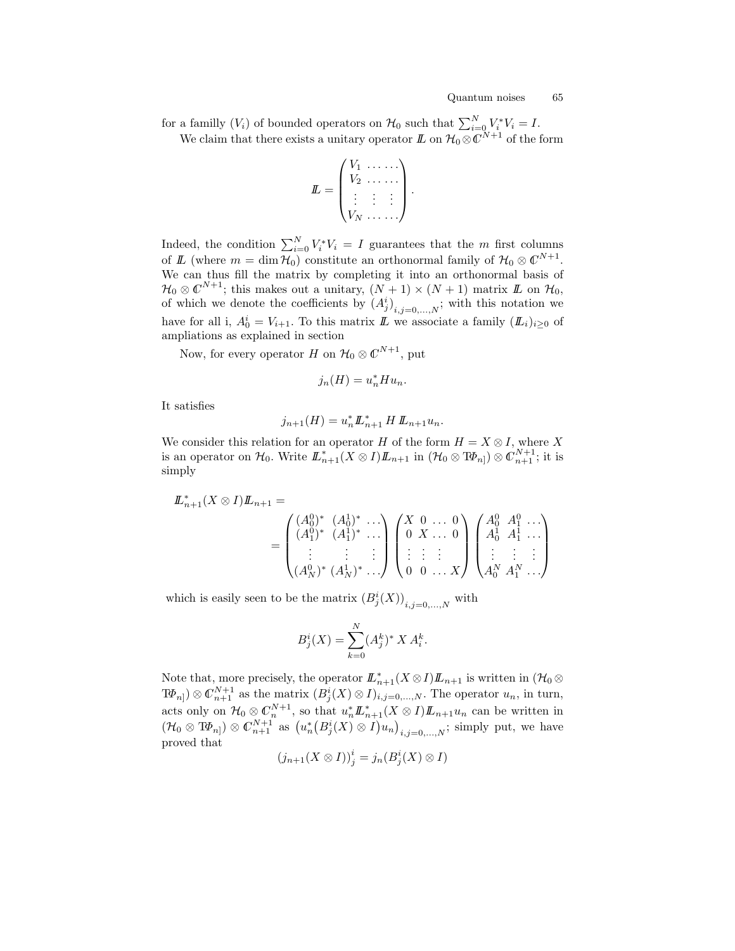for a familly  $(V_i)$  of bounded operators on  $\mathcal{H}_0$  such that  $\sum_{i=0}^{N} V_i^* V_i = I$ . We claim that there exists a unitary operator  $\mathbb{L}$  on  $\mathcal{H}_0 \otimes \mathbb{C}^{N+1}$  of the form

$$
\mathbf{L} = \begin{pmatrix} V_1 & \dots & \dots \\ V_2 & \dots & \dots \\ \vdots & \vdots & \vdots \\ V_N & \dots & \dots \end{pmatrix}.
$$

Indeed, the condition  $\sum_{i=0}^{N} V_i^* V_i = I$  guarantees that the m first columns of L (where  $m = \dim \mathcal{H}_0$ ) constitute an orthonormal family of  $\mathcal{H}_0 \otimes \mathbb{C}^{N+1}$ . We can thus fill the matrix by completing it into an orthonormal basis of  $\mathcal{H}_0 \otimes \mathbb{C}^{N+1}$ ; this makes out a unitary,  $(N+1) \times (N+1)$  matrix  $\mathbb L$  on  $\mathcal{H}_0$ , of which we denote the coefficients by  $(A_j^i)_{i,j=0,\ldots,N}$ ; with this notation we have for all i,  $A_0^i = V_{i+1}$ . To this matrix  $\mathbf{I}$  we associate a family  $(\mathbf{I}_i)_{i\geq 0}$  of ampliations as explained in section

Now, for every operator H on  $\mathcal{H}_0 \otimes \mathbb{C}^{N+1}$ , put

$$
j_n(H) = u_n^* H u_n.
$$

It satisfies

$$
j_{n+1}(H) = u_n^* L_{n+1}^* H L_{n+1} u_n.
$$

We consider this relation for an operator H of the form  $H = X \otimes I$ , where X is an operator on  $\mathcal{H}_0$ . Write  $L_{n+1}^*(X \otimes I) L_{n+1}$  in  $(\mathcal{H}_0 \otimes T_{n}) \otimes C_{n+1}^{N+1}$ ; it is simply

$$
\underline{L}_{n+1}^*(X \otimes I)\underline{L}_{n+1} = \begin{pmatrix} (A_0^0)^* & (A_0^1)^* & \dots \\ (A_1^0)^* & (A_1^1)^* & \dots \\ \vdots & \vdots & \vdots \\ (A_N^0)^* & (A_N^1)^* & \dots \end{pmatrix} \begin{pmatrix} X & 0 & \dots & 0 \\ 0 & X & \dots & 0 \\ \vdots & \vdots & \vdots & \\ 0 & 0 & \dots & X \end{pmatrix} \begin{pmatrix} A_0^0 & A_1^0 & \dots \\ A_0^1 & A_1^1 & \dots \\ \vdots & \vdots & \vdots & \vdots \\ A_0^N & A_1^N & \dots \end{pmatrix}
$$

which is easily seen to be the matrix  $(B_j^i(X))_{i,j=0,\ldots,N}$  with

$$
B_j^i(X) = \sum_{k=0}^{N} (A_j^k)^* X A_i^k.
$$

Note that, more precisely, the operator  $\mathbb{L}_{n+1}^*(X \otimes I) \mathbb{L}_{n+1}$  is written in  $(\mathcal{H}_0 \otimes I)$  $\mathbb{I}(\Phi_n) \otimes \mathbb{C}_{n+1}^{N+1}$  as the matrix  $(B_j^i(X) \otimes I)_{i,j=0,\ldots,N}$ . The operator  $u_n$ , in turn, acts only on  $\mathcal{H}_0 \otimes \mathbb{C}_n^{N+1}$ , so that  $u_n^* \mathbb{L}_{n+1}^*(X \otimes I) \mathbb{L}_{n+1} u_n$  can be written in  $(\mathcal{H}_0 \otimes \mathbb{T} \Phi_{n}] \otimes \mathbb{C}_{n+1}^{N+1}$  as  $(u_n^*(B_j^i(X) \otimes I)u_n)_{i,j=0,\ldots,N}$ ; simply put, we have proved that

$$
(j_{n+1}(X \otimes I))^i_j = j_n(B^i_j(X) \otimes I)
$$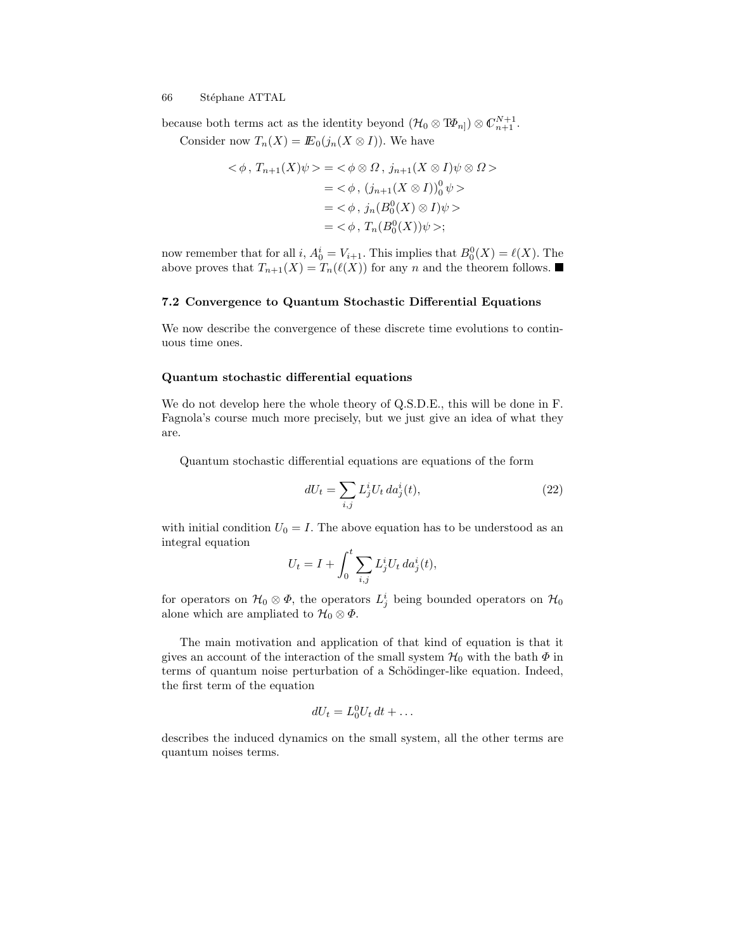because both terms act as the identity beyond  $(\mathcal{H}_0 \otimes \mathbb{T} \Phi_{n}]$ )  $\otimes \mathbb{C}_{n+1}^{N+1}$ .

Consider now  $T_n(X) = E_0(j_n(X \otimes I))$ . We have

$$
\langle \phi, T_{n+1}(X)\psi \rangle = \langle \phi \otimes \Omega, j_{n+1}(X \otimes I)\psi \otimes \Omega \rangle
$$
  

$$
= \langle \phi, (j_{n+1}(X \otimes I))^0_0 \psi \rangle
$$
  

$$
= \langle \phi, j_n(B^0_0(X) \otimes I)\psi \rangle
$$
  

$$
= \langle \phi, T_n(B^0_0(X))\psi \rangle;
$$

now remember that for all  $i, A_0^i = V_{i+1}$ . This implies that  $B_0^0(X) = \ell(X)$ . The above proves that  $T_{n+1}(X) = T_n(\ell(X))$  for any n and the theorem follows.

# 7.2 Convergence to Quantum Stochastic Differential Equations

We now describe the convergence of these discrete time evolutions to continuous time ones.

# Quantum stochastic differential equations

We do not develop here the whole theory of Q.S.D.E., this will be done in F. Fagnola's course much more precisely, but we just give an idea of what they are.

Quantum stochastic differential equations are equations of the form

$$
dU_t = \sum_{i,j} L_j^i U_t \, da_j^i(t),\tag{22}
$$

with initial condition  $U_0 = I$ . The above equation has to be understood as an integral equation

$$
U_t = I + \int_0^t \sum_{i,j} L_j^i U_t \, da_j^i(t),
$$

for operators on  $\mathcal{H}_0 \otimes \Phi$ , the operators  $L^i_j$  being bounded operators on  $\mathcal{H}_0$ alone which are ampliated to  $\mathcal{H}_0 \otimes \Phi$ .

The main motivation and application of that kind of equation is that it gives an account of the interaction of the small system  $\mathcal{H}_0$  with the bath  $\Phi$  in terms of quantum noise perturbation of a Schödinger-like equation. Indeed, the first term of the equation

$$
dU_t = L_0^0 U_t dt + \dots
$$

describes the induced dynamics on the small system, all the other terms are quantum noises terms.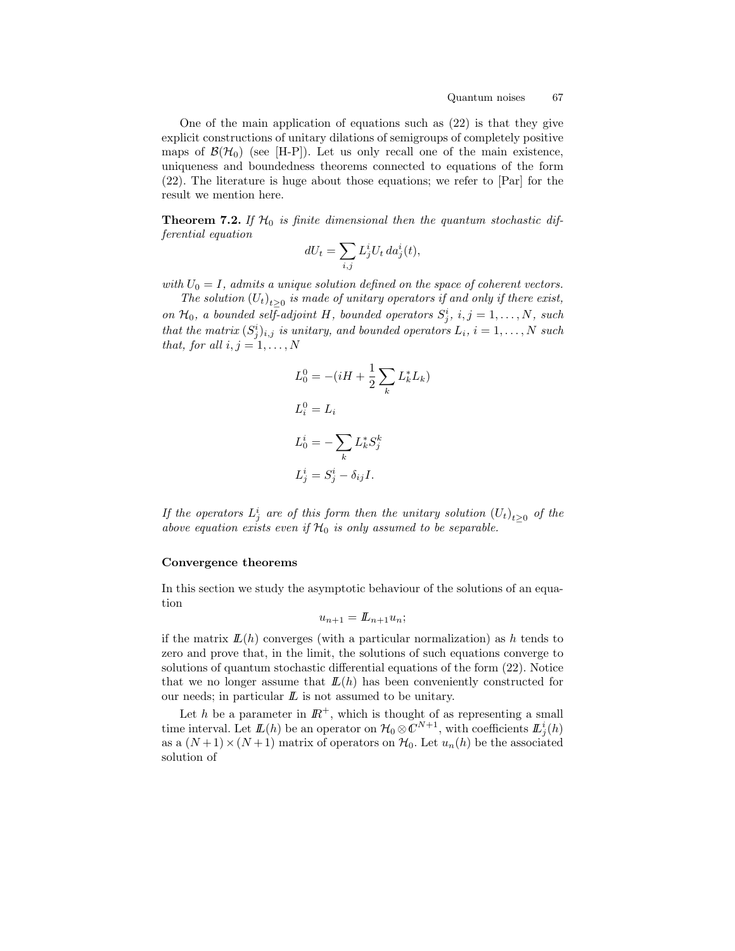One of the main application of equations such as  $(22)$  is that they give explicit constructions of unitary dilations of semigroups of completely positive maps of  $\mathcal{B}(\mathcal{H}_0)$  (see [H-P]). Let us only recall one of the main existence, uniqueness and boundedness theorems connected to equations of the form (22). The literature is huge about those equations; we refer to [Par] for the result we mention here.

**Theorem 7.2.** If  $\mathcal{H}_0$  is finite dimensional then the quantum stochastic differential equation

$$
dU_t = \sum_{i,j} L^i_j U_t \, da^i_j(t),
$$

with  $U_0 = I$ , admits a unique solution defined on the space of coherent vectors.

The solution  $(U_t)_{t\geq0}$  is made of unitary operators if and only if there exist, on  $\mathcal{H}_0$ , a bounded self-adjoint H, bounded operators  $S_j^i$ ,  $i, j = 1, \ldots, N$ , such that the matrix  $(S_j^i)_{i,j}$  is unitary, and bounded operators  $L_i$ ,  $i = 1, \ldots, N$  such that, for all  $i, j = 1, \ldots, N$ 

$$
L_0^0 = -(iH + \frac{1}{2} \sum_k L_k^* L_k)
$$
  
\n
$$
L_i^0 = L_i
$$
  
\n
$$
L_0^i = -\sum_k L_k^* S_j^k
$$
  
\n
$$
L_j^i = S_j^i - \delta_{ij} I.
$$

If the operators  $L_j^i$  are of this form then the unitary solution  $(U_t)_{t\geq0}$  of the above equation exists even if  $\mathcal{H}_0$  is only assumed to be separable.

# Convergence theorems

In this section we study the asymptotic behaviour of the solutions of an equation

$$
u_{n+1} = L_{n+1}u_n;
$$

if the matrix  $\mathbf{L}(h)$  converges (with a particular normalization) as h tends to zero and prove that, in the limit, the solutions of such equations converge to solutions of quantum stochastic differential equations of the form (22). Notice that we no longer assume that  $\mathbf{L}(h)$  has been conveniently constructed for our needs; in particular  $\mathbb L$  is not assumed to be unitary.

Let h be a parameter in  $\mathbb{R}^+$ , which is thought of as representing a small time interval. Let  $\mathbb{L}(h)$  be an operator on  $\mathcal{H}_0 \otimes \mathbb{C}^{N+1}$ , with coefficients  $\mathbb{L}_j^i(h)$ as a  $(N+1)\times(N+1)$  matrix of operators on  $\mathcal{H}_0$ . Let  $u_n(h)$  be the associated solution of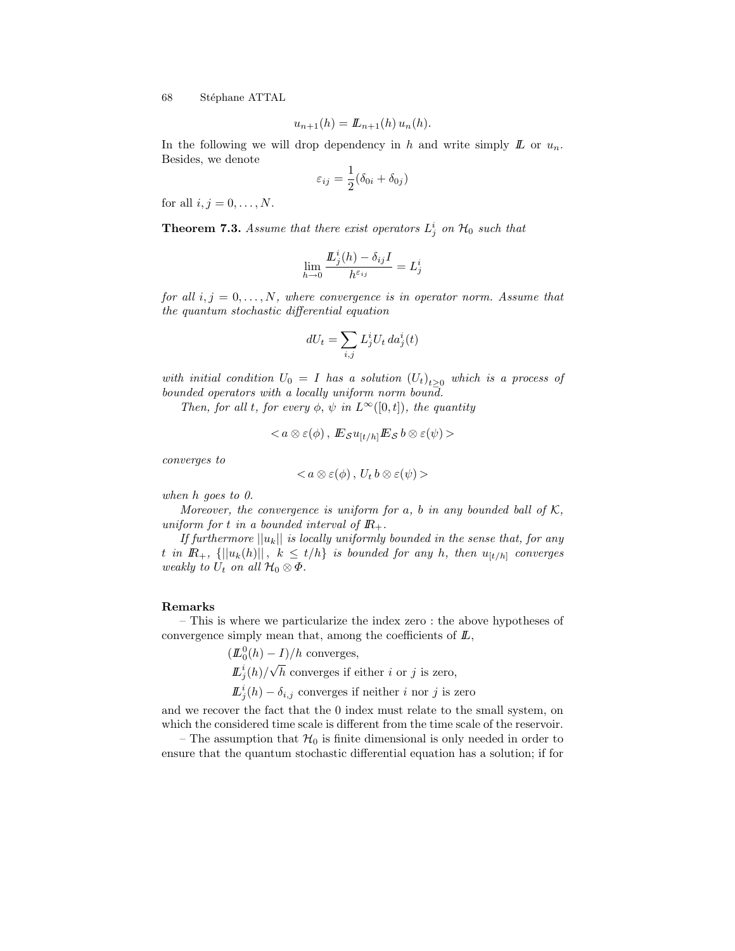$$
u_{n+1}(h) = L_{n+1}(h) u_n(h).
$$

In the following we will drop dependency in h and write simply  $\mathbf{L}$  or  $u_n$ . Besides, we denote

$$
\varepsilon_{ij} = \frac{1}{2} (\delta_{0i} + \delta_{0j})
$$

for all  $i, j = 0, \ldots, N$ .

**Theorem 7.3.** Assume that there exist operators  $L_j^i$  on  $\mathcal{H}_0$  such that

$$
\lim_{h \to 0} \frac{\underline{\mathbb{L}}_j^i(h) - \delta_{ij} I}{h^{\varepsilon_{ij}}} = L_j^i
$$

for all  $i, j = 0, \ldots, N$ , where convergence is in operator norm. Assume that the quantum stochastic differential equation

$$
dU_t = \sum_{i,j} L^i_j U_t \, da^i_j(t)
$$

with initial condition  $U_0 = I$  has a solution  $(U_t)_{t\geq 0}$  which is a process of bounded operators with a locally uniform norm bound.

Then, for all t, for every  $\phi$ ,  $\psi$  in  $L^{\infty}([0,t])$ , the quantity

$$
\langle a \otimes \varepsilon(\phi), \mathop{\mathbf{E}}_{\mathcal{S}} u_{[t/h]} \mathop{\mathbf{E}}_{\mathcal{S}} b \otimes \varepsilon(\psi) \rangle
$$

converges to

$$
\langle a \otimes \varepsilon(\phi), U_t b \otimes \varepsilon(\psi) \rangle
$$

when h goes to 0.

Moreover, the convergence is uniform for a, b in any bounded ball of  $K$ , uniform for t in a bounded interval of  $\mathbb{R}_+$ .

If furthermore  $||u_k||$  is locally uniformly bounded in the sense that, for any t in  $\mathbb{R}_+$ ,  $\{||u_k(h)||, k \leq t/h\}$  is bounded for any h, then  $u_{[t/h]}$  converges weakly to  $U_t$  on all  $\mathcal{H}_0 \otimes \Phi$ .

#### Remarks

– This is where we particularize the index zero : the above hypotheses of convergence simply mean that, among the coefficients of  $L$ ,

> $(\mathbb{L}^0_0(h) - I)/h$  converges, √

 $\mathbf{\mathbb{L}}^{i}_{j}(h) /$ h converges if either  $i$  or  $j$  is zero,

 $\mathbf{L}_j^i(h) - \delta_{i,j}$  converges if neither i nor j is zero

and we recover the fact that the 0 index must relate to the small system, on which the considered time scale is different from the time scale of the reservoir.

– The assumption that  $\mathcal{H}_0$  is finite dimensional is only needed in order to ensure that the quantum stochastic differential equation has a solution; if for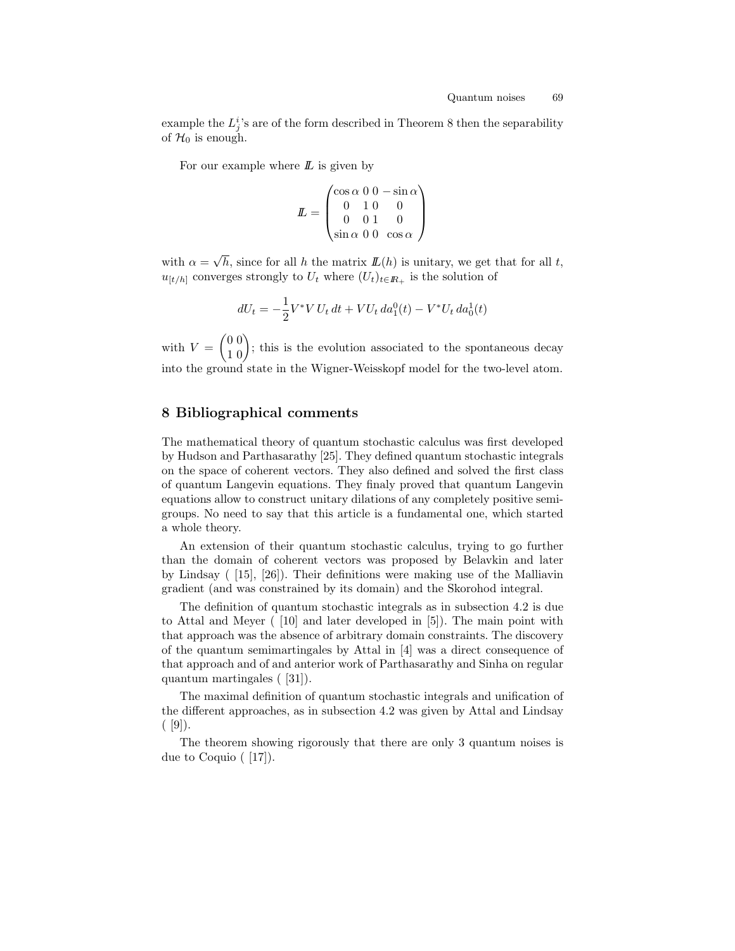example the  $L_j^i$ 's are of the form described in Theorem 8 then the separability of  $\mathcal{H}_0$  is enough.

For our example where  $\mathbb L$  is given by

$$
\mathbf{L} = \begin{pmatrix} \cos \alpha & 0 & 0 & -\sin \alpha \\ 0 & 1 & 0 & 0 \\ 0 & 0 & 1 & 0 \\ \sin \alpha & 0 & 0 & \cos \alpha \end{pmatrix}
$$

with  $\alpha =$ √ h, since for all h the matrix  $\mathbf{L}(h)$  is unitary, we get that for all t,  $u_{[t/h]}$  converges strongly to  $U_t$  where  $(U_t)_{t\in I\!\!R_+}$  is the solution of

$$
dU_t = -\frac{1}{2}V^* V U_t dt + V U_t da_1^0(t) - V^* U_t da_0^1(t)
$$

with  $V = \begin{pmatrix} 0 & 0 \\ 1 & 0 \end{pmatrix}$ ; this is the evolution associated to the spontaneous decay into the ground state in the Wigner-Weisskopf model for the two-level atom.

# 8 Bibliographical comments

The mathematical theory of quantum stochastic calculus was first developed by Hudson and Parthasarathy [25]. They defined quantum stochastic integrals on the space of coherent vectors. They also defined and solved the first class of quantum Langevin equations. They finaly proved that quantum Langevin equations allow to construct unitary dilations of any completely positive semigroups. No need to say that this article is a fundamental one, which started a whole theory.

An extension of their quantum stochastic calculus, trying to go further than the domain of coherent vectors was proposed by Belavkin and later by Lindsay ( [15], [26]). Their definitions were making use of the Malliavin gradient (and was constrained by its domain) and the Skorohod integral.

The definition of quantum stochastic integrals as in subsection 4.2 is due to Attal and Meyer ( [10] and later developed in [5]). The main point with that approach was the absence of arbitrary domain constraints. The discovery of the quantum semimartingales by Attal in [4] was a direct consequence of that approach and of and anterior work of Parthasarathy and Sinha on regular quantum martingales ( [31]).

The maximal definition of quantum stochastic integrals and unification of the different approaches, as in subsection 4.2 was given by Attal and Lindsay  $([9])$ .

The theorem showing rigorously that there are only 3 quantum noises is due to Coquio ( [17]).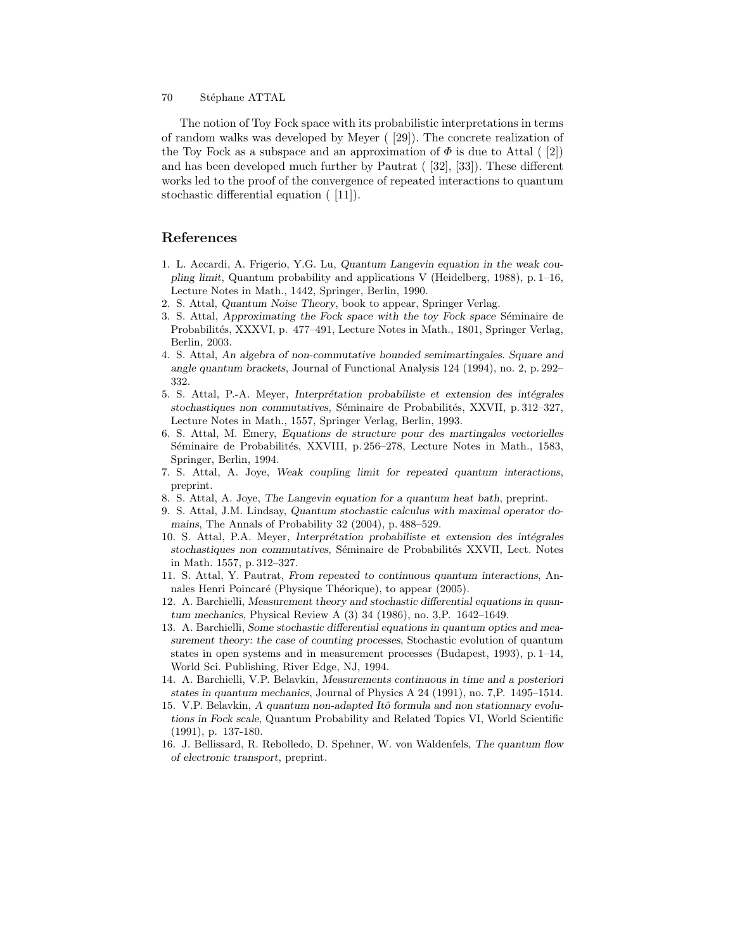The notion of Toy Fock space with its probabilistic interpretations in terms of random walks was developed by Meyer ( [29]). The concrete realization of the Toy Fock as a subspace and an approximation of  $\Phi$  is due to Attal ([2]) and has been developed much further by Pautrat ( [32], [33]). These different works led to the proof of the convergence of repeated interactions to quantum stochastic differential equation ( [11]).

# References

- 1. L. Accardi, A. Frigerio, Y.G. Lu, Quantum Langevin equation in the weak coupling limit, Quantum probability and applications V (Heidelberg, 1988), p. 1–16, Lecture Notes in Math., 1442, Springer, Berlin, 1990.
- 2. S. Attal, Quantum Noise Theory, book to appear, Springer Verlag.
- 3. S. Attal, Approximating the Fock space with the toy Fock space Séminaire de Probabilités, XXXVI, p. 477–491, Lecture Notes in Math., 1801, Springer Verlag, Berlin, 2003.
- 4. S. Attal, An algebra of non-commutative bounded semimartingales. Square and angle quantum brackets, Journal of Functional Analysis 124 (1994), no. 2, p. 292– 332.
- 5. S. Attal, P.-A. Meyer, Interprétation probabiliste et extension des intégrales stochastiques non commutatives, Séminaire de Probabilités, XXVII, p. 312–327, Lecture Notes in Math., 1557, Springer Verlag, Berlin, 1993.
- 6. S. Attal, M. Emery, Equations de structure pour des martingales vectorielles Séminaire de Probabilités, XXVIII, p. 256–278, Lecture Notes in Math., 1583, Springer, Berlin, 1994.
- 7. S. Attal, A. Joye, Weak coupling limit for repeated quantum interactions, preprint.
- 8. S. Attal, A. Joye, The Langevin equation for a quantum heat bath, preprint.
- 9. S. Attal, J.M. Lindsay, Quantum stochastic calculus with maximal operator domains, The Annals of Probability 32 (2004), p. 488–529.
- 10. S. Attal, P.A. Meyer, Interprétation probabiliste et extension des intégrales stochastiques non commutatives, Séminaire de Probabilités XXVII, Lect. Notes in Math. 1557, p. 312–327.
- 11. S. Attal, Y. Pautrat, From repeated to continuous quantum interactions, Annales Henri Poincaré (Physique Théorique), to appear (2005).
- 12. A. Barchielli, Measurement theory and stochastic differential equations in quantum mechanics, Physical Review A (3) 34 (1986), no. 3,P. 1642–1649.
- 13. A. Barchielli, Some stochastic differential equations in quantum optics and measurement theory: the case of counting processes, Stochastic evolution of quantum states in open systems and in measurement processes (Budapest, 1993), p. 1–14, World Sci. Publishing, River Edge, NJ, 1994.
- 14. A. Barchielli, V.P. Belavkin, Measurements continuous in time and a posteriori states in quantum mechanics, Journal of Physics A 24 (1991), no. 7,P. 1495–1514.
- 15. V.P. Belavkin, A quantum non-adapted Itô formula and non stationnary evolutions in Fock scale, Quantum Probability and Related Topics VI, World Scientific (1991), p. 137-180.
- 16. J. Bellissard, R. Rebolledo, D. Spehner, W. von Waldenfels, The quantum flow of electronic transport, preprint.